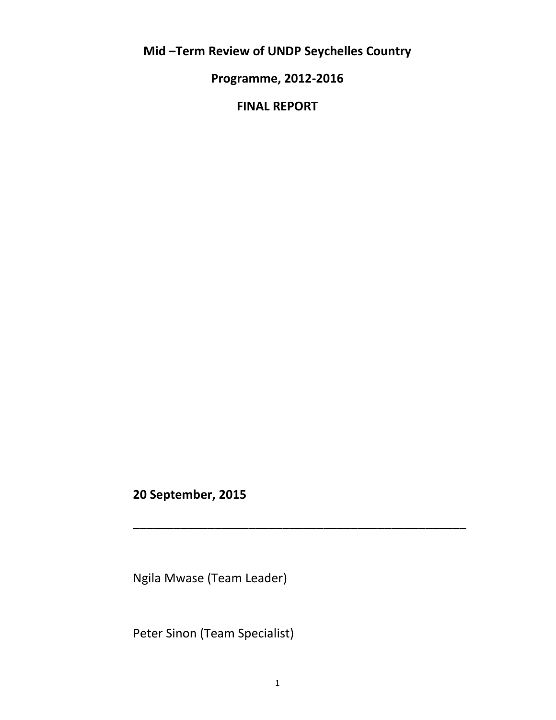**Mid –Term Review of UNDP Seychelles Country**

**Programme, 2012-2016**

**FINAL REPORT**

**20 September, 2015**

Ngila Mwase (Team Leader)

Peter Sinon (Team Specialist)

\_\_\_\_\_\_\_\_\_\_\_\_\_\_\_\_\_\_\_\_\_\_\_\_\_\_\_\_\_\_\_\_\_\_\_\_\_\_\_\_\_\_\_\_\_\_\_\_\_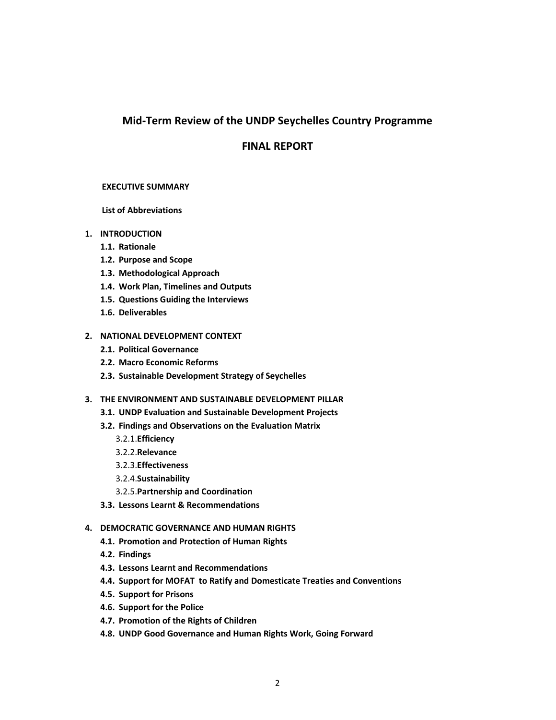# **Mid-Term Review of the UNDP Seychelles Country Programme**

# **FINAL REPORT**

#### **EXECUTIVE SUMMARY**

**List of Abbreviations**

#### **1. INTRODUCTION**

- **1.1. Rationale**
- **1.2. Purpose and Scope**
- **1.3. Methodological Approach**
- **1.4. Work Plan, Timelines and Outputs**
- **1.5. Questions Guiding the Interviews**
- **1.6. Deliverables**

### **2. NATIONAL DEVELOPMENT CONTEXT**

- **2.1. Political Governance**
- **2.2. Macro Economic Reforms**
- **2.3. Sustainable Development Strategy of Seychelles**
- **3. THE ENVIRONMENT AND SUSTAINABLE DEVELOPMENT PILLAR**
	- **3.1. UNDP Evaluation and Sustainable Development Projects**
	- **3.2. Findings and Observations on the Evaluation Matrix**
		- 3.2.1.**Efficiency**
		- 3.2.2.**Relevance**
		- 3.2.3.**Effectiveness**
		- 3.2.4.**Sustainability**
		- 3.2.5.**Partnership and Coordination**
	- **3.3. Lessons Learnt & Recommendations**

#### **4. DEMOCRATIC GOVERNANCE AND HUMAN RIGHTS**

- **4.1. Promotion and Protection of Human Rights**
- **4.2. Findings**
- **4.3. Lessons Learnt and Recommendations**
- **4.4. Support for MOFAT to Ratify and Domesticate Treaties and Conventions**
- **4.5. Support for Prisons**
- **4.6. Support for the Police**
- **4.7. Promotion of the Rights of Children**
- **4.8. UNDP Good Governance and Human Rights Work, Going Forward**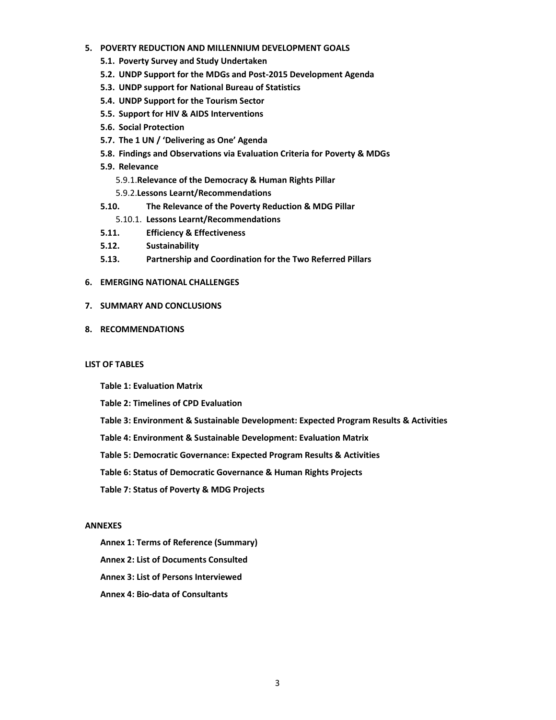#### **5. POVERTY REDUCTION AND MILLENNIUM DEVELOPMENT GOALS**

- **5.1. Poverty Survey and Study Undertaken**
- **5.2. UNDP Support for the MDGs and Post-2015 Development Agenda**
- **5.3. UNDP support for National Bureau of Statistics**
- **5.4. UNDP Support for the Tourism Sector**
- **5.5. Support for HIV & AIDS Interventions**
- **5.6. Social Protection**
- **5.7. The 1 UN / 'Delivering as One' Agenda**
- **5.8. Findings and Observations via Evaluation Criteria for Poverty & MDGs**
- **5.9. Relevance**
	- 5.9.1.**Relevance of the Democracy & Human Rights Pillar**
	- 5.9.2.**Lessons Learnt/Recommendations**
- **5.10. The Relevance of the Poverty Reduction & MDG Pillar**
	- 5.10.1. **Lessons Learnt/Recommendations**
- **5.11. Efficiency & Effectiveness**
- **5.12. Sustainability**
- **5.13. Partnership and Coordination for the Two Referred Pillars**
- **6. EMERGING NATIONAL CHALLENGES**
- **7. SUMMARY AND CONCLUSIONS**
- **8. RECOMMENDATIONS**

#### **LIST OF TABLES**

- **Table 1: Evaluation Matrix**
- **Table 2: Timelines of CPD Evaluation**
- **Table 3: Environment & Sustainable Development: Expected Program Results & Activities**
- **Table 4: Environment & Sustainable Development: Evaluation Matrix**
- **Table 5: Democratic Governance: Expected Program Results & Activities**
- **Table 6: Status of Democratic Governance & Human Rights Projects**
- **Table 7: Status of Poverty & MDG Projects**

#### **ANNEXES**

- **Annex 1: Terms of Reference (Summary)**
- **Annex 2: List of Documents Consulted**
- **Annex 3: List of Persons Interviewed**
- **Annex 4: Bio-data of Consultants**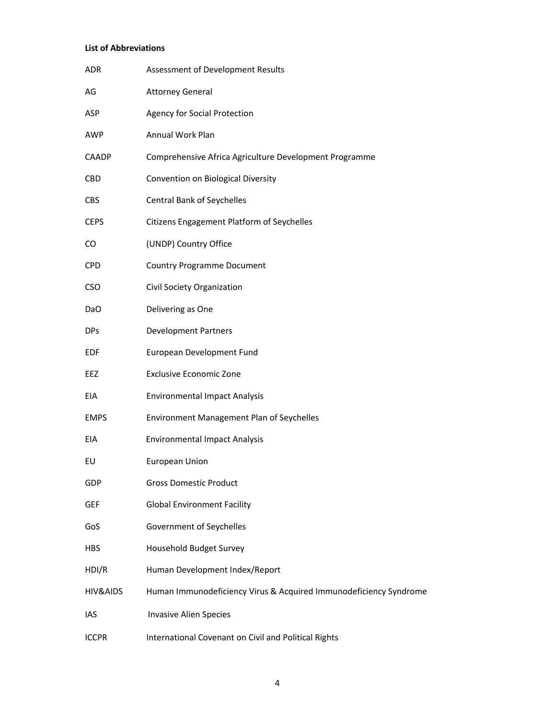# **List of Abbreviations**

| <b>ADR</b>          | Assessment of Development Results                                 |
|---------------------|-------------------------------------------------------------------|
| AG                  | <b>Attorney General</b>                                           |
| ASP                 | <b>Agency for Social Protection</b>                               |
| AWP                 | Annual Work Plan                                                  |
| <b>CAADP</b>        | Comprehensive Africa Agriculture Development Programme            |
| <b>CBD</b>          | Convention on Biological Diversity                                |
| <b>CBS</b>          | <b>Central Bank of Seychelles</b>                                 |
| <b>CEPS</b>         | Citizens Engagement Platform of Seychelles                        |
| CO                  | (UNDP) Country Office                                             |
| <b>CPD</b>          | <b>Country Programme Document</b>                                 |
| <b>CSO</b>          | Civil Society Organization                                        |
| DaO                 | Delivering as One                                                 |
| <b>DPs</b>          | <b>Development Partners</b>                                       |
| EDF                 | European Development Fund                                         |
| EEZ                 | <b>Exclusive Economic Zone</b>                                    |
| EIA                 | <b>Environmental Impact Analysis</b>                              |
| <b>EMPS</b>         | Environment Management Plan of Seychelles                         |
| <b>EIA</b>          | <b>Environmental Impact Analysis</b>                              |
| EU                  | European Union                                                    |
| GDP                 | <b>Gross Domestic Product</b>                                     |
| <b>GEF</b>          | <b>Global Environment Facility</b>                                |
| GoS                 | Government of Seychelles                                          |
| <b>HBS</b>          | Household Budget Survey                                           |
| HDI/R               | Human Development Index/Report                                    |
| <b>HIV&amp;AIDS</b> | Human Immunodeficiency Virus & Acquired Immunodeficiency Syndrome |
| IAS                 | <b>Invasive Alien Species</b>                                     |
| <b>ICCPR</b>        | International Covenant on Civil and Political Rights              |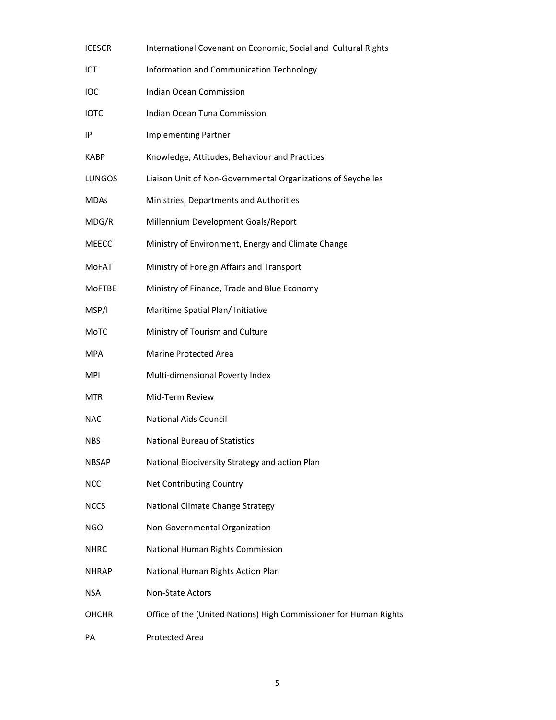| <b>ICESCR</b> | International Covenant on Economic, Social and Cultural Rights    |
|---------------|-------------------------------------------------------------------|
| ICT           | Information and Communication Technology                          |
| IOC           | <b>Indian Ocean Commission</b>                                    |
| IOTC          | Indian Ocean Tuna Commission                                      |
| ΙP            | <b>Implementing Partner</b>                                       |
| <b>KABP</b>   | Knowledge, Attitudes, Behaviour and Practices                     |
| LUNGOS        | Liaison Unit of Non-Governmental Organizations of Seychelles      |
| MDAs          | Ministries, Departments and Authorities                           |
| MDG/R         | Millennium Development Goals/Report                               |
| <b>MEECC</b>  | Ministry of Environment, Energy and Climate Change                |
| <b>MoFAT</b>  | Ministry of Foreign Affairs and Transport                         |
| <b>MoFTBE</b> | Ministry of Finance, Trade and Blue Economy                       |
| MSP/I         | Maritime Spatial Plan/ Initiative                                 |
| МоТС          | Ministry of Tourism and Culture                                   |
| MPA           | <b>Marine Protected Area</b>                                      |
| MPI           | Multi-dimensional Poverty Index                                   |
| MTR           | Mid-Term Review                                                   |
| NAC           | <b>National Aids Council</b>                                      |
| NBS           | <b>National Bureau of Statistics</b>                              |
| <b>NBSAP</b>  | National Biodiversity Strategy and action Plan                    |
| NCC           | Net Contributing Country                                          |
| <b>NCCS</b>   | National Climate Change Strategy                                  |
| NGO           | Non-Governmental Organization                                     |
| <b>NHRC</b>   | National Human Rights Commission                                  |
| <b>NHRAP</b>  | National Human Rights Action Plan                                 |
| <b>NSA</b>    | Non-State Actors                                                  |
| OHCHR         | Office of the (United Nations) High Commissioner for Human Rights |
| PA            | Protected Area                                                    |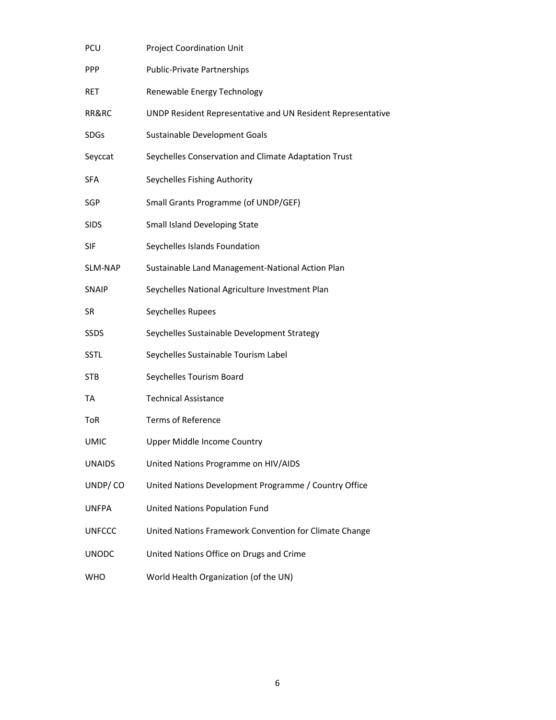| PCU           | <b>Project Coordination Unit</b>                            |
|---------------|-------------------------------------------------------------|
| <b>PPP</b>    | <b>Public-Private Partnerships</b>                          |
| RET           | Renewable Energy Technology                                 |
| RR&RC         | UNDP Resident Representative and UN Resident Representative |
| <b>SDGs</b>   | Sustainable Development Goals                               |
| Seyccat       | Seychelles Conservation and Climate Adaptation Trust        |
| <b>SFA</b>    | Seychelles Fishing Authority                                |
| SGP           | Small Grants Programme (of UNDP/GEF)                        |
| <b>SIDS</b>   | Small Island Developing State                               |
| <b>SIF</b>    | Seychelles Islands Foundation                               |
| SLM-NAP       | Sustainable Land Management-National Action Plan            |
| <b>SNAIP</b>  | Seychelles National Agriculture Investment Plan             |
| SR            | Seychelles Rupees                                           |
| <b>SSDS</b>   | Seychelles Sustainable Development Strategy                 |
| <b>SSTL</b>   | Seychelles Sustainable Tourism Label                        |
| STB           | Seychelles Tourism Board                                    |
| TA            | <b>Technical Assistance</b>                                 |
| ToR           | <b>Terms of Reference</b>                                   |
| <b>UMIC</b>   | <b>Upper Middle Income Country</b>                          |
| <b>UNAIDS</b> | United Nations Programme on HIV/AIDS                        |
| UNDP/CO       | United Nations Development Programme / Country Office       |
| <b>UNFPA</b>  | United Nations Population Fund                              |
| <b>UNFCCC</b> | United Nations Framework Convention for Climate Change      |
| <b>UNODC</b>  | United Nations Office on Drugs and Crime                    |
| WHO           | World Health Organization (of the UN)                       |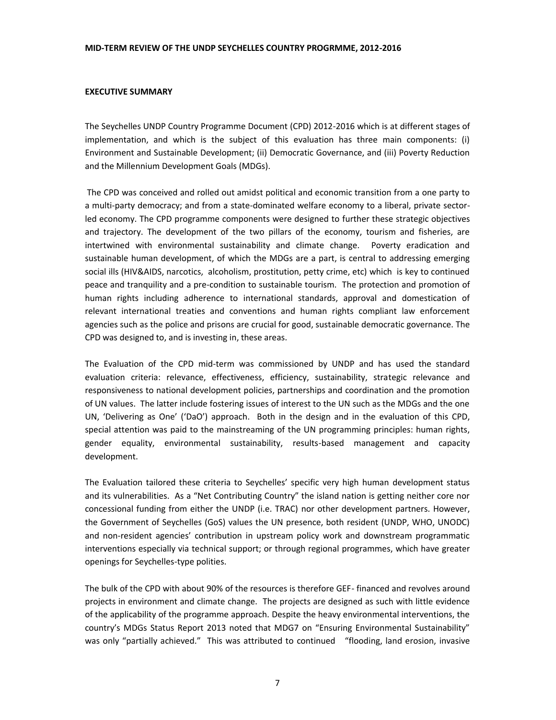#### **EXECUTIVE SUMMARY**

The Seychelles UNDP Country Programme Document (CPD) 2012-2016 which is at different stages of implementation, and which is the subject of this evaluation has three main components: (i) Environment and Sustainable Development; (ii) Democratic Governance, and (iii) Poverty Reduction and the Millennium Development Goals (MDGs).

The CPD was conceived and rolled out amidst political and economic transition from a one party to a multi-party democracy; and from a state-dominated welfare economy to a liberal, private sectorled economy. The CPD programme components were designed to further these strategic objectives and trajectory. The development of the two pillars of the economy, tourism and fisheries, are intertwined with environmental sustainability and climate change. Poverty eradication and sustainable human development, of which the MDGs are a part, is central to addressing emerging social ills (HIV&AIDS, narcotics, alcoholism, prostitution, petty crime, etc) which is key to continued peace and tranquility and a pre-condition to sustainable tourism. The protection and promotion of human rights including adherence to international standards, approval and domestication of relevant international treaties and conventions and human rights compliant law enforcement agencies such as the police and prisons are crucial for good, sustainable democratic governance. The CPD was designed to, and is investing in, these areas.

The Evaluation of the CPD mid-term was commissioned by UNDP and has used the standard evaluation criteria: relevance, effectiveness, efficiency, sustainability, strategic relevance and responsiveness to national development policies, partnerships and coordination and the promotion of UN values. The latter include fostering issues of interest to the UN such as the MDGs and the one UN, 'Delivering as One' ('DaO') approach. Both in the design and in the evaluation of this CPD, special attention was paid to the mainstreaming of the UN programming principles: human rights, gender equality, environmental sustainability, results-based management and capacity development.

The Evaluation tailored these criteria to Seychelles' specific very high human development status and its vulnerabilities. As a "Net Contributing Country" the island nation is getting neither core nor concessional funding from either the UNDP (i.e. TRAC) nor other development partners. However, the Government of Seychelles (GoS) values the UN presence, both resident (UNDP, WHO, UNODC) and non-resident agencies' contribution in upstream policy work and downstream programmatic interventions especially via technical support; or through regional programmes, which have greater openings for Seychelles-type polities.

The bulk of the CPD with about 90% of the resources is therefore GEF- financed and revolves around projects in environment and climate change. The projects are designed as such with little evidence of the applicability of the programme approach. Despite the heavy environmental interventions, the country's MDGs Status Report 2013 noted that MDG7 on "Ensuring Environmental Sustainability" was only "partially achieved." This was attributed to continued "flooding, land erosion, invasive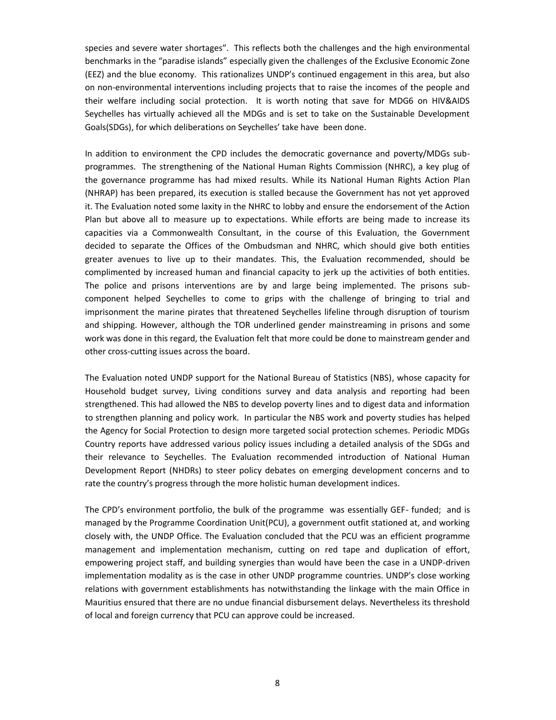species and severe water shortages". This reflects both the challenges and the high environmental benchmarks in the "paradise islands" especially given the challenges of the Exclusive Economic Zone (EEZ) and the blue economy. This rationalizes UNDP's continued engagement in this area, but also on non-environmental interventions including projects that to raise the incomes of the people and their welfare including social protection. It is worth noting that save for MDG6 on HIV&AIDS Seychelles has virtually achieved all the MDGs and is set to take on the Sustainable Development Goals(SDGs), for which deliberations on Seychelles' take have been done.

In addition to environment the CPD includes the democratic governance and poverty/MDGs sub programmes. The strengthening of the National Human Rights Commission (NHRC), a key plug of the governance programme has had mixed results. While its National Human Rights Action Plan (NHRAP) has been prepared, its execution is stalled because the Government has not yet approved it. The Evaluation noted some laxity in the NHRC to lobby and ensure the endorsement of the Action Plan but above all to measure up to expectations. While efforts are being made to increase its capacities via a Commonwealth Consultant, in the course of this Evaluation, the Government decided to separate the Offices of the Ombudsman and NHRC, which should give both entities greater avenues to live up to their mandates. This, the Evaluation recommended, should be complimented by increased human and financial capacity to jerk up the activities of both entities. The police and prisons interventions are by and large being implemented. The prisons sub component helped Seychelles to come to grips with the challenge of bringing to trial and imprisonment the marine pirates that threatened Seychelles lifeline through disruption of tourism and shipping. However, although the TOR underlined gender mainstreaming in prisons and some work was done in this regard, the Evaluation felt that more could be done to mainstream gender and other cross-cutting issues across the board.

The Evaluation noted UNDP support for the National Bureau of Statistics (NBS), whose capacity for Household budget survey, Living conditions survey and data analysis and reporting had been strengthened. This had allowed the NBS to develop poverty lines and to digest data and information to strengthen planning and policy work. In particular the NBS work and poverty studies has helped the Agency for Social Protection to design more targeted social protection schemes. Periodic MDGs Country reports have addressed various policy issues including a detailed analysis of the SDGs and their relevance to Seychelles. The Evaluation recommended introduction of National Human Development Report (NHDRs) to steer policy debates on emerging development concerns and to rate the country's progress through the more holistic human development indices.

The CPD's environment portfolio, the bulk of the programme was essentially GEF- funded; and is managed by the Programme Coordination Unit(PCU), a government outfit stationed at, and working closely with, the UNDP Office. The Evaluation concluded that the PCU was an efficient programme management and implementation mechanism, cutting on red tape and duplication of effort, empowering project staff, and building synergies than would have been the case in a UNDP-driven implementation modality as is the case in other UNDP programme countries. UNDP's close working relations with government establishments has notwithstanding the linkage with the main Office in Mauritius ensured that there are no undue financial disbursement delays. Nevertheless its threshold of local and foreign currency that PCU can approve could be increased.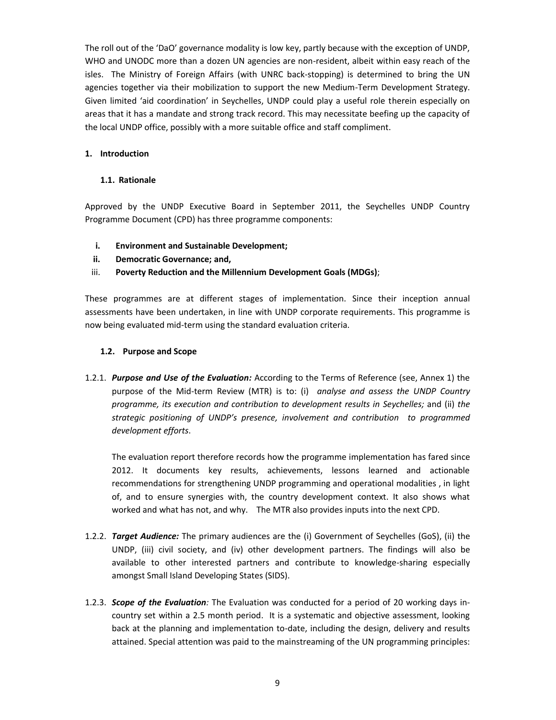The roll out of the 'DaO' governance modality is low key, partly because with the exception of UNDP, WHO and UNODC more than a dozen UN agencies are non-resident, albeit within easy reach of the isles. The Ministry of Foreign Affairs (with UNRC back-stopping) is determined to bring the UN agencies together via their mobilization to support the new Medium-Term Development Strategy. Given limited 'aid coordination' in Seychelles, UNDP could play a useful role therein especially on areas that it has a mandate and strong track record. This may necessitate beefing up the capacity of the local UNDP office, possibly with a more suitable office and staff compliment.

### **1. Introduction**

### **1.1. Rationale**

Approved by the UNDP Executive Board in September 2011, the Seychelles UNDP Country Programme Document (CPD) has three programme components:

- **i. Environment and Sustainable Development;**
- **ii. Democratic Governance; and,**
- iii. **Poverty Reduction and the Millennium Development Goals (MDGs)**;

These programmes are at different stages of implementation. Since their inception annual assessments have been undertaken, in line with UNDP corporate requirements. This programme is now being evaluated mid-term using the standard evaluation criteria.

# **1.2. Purpose and Scope**

1.2.1. *Purpose and Use of the Evaluation:* According to the Terms of Reference (see, Annex 1) the purpose of the Mid-term Review (MTR) is to: (i) *analyse and assess the UNDP Country programme, its execution and contribution to development results in Seychelles;* and (ii) *the strategic positioning of UNDP's presence, involvement and contribution to programmed development efforts*.

The evaluation report therefore records how the programme implementation has fared since 2012. It documents key results, achievements, lessons learned and actionable recommendations for strengthening UNDP programming and operational modalities , in light of, and to ensure synergies with, the country development context. It also shows what worked and what has not, and why. The MTR also provides inputs into the next CPD.

- 1.2.2. *Target Audience:* The primary audiences are the (i) Government of Seychelles (GoS), (ii) the UNDP, (iii) civil society, and (iv) other development partners. The findings will also be available to other interested partners and contribute to knowledge-sharing especially amongst Small Island Developing States (SIDS).
- 1.2.3. *Scope of the Evaluation:* The Evaluation was conducted for a period of 20 working days in country set within a 2.5 month period. It is a systematic and objective assessment, looking back at the planning and implementation to-date, including the design, delivery and results attained. Special attention was paid to the mainstreaming of the UN programming principles: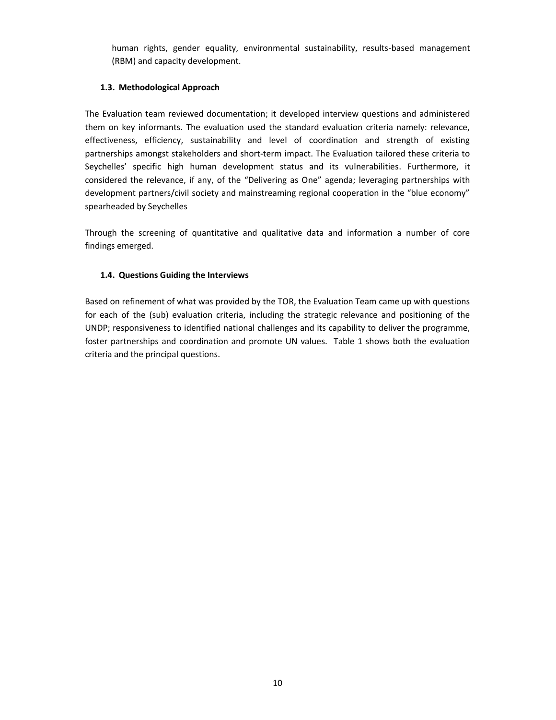human rights, gender equality, environmental sustainability, results-based management (RBM) and capacity development.

# **1.3. Methodological Approach**

The Evaluation team reviewed documentation; it developed interview questions and administered them on key informants. The evaluation used the standard evaluation criteria namely: relevance, effectiveness, efficiency, sustainability and level of coordination and strength of existing partnerships amongst stakeholders and short-term impact. The Evaluation tailored these criteria to Seychelles' specific high human development status and its vulnerabilities. Furthermore, it considered the relevance, if any, of the "Delivering as One" agenda; leveraging partnerships with development partners/civil society and mainstreaming regional cooperation in the "blue economy" spearheaded by Seychelles

Through the screening of quantitative and qualitative data and information a number of core findings emerged.

# **1.4. Questions Guiding the Interviews**

Based on refinement of what was provided by the TOR, the Evaluation Team came up with questions for each of the (sub) evaluation criteria, including the strategic relevance and positioning of the UNDP; responsiveness to identified national challenges and its capability to deliver the programme, foster partnerships and coordination and promote UN values. Table 1 shows both the evaluation criteria and the principal questions.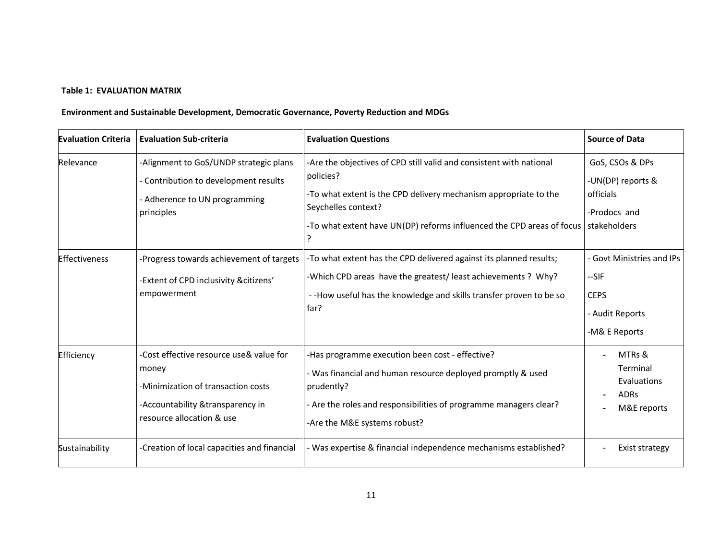# **Table 1: EVALUATION MATRIX**

# **Environment and Sustainable Development, Democratic Governance, Poverty Reduction and MDGs**

| <b>Evaluation Criteria</b> | <b>Evaluation Sub-criteria</b>                                                                                                                           | <b>Evaluation Questions</b>                                                                                                                                                                                                                          | <b>Source of Data</b>                                                                  |
|----------------------------|----------------------------------------------------------------------------------------------------------------------------------------------------------|------------------------------------------------------------------------------------------------------------------------------------------------------------------------------------------------------------------------------------------------------|----------------------------------------------------------------------------------------|
| Relevance                  | -Alignment to GoS/UNDP strategic plans<br>- Contribution to development results<br>- Adherence to UN programming<br>principles                           | -Are the objectives of CPD still valid and consistent with national<br>policies?<br>-To what extent is the CPD delivery mechanism appropriate to the<br>Seychelles context?<br>-To what extent have UN(DP) reforms influenced the CPD areas of focus | GoS, CSOs & DPs<br>-UN(DP) reports &<br>officials<br>-Prodocs and<br>stakeholders      |
| <b>Effectiveness</b>       | -Progress towards achievement of targets<br>-Extent of CPD inclusivity &citizens'<br>empowerment                                                         | -To what extent has the CPD delivered against its planned results;<br>-Which CPD areas have the greatest/least achievements ? Why?<br>--How useful has the knowledge and skills transfer proven to be so<br>far?                                     | - Govt Ministries and IPs<br>$-SIF$<br><b>CEPS</b><br>- Audit Reports<br>-M& E Reports |
| Efficiency                 | -Cost effective resource use& value for<br>money<br>-Minimization of transaction costs<br>-Accountability & transparency in<br>resource allocation & use | -Has programme execution been cost - effective?<br>- Was financial and human resource deployed promptly & used<br>prudently?<br>- Are the roles and responsibilities of programme managers clear?<br>-Are the M&E systems robust?                    | MTRs &<br>Terminal<br>Evaluations<br><b>ADRs</b><br>M&E reports                        |
| Sustainability             | -Creation of local capacities and financial                                                                                                              | - Was expertise & financial independence mechanisms established?                                                                                                                                                                                     | Exist strategy                                                                         |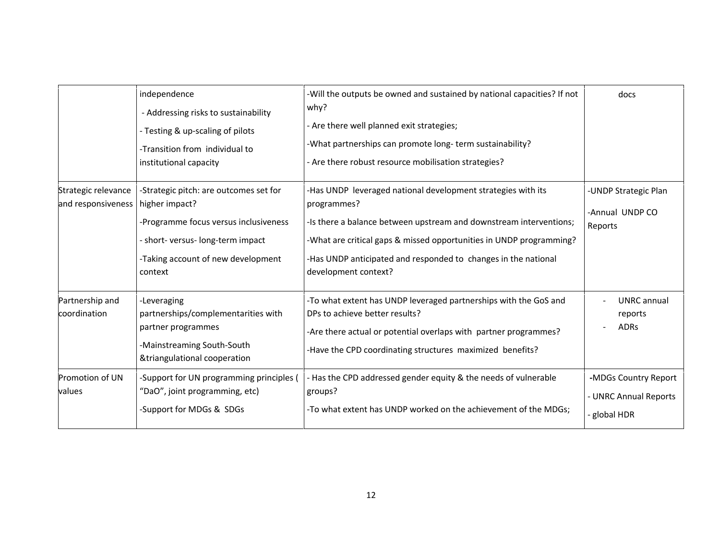|                                           | independence<br>- Addressing risks to sustainability                                                                                                                                    | -Will the outputs be owned and sustained by national capacities? If not<br>why?                                                                                                                                                                                                                                    | docs                                                          |
|-------------------------------------------|-----------------------------------------------------------------------------------------------------------------------------------------------------------------------------------------|--------------------------------------------------------------------------------------------------------------------------------------------------------------------------------------------------------------------------------------------------------------------------------------------------------------------|---------------------------------------------------------------|
|                                           | - Testing & up-scaling of pilots<br>-Transition from individual to<br>institutional capacity                                                                                            | - Are there well planned exit strategies;<br>-What partnerships can promote long-term sustainability?<br>- Are there robust resource mobilisation strategies?                                                                                                                                                      |                                                               |
| Strategic relevance<br>and responsiveness | -Strategic pitch: are outcomes set for<br>higher impact?<br>-Programme focus versus inclusiveness<br>- short- versus- long-term impact<br>-Taking account of new development<br>context | -Has UNDP leveraged national development strategies with its<br>programmes?<br>-Is there a balance between upstream and downstream interventions;<br>-What are critical gaps & missed opportunities in UNDP programming?<br>-Has UNDP anticipated and responded to changes in the national<br>development context? | -UNDP Strategic Plan<br>-Annual UNDP CO<br>Reports            |
| Partnership and<br>coordination           | -Leveraging<br>partnerships/complementarities with<br>partner programmes<br>-Mainstreaming South-South<br>&triangulational cooperation                                                  | -To what extent has UNDP leveraged partnerships with the GoS and<br>DPs to achieve better results?<br>-Are there actual or potential overlaps with partner programmes?<br>-Have the CPD coordinating structures maximized benefits?                                                                                | UNRC annual<br>reports<br><b>ADRs</b>                         |
| Promotion of UN<br>values                 | -Support for UN programming principles (<br>"DaO", joint programming, etc)<br>-Support for MDGs & SDGs                                                                                  | - Has the CPD addressed gender equity & the needs of vulnerable<br>groups?<br>-To what extent has UNDP worked on the achievement of the MDGs;                                                                                                                                                                      | -MDGs Country Report<br>- UNRC Annual Reports<br>- global HDR |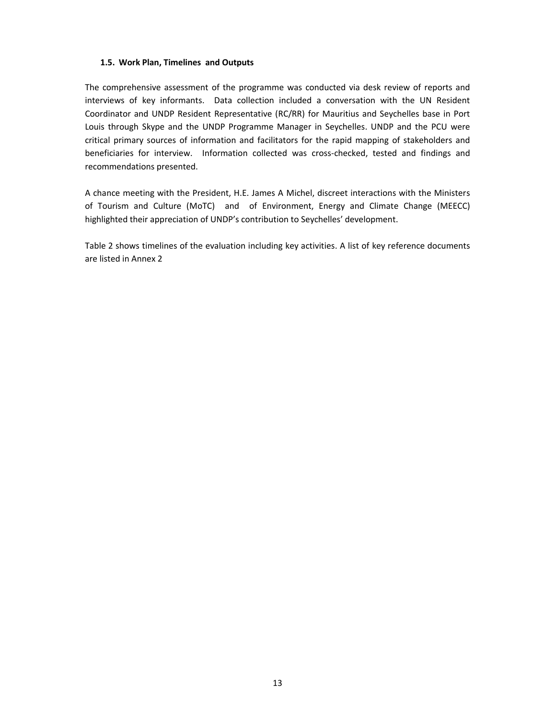### **1.5. Work Plan, Timelines and Outputs**

The comprehensive assessment of the programme was conducted via desk review of reports and interviews of key informants. Data collection included a conversation with the UN Resident Coordinator and UNDP Resident Representative (RC/RR) for Mauritius and Seychelles base in Port Louis through Skype and the UNDP Programme Manager in Seychelles. UNDP and the PCU were critical primary sources of information and facilitators for the rapid mapping of stakeholders and beneficiaries for interview. Information collected was cross-checked, tested and findings and recommendations presented.

A chance meeting with the President, H.E. James A Michel, discreet interactions with the Ministers of Tourism and Culture (MoTC) and of Environment, Energy and Climate Change (MEECC) highlighted their appreciation of UNDP's contribution to Seychelles' development.

Table 2 shows timelines of the evaluation including key activities. A list of key reference documents are listed in Annex 2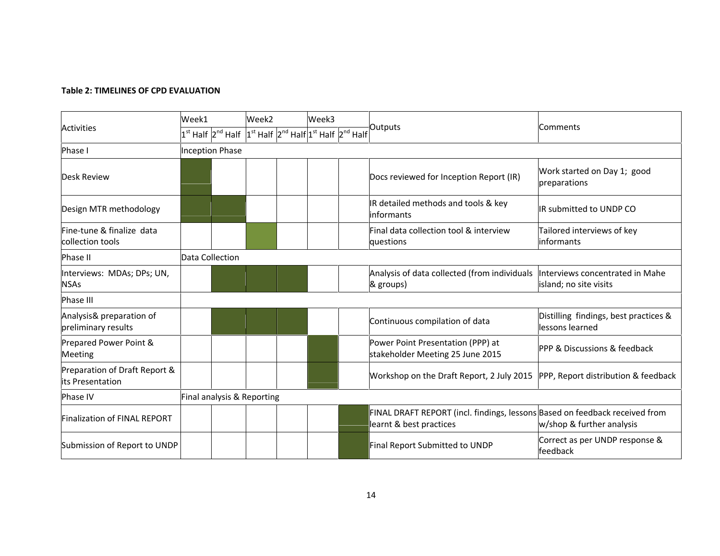# **Table 2: TIMELINES OF CPD EVALUATION**

|                                                   | Week1<br>Week2             |                        | Week3 |                                                                                                                   |  |                                                                                                        |                                                           |  |
|---------------------------------------------------|----------------------------|------------------------|-------|-------------------------------------------------------------------------------------------------------------------|--|--------------------------------------------------------------------------------------------------------|-----------------------------------------------------------|--|
| <b>Activities</b>                                 |                            |                        |       | $ 1^{\rm st}$ Half $ 2^{\rm nd}$ Half $ 1^{\rm st}$ Half $ 2^{\rm nd}$ Half $ 1^{\rm st}$ Half $ 2^{\rm nd}$ Half |  | Outputs                                                                                                | Comments                                                  |  |
| Phase I                                           |                            | <b>Inception Phase</b> |       |                                                                                                                   |  |                                                                                                        |                                                           |  |
| <b>Desk Review</b>                                |                            |                        |       |                                                                                                                   |  | Docs reviewed for Inception Report (IR)                                                                | Work started on Day 1; good<br>preparations               |  |
| Design MTR methodology                            |                            |                        |       |                                                                                                                   |  | IR detailed methods and tools & key<br>informants                                                      | IR submitted to UNDP CO                                   |  |
| Fine-tune & finalize data<br>collection tools     |                            |                        |       |                                                                                                                   |  | Final data collection tool & interview<br>questions                                                    | Tailored interviews of key<br>informants                  |  |
| Phase II                                          |                            | Data Collection        |       |                                                                                                                   |  |                                                                                                        |                                                           |  |
| Interviews: MDAs; DPs; UN,<br><b>NSAs</b>         |                            |                        |       |                                                                                                                   |  | Analysis of data collected (from individuals<br>& groups)                                              | Interviews concentrated in Mahe<br>island; no site visits |  |
| Phase III                                         |                            |                        |       |                                                                                                                   |  |                                                                                                        |                                                           |  |
| Analysis& preparation of<br>preliminary results   |                            |                        |       |                                                                                                                   |  | Continuous compilation of data                                                                         | Distilling findings, best practices &<br>lessons learned  |  |
| Prepared Power Point &<br><b>Meeting</b>          |                            |                        |       |                                                                                                                   |  | Power Point Presentation (PPP) at<br>stakeholder Meeting 25 June 2015                                  | PPP & Discussions & feedback                              |  |
| Preparation of Draft Report &<br>its Presentation |                            |                        |       |                                                                                                                   |  | Workshop on the Draft Report, 2 July 2015<br>PPP, Report distribution & feedback                       |                                                           |  |
| Phase IV                                          | Final analysis & Reporting |                        |       |                                                                                                                   |  |                                                                                                        |                                                           |  |
| <b>Finalization of FINAL REPORT</b>               |                            |                        |       |                                                                                                                   |  | FINAL DRAFT REPORT (incl. findings, lessons Based on feedback received from<br>learnt & best practices | w/shop & further analysis                                 |  |
| Submission of Report to UNDP                      |                            |                        |       |                                                                                                                   |  | Final Report Submitted to UNDP                                                                         | Correct as per UNDP response &<br>feedback                |  |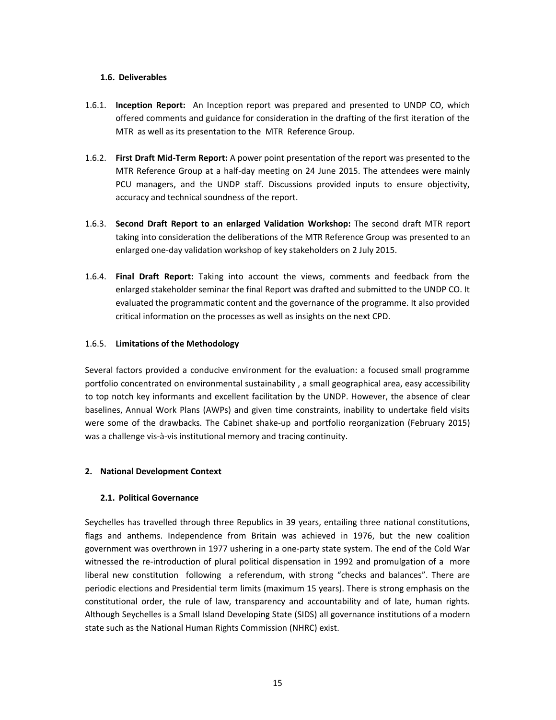### **1.6. Deliverables**

- 1.6.1. **Inception Report:** An Inception report was prepared and presented to UNDP CO, which offered comments and guidance for consideration in the drafting of the first iteration of the MTR as well as its presentation to the MTR Reference Group.
- 1.6.2. **First Draft Mid-Term Report:** A power point presentation of the report was presented to the MTR Reference Group at a half-day meeting on 24 June 2015. The attendees were mainly PCU managers, and the UNDP staff. Discussions provided inputs to ensure objectivity, accuracy and technical soundness of the report.
- 1.6.3. **Second Draft Report to an enlarged Validation Workshop:** The second draft MTR report taking into consideration the deliberations of the MTR Reference Group was presented to an enlarged one-day validation workshop of key stakeholders on 2 July 2015.
- 1.6.4. **Final Draft Report:** Taking into account the views, comments and feedback from the enlarged stakeholder seminar the final Report was drafted and submitted to the UNDP CO. It evaluated the programmatic content and the governance of the programme. It also provided critical information on the processes as well as insights on the next CPD.

### 1.6.5. **Limitations of the Methodology**

Several factors provided a conducive environment for the evaluation: a focused small programme portfolio concentrated on environmental sustainability , a small geographical area, easy accessibility to top notch key informants and excellent facilitation by the UNDP. However, the absence of clear baselines, Annual Work Plans (AWPs) and given time constraints, inability to undertake field visits were some of the drawbacks. The Cabinet shake-up and portfolio reorganization (February 2015) was a challenge vis-à-vis institutional memory and tracing continuity.

# **2. National Development Context**

# **2.1. Political Governance**

Seychelles has travelled through three Republics in 39 years, entailing three national constitutions, flags and anthems. Independence from Britain was achieved in 1976, but the new coalition government was overthrown in 1977 ushering in a one-party state system. The end of the Cold War witnessed the re-introduction of plural political dispensation in 1992 and promulgation of a more liberal new constitution following a referendum, with strong "checks and balances". There are periodic elections and Presidential term limits (maximum 15 years). There is strong emphasis on the constitutional order, the rule of law, transparency and accountability and of late, human rights. Although Seychelles is a Small Island Developing State (SIDS) all governance institutions of a modern state such as the National Human Rights Commission (NHRC) exist.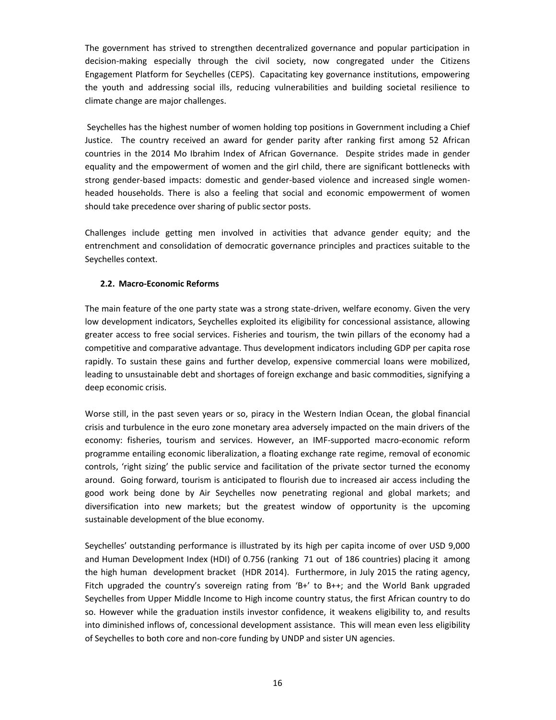The government has strived to strengthen decentralized governance and popular participation in decision-making especially through the civil society, now congregated under the Citizens Engagement Platform for Seychelles (CEPS). Capacitating key governance institutions, empowering the youth and addressing social ills, reducing vulnerabilities and building societal resilience to climate change are major challenges.

Seychelles has the highest number of women holding top positions in Government including a Chief Justice. The country received an award for gender parity after ranking first among 52 African countries in the 2014 Mo Ibrahim Index of African Governance. Despite strides made in gender equality and the empowerment of women and the girl child, there are significant bottlenecks with strong gender-based impacts: domestic and gender-based violence and increased single women headed households. There is also a feeling that social and economic empowerment of women should take precedence over sharing of public sector posts.

Challenges include getting men involved in activities that advance gender equity; and the entrenchment and consolidation of democratic governance principles and practices suitable to the Seychelles context.

### **2.2. Macro-Economic Reforms**

The main feature of the one party state was a strong state-driven, welfare economy. Given the very low development indicators, Seychelles exploited its eligibility for concessional assistance, allowing greater access to free social services. Fisheries and tourism, the twin pillars of the economy had a competitive and comparative advantage. Thus development indicators including GDP per capita rose rapidly. To sustain these gains and further develop, expensive commercial loans were mobilized, leading to unsustainable debt and shortages of foreign exchange and basic commodities, signifying a deep economic crisis.

Worse still, in the past seven years or so, piracy in the Western Indian Ocean, the global financial crisis and turbulence in the euro zone monetary area adversely impacted on the main drivers of the economy: fisheries, tourism and services. However, an IMF-supported macro-economic reform programme entailing economic liberalization, a floating exchange rate regime, removal of economic controls, 'right sizing' the public service and facilitation of the private sector turned the economy around. Going forward, tourism is anticipated to flourish due to increased air access including the good work being done by Air Seychelles now penetrating regional and global markets; and diversification into new markets; but the greatest window of opportunity is the upcoming sustainable development of the blue economy.

Seychelles' outstanding performance is illustrated by its high per capita income of over USD 9,000 and Human Development Index (HDI) of 0.756 (ranking 71 out of 186 countries) placing it among the high human development bracket (HDR 2014). Furthermore, in July 2015 the rating agency, Fitch upgraded the country's sovereign rating from 'B+' to B++; and the World Bank upgraded Seychelles from Upper Middle Income to High income country status, the first African country to do so. However while the graduation instils investor confidence, it weakens eligibility to, and results into diminished inflows of, concessional development assistance. This will mean even less eligibility of Seychelles to both core and non-core funding by UNDP and sister UN agencies.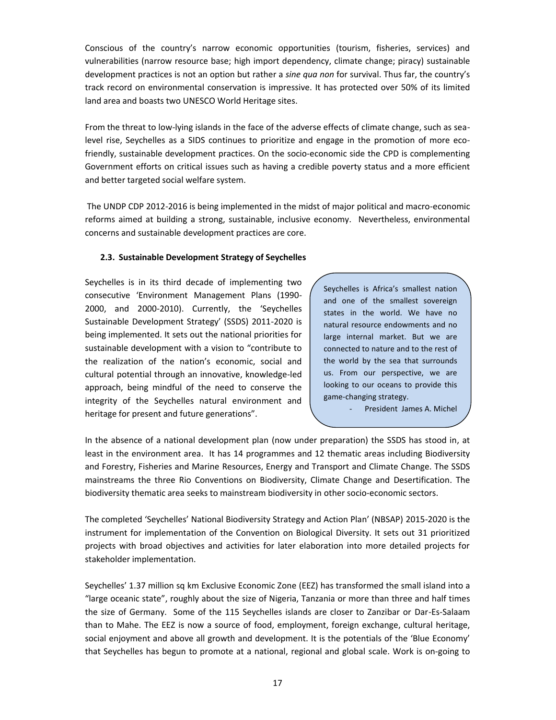Conscious of the country's narrow economic opportunities (tourism, fisheries, services) and vulnerabilities (narrow resource base; high import dependency, climate change; piracy) sustainable development practices is not an option but rather a *sine qua non* for survival. Thus far, the country's track record on environmental conservation is impressive. It has protected over 50% of its limited land area and boasts two UNESCO World Heritage sites.

From the threat to low-lying islands in the face of the adverse effects of climate change, such as sealevel rise, Seychelles as a SIDS continues to prioritize and engage in the promotion of more ecofriendly, sustainable development practices. On the socio-economic side the CPD is complementing Government efforts on critical issues such as having a credible poverty status and a more efficient and better targeted social welfare system.

The UNDP CDP 2012-2016 is being implemented in the midst of major political and macro-economic reforms aimed at building a strong, sustainable, inclusive economy. Nevertheless, environmental concerns and sustainable development practices are core.

### **2.3. Sustainable Development Strategy of Seychelles**

Seychelles is in its third decade of implementing two consecutive 'Environment Management Plans (1990- 2000, and 2000-2010). Currently, the 'Seychelles Sustainable Development Strategy' (SSDS) 2011-2020 is being implemented. It sets out the national priorities for sustainable development with a vision to "contribute to the realization of the nation's economic, social and cultural potential through an innovative, knowledge-led approach, being mindful of the need to conserve the integrity of the Seychelles natural environment and heritage for present and future generations".

Seychelles is Africa's smallest nation and one of the smallest sovereign states in the world. We have no natural resource endowments and no large internal market. But we are connected to nature and to the rest of the world by the sea that surrounds us. From our perspective, we are looking to our oceans to provide this game-changing strategy.

President James A. Michel

In the absence of a national development plan (now under preparation) the SSDS has stood in, at least in the environment area. It has 14 programmes and 12 thematic areas including Biodiversity and Forestry, Fisheries and Marine Resources, Energy and Transport and Climate Change. The SSDS mainstreams the three Rio Conventions on Biodiversity, Climate Change and Desertification. The biodiversity thematic area seeks to mainstream biodiversity in other socio-economic sectors.

The completed 'Seychelles' National Biodiversity Strategy and Action Plan' (NBSAP) 2015-2020 is the instrument for implementation of the Convention on Biological Diversity. It sets out 31 prioritized projects with broad objectives and activities for later elaboration into more detailed projects for stakeholder implementation.

Seychelles' 1.37 million sq km Exclusive Economic Zone (EEZ) has transformed the small island into a "large oceanic state", roughly about the size of Nigeria, Tanzania or more than three and half times the size of Germany. Some of the 115 Seychelles islands are closer to Zanzibar or Dar-Es-Salaam than to Mahe. The EEZ is now a source of food, employment, foreign exchange, cultural heritage, social enjoyment and above all growth and development. It is the potentials of the 'Blue Economy' that Seychelles has begun to promote at a national, regional and global scale. Work is on-going to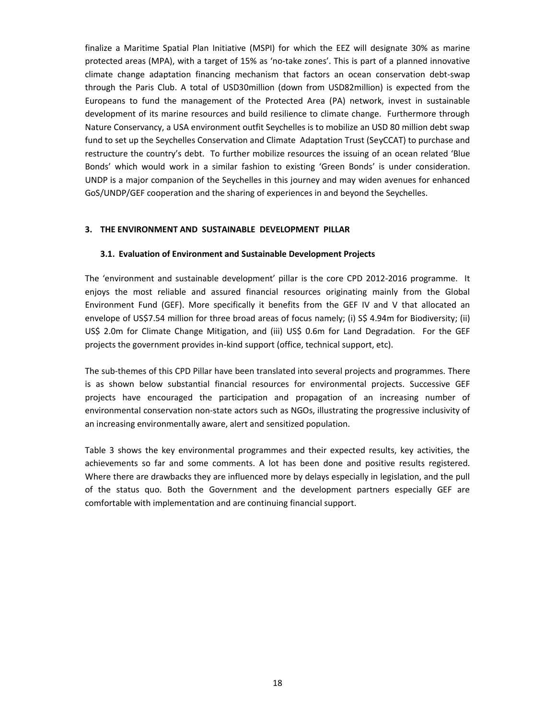finalize a Maritime Spatial Plan Initiative (MSPI) for which the EEZ will designate 30% as marine protected areas (MPA), with a target of 15% as 'no-take zones'. This is part of a planned innovative climate change adaptation financing mechanism that factors an ocean conservation debt-swap through the Paris Club. A total of USD30million (down from USD82million) is expected from the Europeans to fund the management of the Protected Area (PA) network, invest in sustainable development of its marine resources and build resilience to climate change. Furthermore through Nature Conservancy, a USA environment outfit Seychelles is to mobilize an USD 80 million debt swap fund to set up the Seychelles Conservation and Climate Adaptation Trust (SeyCCAT) to purchase and restructure the country's debt. To further mobilize resources the issuing of an ocean related 'Blue Bonds' which would work in a similar fashion to existing 'Green Bonds' is under consideration. UNDP is a major companion of the Seychelles in this journey and may widen avenues for enhanced GoS/UNDP/GEF cooperation and the sharing of experiences in and beyond the Seychelles.

#### **3. THE ENVIRONMENT AND SUSTAINABLE DEVELOPMENT PILLAR**

#### **3.1. Evaluation of Environment and Sustainable Development Projects**

The 'environment and sustainable development' pillar is the core CPD 2012-2016 programme. It enjoys the most reliable and assured financial resources originating mainly from the Global Environment Fund (GEF). More specifically it benefits from the GEF IV and V that allocated an envelope of US\$7.54 million for three broad areas of focus namely; (i) S\$ 4.94m for Biodiversity; (ii) US\$ 2.0m for Climate Change Mitigation, and (iii) US\$ 0.6m for Land Degradation. For the GEF projects the government provides in-kind support (office, technical support, etc).

The sub-themes of this CPD Pillar have been translated into several projects and programmes. There is as shown below substantial financial resources for environmental projects. Successive GEF projects have encouraged the participation and propagation of an increasing number of environmental conservation non-state actors such as NGOs, illustrating the progressive inclusivity of an increasing environmentally aware, alert and sensitized population.

Table 3 shows the key environmental programmes and their expected results, key activities, the achievements so far and some comments. A lot has been done and positive results registered. Where there are drawbacks they are influenced more by delays especially in legislation, and the pull of the status quo. Both the Government and the development partners especially GEF are comfortable with implementation and are continuing financial support.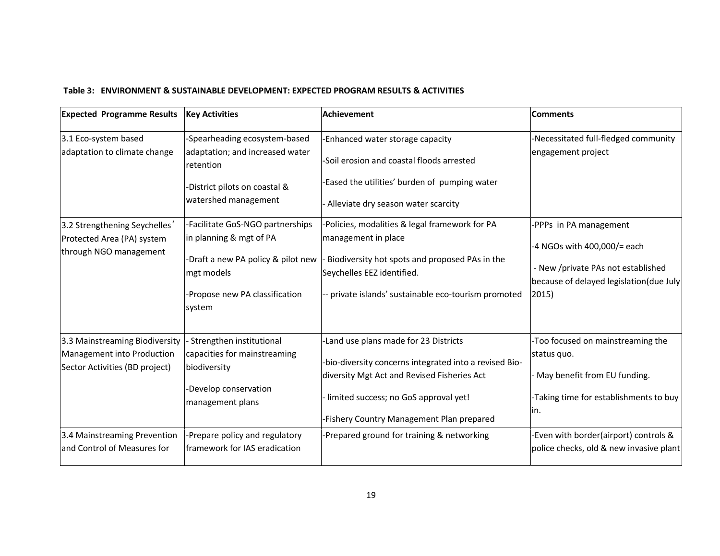# **Table 3: ENVIRONMENT & SUSTAINABLE DEVELOPMENT: EXPECTED PROGRAM RESULTS & ACTIVITIES**

| <b>Expected Programme Results</b>                            | <b>Key Activities</b>                        | <b>Achievement</b>                                     | <b>Comments</b>                         |
|--------------------------------------------------------------|----------------------------------------------|--------------------------------------------------------|-----------------------------------------|
| 3.1 Eco-system based                                         | -Spearheading ecosystem-based                | -Enhanced water storage capacity                       | Necessitated full-fledged community     |
| adaptation to climate change                                 | adaptation; and increased water<br>retention | -Soil erosion and coastal floods arrested              | engagement project                      |
|                                                              | -District pilots on coastal &                | Eased the utilities' burden of pumping water           |                                         |
|                                                              | watershed management                         | Alleviate dry season water scarcity                    |                                         |
| 3.2 Strengthening Seychelles'                                | -Facilitate GoS-NGO partnerships             | Policies, modalities & legal framework for PA          | -PPPs in PA management                  |
| Protected Area (PA) system<br>through NGO management         | in planning & mgt of PA                      | management in place                                    | -4 NGOs with 400,000/= each             |
|                                                              | -Draft a new PA policy & pilot new           | Biodiversity hot spots and proposed PAs in the         | - New /private PAs not established      |
|                                                              | mgt models                                   | Seychelles EEZ identified.                             | because of delayed legislation(due July |
|                                                              | -Propose new PA classification               | private islands' sustainable eco-tourism promoted      | 2015)                                   |
|                                                              | system                                       |                                                        |                                         |
| 3.3 Mainstreaming Biodiversity                               | Strengthen institutional                     | -Land use plans made for 23 Districts                  | -Too focused on mainstreaming the       |
| Management into Production<br>Sector Activities (BD project) | capacities for mainstreaming<br>biodiversity | -bio-diversity concerns integrated into a revised Bio- | status quo.                             |
|                                                              |                                              | diversity Mgt Act and Revised Fisheries Act            | May benefit from EU funding.            |
|                                                              | -Develop conservation<br>management plans    | limited success; no GoS approval yet!                  | -Taking time for establishments to buy  |
|                                                              |                                              | -Fishery Country Management Plan prepared              | lin.                                    |
| 3.4 Mainstreaming Prevention                                 | -Prepare policy and regulatory               | Prepared ground for training & networking              | Even with border(airport) controls &    |
| and Control of Measures for                                  | framework for IAS eradication                |                                                        | police checks, old & new invasive plant |
|                                                              |                                              |                                                        |                                         |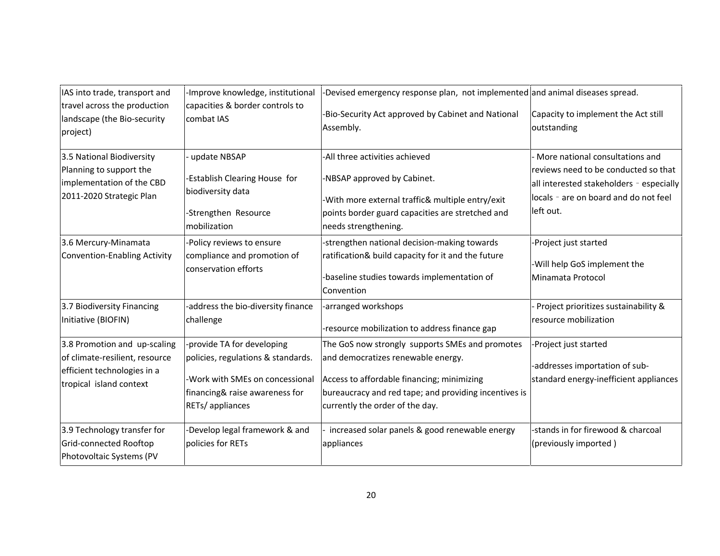| IAS into trade, transport and                                                                                            | -Improve knowledge, institutional                                                                                                                       | Devised emergency response plan, not implemented and animal diseases spread.                                                                                                                                                    |                                                                                                                                                                           |
|--------------------------------------------------------------------------------------------------------------------------|---------------------------------------------------------------------------------------------------------------------------------------------------------|---------------------------------------------------------------------------------------------------------------------------------------------------------------------------------------------------------------------------------|---------------------------------------------------------------------------------------------------------------------------------------------------------------------------|
| travel across the production<br>landscape (the Bio-security<br>project)                                                  | capacities & border controls to<br>combat IAS                                                                                                           | Bio-Security Act approved by Cabinet and National<br>Assembly.                                                                                                                                                                  | Capacity to implement the Act still<br>outstanding                                                                                                                        |
| 3.5 National Biodiversity<br>Planning to support the<br>implementation of the CBD<br>2011-2020 Strategic Plan            | update NBSAP<br>Establish Clearing House for<br>biodiversity data<br>-Strengthen Resource<br>mobilization                                               | All three activities achieved<br>NBSAP approved by Cabinet.<br>-With more external traffic& multiple entry/exit<br>points border guard capacities are stretched and<br>needs strengthening.                                     | More national consultations and<br>reviews need to be conducted so that<br>all interested stakeholders - especially<br>locals - are on board and do not feel<br>left out. |
| 3.6 Mercury-Minamata<br>Convention-Enabling Activity                                                                     | Policy reviews to ensure<br>compliance and promotion of<br>conservation efforts                                                                         | strengthen national decision-making towards<br>ratification& build capacity for it and the future<br>baseline studies towards implementation of<br>Convention                                                                   | -Project just started<br>-Will help GoS implement the<br>Minamata Protocol                                                                                                |
| 3.7 Biodiversity Financing<br>Initiative (BIOFIN)                                                                        | -address the bio-diversity finance<br>challenge                                                                                                         | arranged workshops<br>resource mobilization to address finance gap                                                                                                                                                              | Project prioritizes sustainability &<br>resource mobilization                                                                                                             |
| 3.8 Promotion and up-scaling<br>of climate-resilient, resource<br>efficient technologies in a<br>tropical island context | -provide TA for developing<br>policies, regulations & standards.<br>Work with SMEs on concessional<br>financing& raise awareness for<br>RETs/appliances | The GoS now strongly supports SMEs and promotes<br>and democratizes renewable energy.<br>Access to affordable financing; minimizing<br>bureaucracy and red tape; and providing incentives is<br>currently the order of the day. | Project just started<br>-addresses importation of sub-<br>standard energy-inefficient appliances                                                                          |
| 3.9 Technology transfer for<br>Grid-connected Rooftop<br>Photovoltaic Systems (PV                                        | Develop legal framework & and<br>policies for RETs                                                                                                      | increased solar panels & good renewable energy<br>appliances                                                                                                                                                                    | -stands in for firewood & charcoal<br>(previously imported)                                                                                                               |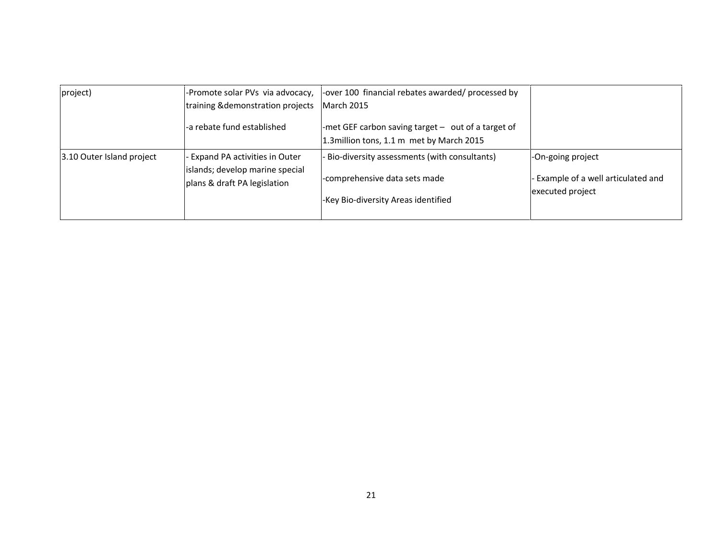| project)                  | -Promote solar PVs via advocacy,                                 | -over 100 financial rebates awarded/ processed by                                                 |                                                         |
|---------------------------|------------------------------------------------------------------|---------------------------------------------------------------------------------------------------|---------------------------------------------------------|
|                           | training & demonstration projects                                | March 2015                                                                                        |                                                         |
|                           | -a rebate fund established                                       | -met GEF carbon saving target $-$ out of a target of<br>1.3 million tons, 1.1 m met by March 2015 |                                                         |
| 3.10 Outer Island project | Expand PA activities in Outer<br>islands; develop marine special | Bio-diversity assessments (with consultants)                                                      | -On-going project                                       |
|                           | plans & draft PA legislation                                     | -comprehensive data sets made<br>-Key Bio-diversity Areas identified                              | - Example of a well articulated and<br>executed project |
|                           |                                                                  |                                                                                                   |                                                         |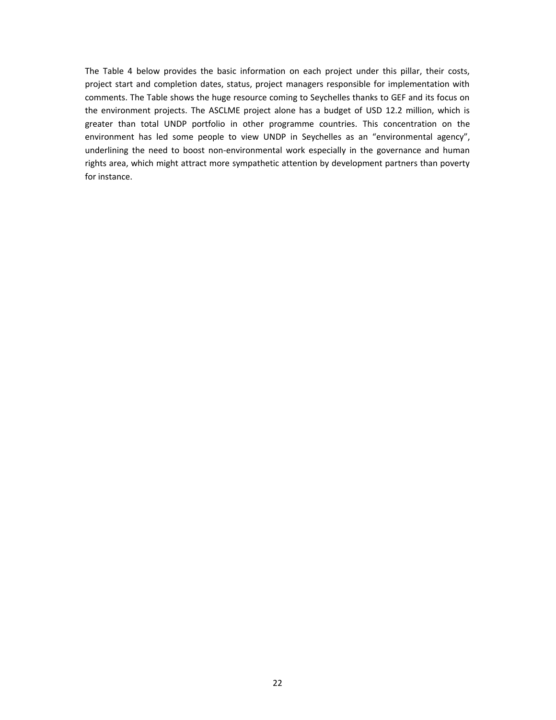The Table 4 below provides the basic information on each project under this pillar, their costs, project start and completion dates, status, project managers responsible for implementation with comments. The Table shows the huge resource coming to Seychelles thanks to GEF and its focus on the environment projects. The ASCLME project alone has a budget of USD 12.2 million, which is greater than total UNDP portfolio in other programme countries. This concentration on the environment has led some people to view UNDP in Seychelles as an "environmental agency", underlining the need to boost non-environmental work especially in the governance and human rights area, which might attract more sympathetic attention by development partners than poverty for instance.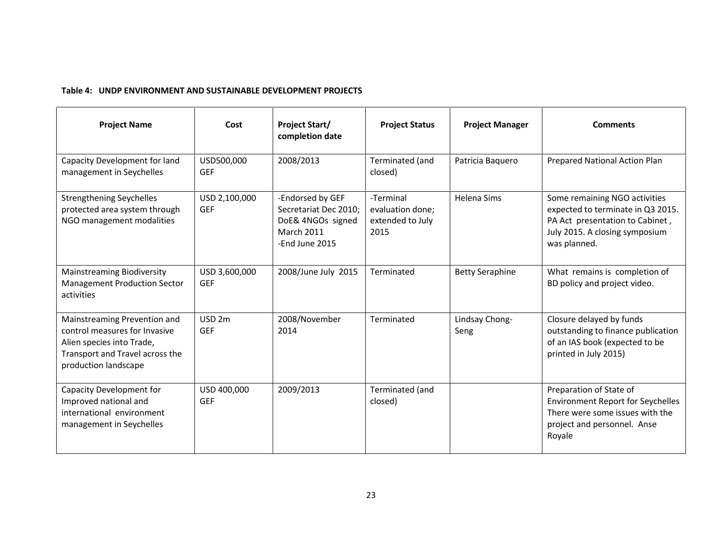## **Table 4: UNDP ENVIRONMENT AND SUSTAINABLE DEVELOPMENT PROJECTS**

| <b>Project Name</b>                                                                                                                                   | Cost                            | <b>Project Start/</b><br>completion date                                                              | <b>Project Status</b>                                     | <b>Project Manager</b> | <b>Comments</b>                                                                                                                                         |
|-------------------------------------------------------------------------------------------------------------------------------------------------------|---------------------------------|-------------------------------------------------------------------------------------------------------|-----------------------------------------------------------|------------------------|---------------------------------------------------------------------------------------------------------------------------------------------------------|
| Capacity Development for land<br>management in Seychelles                                                                                             | USD500,000<br><b>GEF</b>        | 2008/2013                                                                                             | Terminated (and<br>closed)                                | Patricia Baquero       | Prepared National Action Plan                                                                                                                           |
| <b>Strengthening Seychelles</b><br>protected area system through<br>NGO management modalities                                                         | USD 2,100,000<br><b>GEF</b>     | -Endorsed by GEF<br>Secretariat Dec 2010;<br>DoE& 4NGOs signed<br><b>March 2011</b><br>-End June 2015 | -Terminal<br>evaluation done;<br>extended to July<br>2015 | Helena Sims            | Some remaining NGO activities<br>expected to terminate in Q3 2015.<br>PA Act presentation to Cabinet,<br>July 2015. A closing symposium<br>was planned. |
| <b>Mainstreaming Biodiversity</b><br><b>Management Production Sector</b><br>activities                                                                | USD 3,600,000<br><b>GEF</b>     | 2008/June July 2015                                                                                   | Terminated                                                | <b>Betty Seraphine</b> | What remains is completion of<br>BD policy and project video.                                                                                           |
| Mainstreaming Prevention and<br>control measures for Invasive<br>Alien species into Trade,<br>Transport and Travel across the<br>production landscape | USD <sub>2m</sub><br><b>GEF</b> | 2008/November<br>2014                                                                                 | Terminated                                                | Lindsay Chong-<br>Seng | Closure delayed by funds<br>outstanding to finance publication<br>of an IAS book (expected to be<br>printed in July 2015)                               |
| Capacity Development for<br>Improved national and<br>international environment<br>management in Seychelles                                            | USD 400,000<br><b>GEF</b>       | 2009/2013                                                                                             | Terminated (and<br>closed)                                |                        | Preparation of State of<br><b>Environment Report for Seychelles</b><br>There were some issues with the<br>project and personnel. Anse<br>Royale         |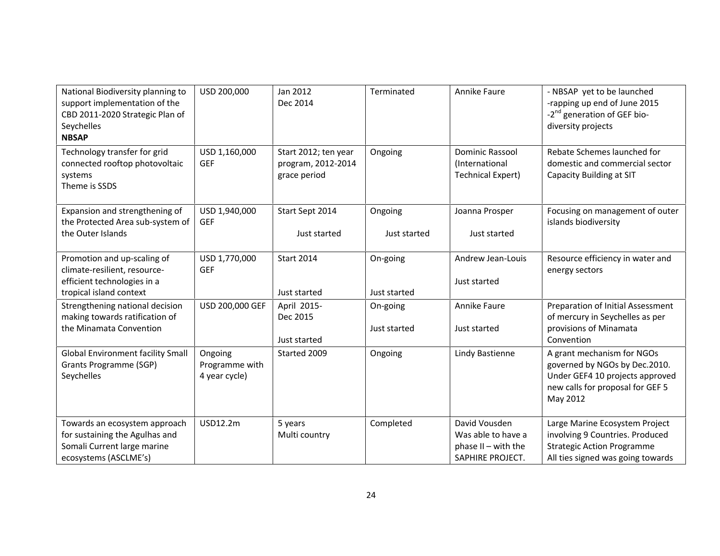| National Biodiversity planning to<br>support implementation of the<br>CBD 2011-2020 Strategic Plan of<br>Seychelles<br><b>NBSAP</b> | USD 200,000                                | Jan 2012<br>Dec 2014                                       | Terminated               | Annike Faure                                                                   | - NBSAP yet to be launched<br>-rapping up end of June 2015<br>-2 <sup>nd</sup> generation of GEF bio-<br>diversity projects                    |
|-------------------------------------------------------------------------------------------------------------------------------------|--------------------------------------------|------------------------------------------------------------|--------------------------|--------------------------------------------------------------------------------|------------------------------------------------------------------------------------------------------------------------------------------------|
| Technology transfer for grid<br>connected rooftop photovoltaic<br>systems<br>Theme is SSDS                                          | USD 1,160,000<br><b>GEF</b>                | Start 2012; ten year<br>program, 2012-2014<br>grace period | Ongoing                  | Dominic Rassool<br>(International<br><b>Technical Expert)</b>                  | Rebate Schemes launched for<br>domestic and commercial sector<br>Capacity Building at SIT                                                      |
| Expansion and strengthening of<br>the Protected Area sub-system of<br>the Outer Islands                                             | USD 1,940,000<br><b>GEF</b>                | Start Sept 2014<br>Just started                            | Ongoing<br>Just started  | Joanna Prosper<br>Just started                                                 | Focusing on management of outer<br>islands biodiversity                                                                                        |
| Promotion and up-scaling of<br>climate-resilient, resource-<br>efficient technologies in a<br>tropical island context               | USD 1,770,000<br><b>GEF</b>                | <b>Start 2014</b><br>Just started                          | On-going<br>Just started | Andrew Jean-Louis<br>Just started                                              | Resource efficiency in water and<br>energy sectors                                                                                             |
| Strengthening national decision<br>making towards ratification of<br>the Minamata Convention                                        | USD 200,000 GEF                            | April 2015-<br>Dec 2015<br>Just started                    | On-going<br>Just started | Annike Faure<br>Just started                                                   | Preparation of Initial Assessment<br>of mercury in Seychelles as per<br>provisions of Minamata<br>Convention                                   |
| <b>Global Environment facility Small</b><br>Grants Programme (SGP)<br>Seychelles                                                    | Ongoing<br>Programme with<br>4 year cycle) | Started 2009                                               | Ongoing                  | Lindy Bastienne                                                                | A grant mechanism for NGOs<br>governed by NGOs by Dec.2010.<br>Under GEF4 10 projects approved<br>new calls for proposal for GEF 5<br>May 2012 |
| Towards an ecosystem approach<br>for sustaining the Agulhas and<br>Somali Current large marine<br>ecosystems (ASCLME's)             | <b>USD12.2m</b>                            | 5 years<br>Multi country                                   | Completed                | David Vousden<br>Was able to have a<br>phase II - with the<br>SAPHIRE PROJECT. | Large Marine Ecosystem Project<br>involving 9 Countries. Produced<br><b>Strategic Action Programme</b><br>All ties signed was going towards    |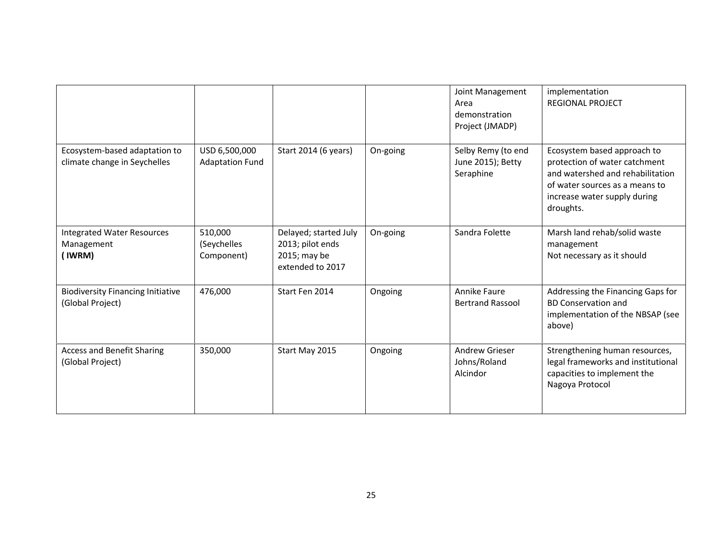|                                                               |                                         |                                                                               |          | Joint Management<br>Area<br>demonstration<br>Project (JMADP) | implementation<br><b>REGIONAL PROJECT</b>                                                                                                                                       |
|---------------------------------------------------------------|-----------------------------------------|-------------------------------------------------------------------------------|----------|--------------------------------------------------------------|---------------------------------------------------------------------------------------------------------------------------------------------------------------------------------|
| Ecosystem-based adaptation to<br>climate change in Seychelles | USD 6,500,000<br><b>Adaptation Fund</b> | Start 2014 (6 years)                                                          | On-going | Selby Remy (to end<br>June 2015); Betty<br>Seraphine         | Ecosystem based approach to<br>protection of water catchment<br>and watershed and rehabilitation<br>of water sources as a means to<br>increase water supply during<br>droughts. |
| <b>Integrated Water Resources</b><br>Management<br>(IWRM)     | 510,000<br>(Seychelles<br>Component)    | Delayed; started July<br>2013; pilot ends<br>2015; may be<br>extended to 2017 | On-going | Sandra Folette                                               | Marsh land rehab/solid waste<br>management<br>Not necessary as it should                                                                                                        |
| <b>Biodiversity Financing Initiative</b><br>(Global Project)  | 476,000                                 | Start Fen 2014                                                                | Ongoing  | Annike Faure<br><b>Bertrand Rassool</b>                      | Addressing the Financing Gaps for<br><b>BD Conservation and</b><br>implementation of the NBSAP (see<br>above)                                                                   |
| <b>Access and Benefit Sharing</b><br>(Global Project)         | 350,000                                 | Start May 2015                                                                | Ongoing  | <b>Andrew Grieser</b><br>Johns/Roland<br>Alcindor            | Strengthening human resources,<br>legal frameworks and institutional<br>capacities to implement the<br>Nagoya Protocol                                                          |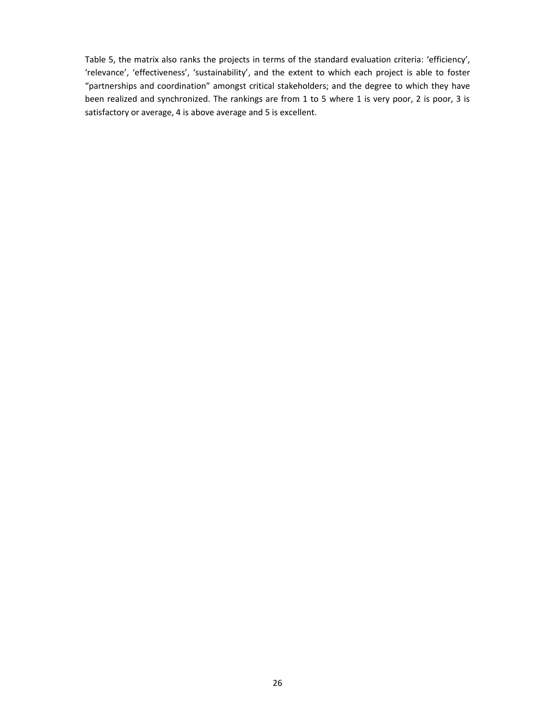Table 5, the matrix also ranks the projects in terms of the standard evaluation criteria: 'efficiency', 'relevance', 'effectiveness', 'sustainability', and the extent to which each project is able to foster "partnerships and coordination" amongst critical stakeholders; and the degree to which they have been realized and synchronized. The rankings are from 1 to 5 where 1 is very poor, 2 is poor, 3 is satisfactory or average, 4 is above average and 5 is excellent.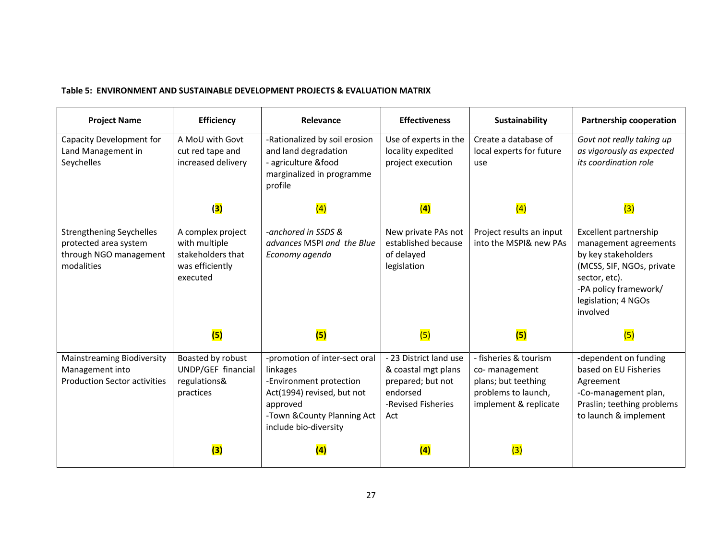# **Table 5: ENVIRONMENT AND SUSTAINABLE DEVELOPMENT PROJECTS & EVALUATION MATRIX**

| <b>Project Name</b>                                                                              | <b>Efficiency</b>                                                                      | Relevance                                                                                                                                                              | <b>Effectiveness</b>                                                                                        | Sustainability                                                                                                | Partnership cooperation                                                                                                                                                         |
|--------------------------------------------------------------------------------------------------|----------------------------------------------------------------------------------------|------------------------------------------------------------------------------------------------------------------------------------------------------------------------|-------------------------------------------------------------------------------------------------------------|---------------------------------------------------------------------------------------------------------------|---------------------------------------------------------------------------------------------------------------------------------------------------------------------------------|
| Capacity Development for<br>Land Management in<br>Seychelles                                     | A MoU with Govt<br>cut red tape and<br>increased delivery                              | -Rationalized by soil erosion<br>and land degradation<br>- agriculture &food<br>marginalized in programme<br>profile                                                   | Use of experts in the<br>locality expedited<br>project execution                                            | Create a database of<br>local experts for future<br>use                                                       | Govt not really taking up<br>as vigorously as expected<br><i>its coordination role</i>                                                                                          |
|                                                                                                  | (3)                                                                                    | (4)                                                                                                                                                                    | (4)                                                                                                         | (4)                                                                                                           | (3)                                                                                                                                                                             |
| <b>Strengthening Seychelles</b><br>protected area system<br>through NGO management<br>modalities | A complex project<br>with multiple<br>stakeholders that<br>was efficiently<br>executed | -anchored in SSDS &<br>advances MSPI and the Blue<br>Economy agenda                                                                                                    | New private PAs not<br>established because<br>of delayed<br>legislation                                     | Project results an input<br>into the MSPI& new PAs                                                            | Excellent partnership<br>management agreements<br>by key stakeholders<br>(MCSS, SIF, NGOs, private<br>sector, etc).<br>-PA policy framework/<br>legislation; 4 NGOs<br>involved |
|                                                                                                  | (5)                                                                                    | (5)                                                                                                                                                                    | (5)                                                                                                         | (5)                                                                                                           | (5)                                                                                                                                                                             |
| <b>Mainstreaming Biodiversity</b><br>Management into<br><b>Production Sector activities</b>      | Boasted by robust<br>UNDP/GEF financial<br>regulations&<br>practices                   | -promotion of inter-sect oral<br>linkages<br>-Environment protection<br>Act(1994) revised, but not<br>approved<br>-Town & County Planning Act<br>include bio-diversity | - 23 District land use<br>& coastal mgt plans<br>prepared; but not<br>endorsed<br>-Revised Fisheries<br>Act | - fisheries & tourism<br>co-management<br>plans; but teething<br>problems to launch,<br>implement & replicate | -dependent on funding<br>based on EU Fisheries<br>Agreement<br>-Co-management plan,<br>Praslin; teething problems<br>to launch & implement                                      |
|                                                                                                  | (3)                                                                                    | (4)                                                                                                                                                                    | (4)                                                                                                         | (3)                                                                                                           |                                                                                                                                                                                 |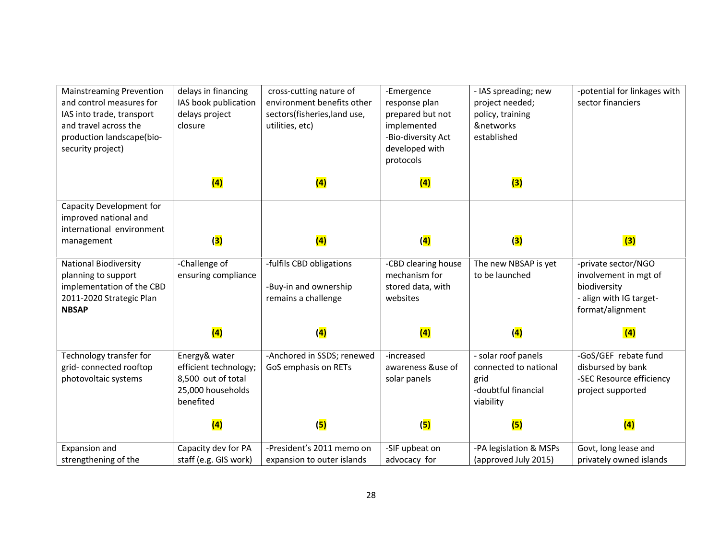| <b>Mainstreaming Prevention</b><br>and control measures for<br>IAS into trade, transport<br>and travel across the<br>production landscape(bio-<br>security project) | delays in financing<br>IAS book publication<br>delays project<br>closure                       | cross-cutting nature of<br>environment benefits other<br>sectors(fisheries,land use,<br>utilities, etc) | -Emergence<br>response plan<br>prepared but not<br>implemented<br>-Bio-diversity Act<br>developed with<br>protocols | - IAS spreading; new<br>project needed;<br>policy, training<br>&networks<br>established  | -potential for linkages with<br>sector financiers                                                           |
|---------------------------------------------------------------------------------------------------------------------------------------------------------------------|------------------------------------------------------------------------------------------------|---------------------------------------------------------------------------------------------------------|---------------------------------------------------------------------------------------------------------------------|------------------------------------------------------------------------------------------|-------------------------------------------------------------------------------------------------------------|
|                                                                                                                                                                     | (4)                                                                                            | (4)                                                                                                     | (4)                                                                                                                 | (3)                                                                                      |                                                                                                             |
| Capacity Development for<br>improved national and<br>international environment<br>management                                                                        | (3)                                                                                            | (4)                                                                                                     | (4)                                                                                                                 | (3)                                                                                      | (3)                                                                                                         |
|                                                                                                                                                                     |                                                                                                |                                                                                                         |                                                                                                                     |                                                                                          |                                                                                                             |
| <b>National Biodiversity</b><br>planning to support<br>implementation of the CBD<br>2011-2020 Strategic Plan<br><b>NBSAP</b>                                        | -Challenge of<br>ensuring compliance                                                           | -fulfils CBD obligations<br>-Buy-in and ownership<br>remains a challenge                                | -CBD clearing house<br>mechanism for<br>stored data, with<br>websites                                               | The new NBSAP is yet<br>to be launched                                                   | -private sector/NGO<br>involvement in mgt of<br>biodiversity<br>- align with IG target-<br>format/alignment |
|                                                                                                                                                                     | (4)                                                                                            | (4)                                                                                                     | (4)                                                                                                                 | (4)                                                                                      | (4)                                                                                                         |
| Technology transfer for<br>grid-connected rooftop<br>photovoltaic systems                                                                                           | Energy& water<br>efficient technology;<br>8,500 out of total<br>25,000 households<br>benefited | -Anchored in SSDS; renewed<br>GoS emphasis on RETs                                                      | -increased<br>awareness &use of<br>solar panels                                                                     | - solar roof panels<br>connected to national<br>grid<br>-doubtful financial<br>viability | -GoS/GEF rebate fund<br>disbursed by bank<br>-SEC Resource efficiency<br>project supported                  |
|                                                                                                                                                                     | (4)                                                                                            | (5)                                                                                                     | (5)                                                                                                                 | (5)                                                                                      | (4)                                                                                                         |
| Expansion and                                                                                                                                                       | Capacity dev for PA                                                                            | -President's 2011 memo on                                                                               | -SIF upbeat on                                                                                                      | -PA legislation & MSPs                                                                   | Govt, long lease and                                                                                        |
| strengthening of the                                                                                                                                                | staff (e.g. GIS work)                                                                          | expansion to outer islands                                                                              | advocacy for                                                                                                        | (approved July 2015)                                                                     | privately owned islands                                                                                     |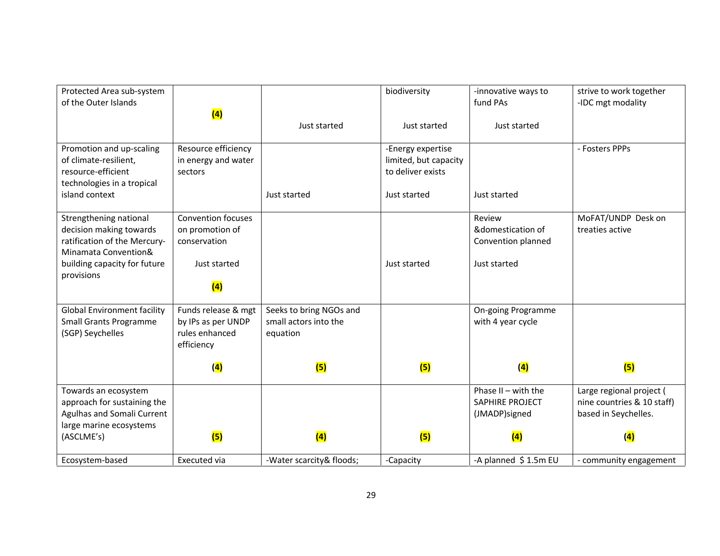| Protected Area sub-system<br>of the Outer Islands                                                         |                                                                           |                                                              | biodiversity                                                    | -innovative ways to<br>fund PAs                           | strive to work together<br>-IDC mgt modality                                   |
|-----------------------------------------------------------------------------------------------------------|---------------------------------------------------------------------------|--------------------------------------------------------------|-----------------------------------------------------------------|-----------------------------------------------------------|--------------------------------------------------------------------------------|
|                                                                                                           | (4)                                                                       | Just started                                                 | Just started                                                    | Just started                                              |                                                                                |
| Promotion and up-scaling<br>of climate-resilient,<br>resource-efficient<br>technologies in a tropical     | Resource efficiency<br>in energy and water<br>sectors                     |                                                              | -Energy expertise<br>limited, but capacity<br>to deliver exists |                                                           | - Fosters PPPs                                                                 |
| island context                                                                                            |                                                                           | Just started                                                 | Just started                                                    | Just started                                              |                                                                                |
| Strengthening national<br>decision making towards<br>ratification of the Mercury-<br>Minamata Convention& | <b>Convention focuses</b><br>on promotion of<br>conservation              |                                                              |                                                                 | Review<br>&domestication of<br>Convention planned         | MoFAT/UNDP Desk on<br>treaties active                                          |
| building capacity for future<br>provisions                                                                | Just started<br>(4)                                                       |                                                              | Just started                                                    | Just started                                              |                                                                                |
| <b>Global Environment facility</b><br><b>Small Grants Programme</b><br>(SGP) Seychelles                   | Funds release & mgt<br>by IPs as per UNDP<br>rules enhanced<br>efficiency | Seeks to bring NGOs and<br>small actors into the<br>equation |                                                                 | <b>On-going Programme</b><br>with 4 year cycle            |                                                                                |
|                                                                                                           | (4)                                                                       | (5)                                                          | (5)                                                             | (4)                                                       | (5)                                                                            |
| Towards an ecosystem<br>approach for sustaining the<br>Agulhas and Somali Current                         |                                                                           |                                                              |                                                                 | Phase $II - with the$<br>SAPHIRE PROJECT<br>(JMADP)signed | Large regional project (<br>nine countries & 10 staff)<br>based in Seychelles. |
| large marine ecosystems<br>(ASCLME's)                                                                     | (5)                                                                       | (4)                                                          | (5)                                                             | (4)                                                       | (4)                                                                            |
| Ecosystem-based                                                                                           | Executed via                                                              | -Water scarcity& floods;                                     | -Capacity                                                       | -A planned \$1.5m EU                                      | - community engagement                                                         |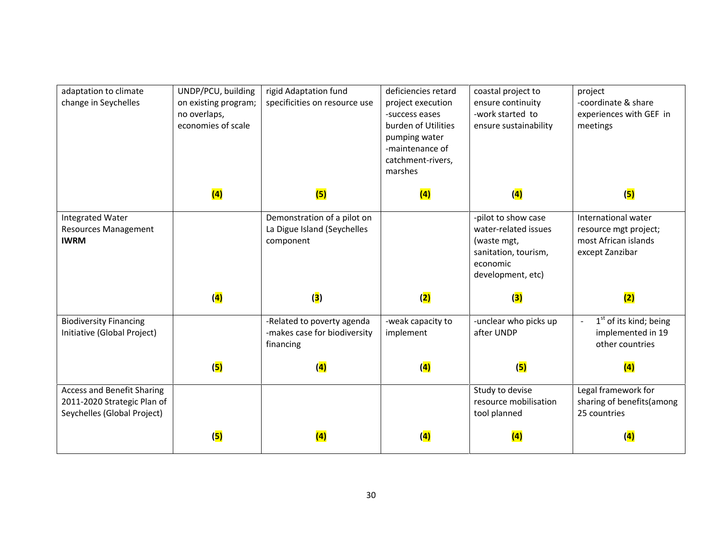| adaptation to climate<br>change in Seychelles                                            | UNDP/PCU, building<br>on existing program;<br>no overlaps,<br>economies of scale | rigid Adaptation fund<br>specificities on resource use                  | deficiencies retard<br>project execution<br>-success eases<br>burden of Utilities<br>pumping water<br>-maintenance of<br>catchment-rivers,<br>marshes | coastal project to<br>ensure continuity<br>-work started to<br>ensure sustainability                                | project<br>-coordinate & share<br>experiences with GEF in<br>meetings                   |
|------------------------------------------------------------------------------------------|----------------------------------------------------------------------------------|-------------------------------------------------------------------------|-------------------------------------------------------------------------------------------------------------------------------------------------------|---------------------------------------------------------------------------------------------------------------------|-----------------------------------------------------------------------------------------|
|                                                                                          | (4)                                                                              | (5)                                                                     | (4)                                                                                                                                                   | (4)                                                                                                                 | (5)                                                                                     |
| <b>Integrated Water</b><br><b>Resources Management</b><br><b>IWRM</b>                    |                                                                                  | Demonstration of a pilot on<br>La Digue Island (Seychelles<br>component |                                                                                                                                                       | -pilot to show case<br>water-related issues<br>(waste mgt,<br>sanitation, tourism,<br>economic<br>development, etc) | International water<br>resource mgt project;<br>most African islands<br>except Zanzibar |
|                                                                                          | (4)                                                                              | (3)                                                                     | (2)                                                                                                                                                   | (3)                                                                                                                 | (2)                                                                                     |
| <b>Biodiversity Financing</b><br>Initiative (Global Project)                             |                                                                                  | -Related to poverty agenda<br>-makes case for biodiversity<br>financing | -weak capacity to<br>implement                                                                                                                        | -unclear who picks up<br>after UNDP                                                                                 | 1 <sup>st</sup> of its kind; being<br>implemented in 19<br>other countries              |
|                                                                                          | (5)                                                                              | (4)                                                                     | (4)                                                                                                                                                   | (5)                                                                                                                 | (4)                                                                                     |
| Access and Benefit Sharing<br>2011-2020 Strategic Plan of<br>Seychelles (Global Project) |                                                                                  |                                                                         |                                                                                                                                                       | Study to devise<br>resource mobilisation<br>tool planned                                                            | Legal framework for<br>sharing of benefits(among<br>25 countries                        |
|                                                                                          | (5)                                                                              | (4)                                                                     | (4)                                                                                                                                                   | (4)                                                                                                                 | (4)                                                                                     |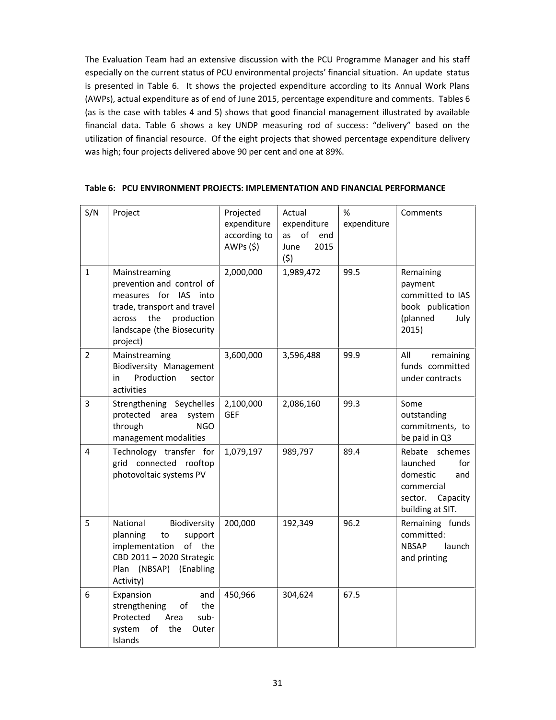The Evaluation Team had an extensive discussion with the PCU Programme Manager and his staff especially on the current status of PCU environmental projects' financial situation. An update status is presented in Table 6. It shows the projected expenditure according to its Annual Work Plans (AWPs), actual expenditure as of end of June 2015, percentage expenditure and comments. Tables 6 (as is the case with tables 4 and 5) shows that good financial management illustrated by available financial data. Table 6 shows a key UNDP measuring rod of success: "delivery" based on the utilization of financial resource. Of the eight projects that showed percentage expenditure delivery was high; four projects delivered above 90 per cent and one at 89%.

| S/N            | Project                                                                                                                                                                  | Projected<br>expenditure<br>according to<br>AWPs(5) | Actual<br>expenditure<br>as of<br>end<br>2015<br>June<br>(5) | $\%$<br>expenditure | Comments                                                                                                      |
|----------------|--------------------------------------------------------------------------------------------------------------------------------------------------------------------------|-----------------------------------------------------|--------------------------------------------------------------|---------------------|---------------------------------------------------------------------------------------------------------------|
| $\mathbf{1}$   | Mainstreaming<br>prevention and control of<br>measures for IAS into<br>trade, transport and travel<br>across the<br>production<br>landscape (the Biosecurity<br>project) | 2,000,000                                           | 1,989,472                                                    | 99.5                | Remaining<br>payment<br>committed to IAS<br>book publication<br>(planned<br>July<br>2015)                     |
| $\overline{2}$ | Mainstreaming<br>Biodiversity Management<br>Production<br>in<br>sector<br>activities                                                                                     | 3,600,000                                           | 3,596,488                                                    | 99.9                | All<br>remaining<br>funds committed<br>under contracts                                                        |
| $\overline{3}$ | Strengthening Seychelles<br>protected area<br>system<br>through<br><b>NGO</b><br>management modalities                                                                   | 2,100,000<br><b>GEF</b>                             | 2,086,160                                                    | 99.3                | Some<br>outstanding<br>commitments, to<br>be paid in Q3                                                       |
| 4              | Technology transfer for<br>grid connected rooftop<br>photovoltaic systems PV                                                                                             | 1,079,197                                           | 989,797                                                      | 89.4                | Rebate schemes<br>launched<br>for<br>domestic<br>and<br>commercial<br>Capacity<br>sector.<br>building at SIT. |
| 5              | Biodiversity<br>National<br>planning<br>to<br>support<br>of the<br>implementation<br>CBD 2011 - 2020 Strategic<br>Plan (NBSAP) (Enabling<br>Activity)                    | 200,000                                             | 192,349                                                      | 96.2                | Remaining funds<br>committed:<br><b>NBSAP</b><br>launch<br>and printing                                       |
| 6              | Expansion<br>and<br>the<br>strengthening<br>οf<br>Protected<br>sub-<br>Area<br>system<br>of<br>the<br>Outer<br>Islands                                                   | 450,966                                             | 304,624                                                      | 67.5                |                                                                                                               |

#### **Table 6: PCU ENVIRONMENT PROJECTS: IMPLEMENTATION AND FINANCIAL PERFORMANCE**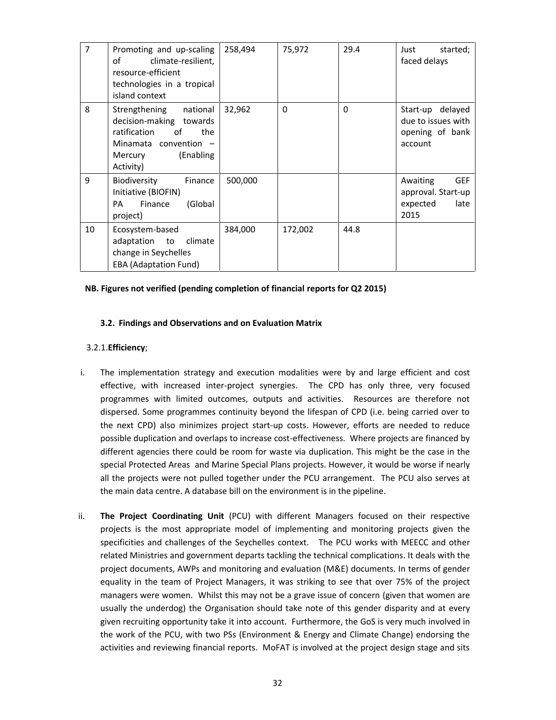| $\overline{7}$ | Promoting and up-scaling<br>οf<br>climate-resilient,<br>resource-efficient<br>technologies in a tropical<br>island context                      | 258,494 | 75,972   | 29.4     | Just<br>started;<br>faced delays                                         |
|----------------|-------------------------------------------------------------------------------------------------------------------------------------------------|---------|----------|----------|--------------------------------------------------------------------------|
| 8              | Strengthening<br>national<br>decision-making towards<br>ratification<br>of<br>the<br>Minamata convention -<br>(Enabling<br>Mercury<br>Activity) | 32,962  | $\Omega$ | $\Omega$ | delayed<br>Start-up<br>due to issues with<br>opening of bank<br>account  |
| 9              | Biodiversity<br>Finance<br>Initiative (BIOFIN)<br>PA<br>Finance<br>(Global<br>project)                                                          | 500,000 |          |          | <b>GEF</b><br>Awaiting<br>approval. Start-up<br>late<br>expected<br>2015 |
| 10             | Ecosystem-based<br>adaptation to<br>climate<br>change in Seychelles<br><b>EBA (Adaptation Fund)</b>                                             | 384,000 | 172,002  | 44.8     |                                                                          |

#### **NB. Figures not verified (pending completion of financial reports for Q2 2015)**

#### **3.2. Findings and Observations and on Evaluation Matrix**

#### 3.2.1.**Efficiency**;

- i. The implementation strategy and execution modalities were by and large efficient and cost effective, with increased inter-project synergies. The CPD has only three, very focused programmes with limited outcomes, outputs and activities. Resources are therefore not dispersed. Some programmes continuity beyond the lifespan of CPD (i.e. being carried over to the next CPD) also minimizes project start-up costs. However, efforts are needed to reduce possible duplication and overlaps to increase cost-effectiveness. Where projects are financed by different agencies there could be room for waste via duplication. This might be the case in the special Protected Areas and Marine Special Plans projects. However, it would be worse if nearly all the projects were not pulled together under the PCU arrangement. The PCU also serves at the main data centre. A database bill on the environment is in the pipeline.
- ii. **The Project Coordinating Unit** (PCU) with different Managers focused on their respective projects is the most appropriate model of implementing and monitoring projects given the specificities and challenges of the Seychelles context. The PCU works with MEECC and other related Ministries and government departs tackling the technical complications. It deals with the project documents, AWPs and monitoring and evaluation (M&E) documents. In terms of gender equality in the team of Project Managers, it was striking to see that over 75% of the project managers were women. Whilst this may not be a grave issue of concern (given that women are usually the underdog) the Organisation should take note of this gender disparity and at every given recruiting opportunity take it into account. Furthermore, the GoS is very much involved in the work of the PCU, with two PSs (Environment & Energy and Climate Change) endorsing the activities and reviewing financial reports. MoFAT is involved at the project design stage and sits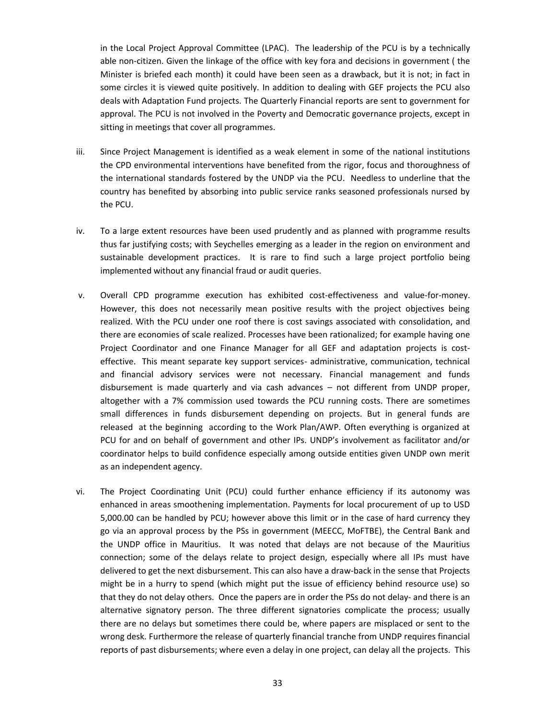in the Local Project Approval Committee (LPAC). The leadership of the PCU is by a technically able non-citizen. Given the linkage of the office with key fora and decisions in government ( the Minister is briefed each month) it could have been seen as a drawback, but it is not; in fact in some circles it is viewed quite positively. In addition to dealing with GEF projects the PCU also deals with Adaptation Fund projects. The Quarterly Financial reports are sent to government for approval. The PCU is not involved in the Poverty and Democratic governance projects, except in sitting in meetings that cover all programmes.

- iii. Since Project Management is identified as a weak element in some of the national institutions the CPD environmental interventions have benefited from the rigor, focus and thoroughness of the international standards fostered by the UNDP via the PCU. Needless to underline that the country has benefited by absorbing into public service ranks seasoned professionals nursed by the PCU.
- iv. To a large extent resources have been used prudently and as planned with programme results thus far justifying costs; with Seychelles emerging as a leader in the region on environment and sustainable development practices. It is rare to find such a large project portfolio being implemented without any financial fraud or audit queries.
- v. Overall CPD programme execution has exhibited cost-effectiveness and value-for-money. However, this does not necessarily mean positive results with the project objectives being realized. With the PCU under one roof there is cost savings associated with consolidation, and there are economies of scale realized. Processes have been rationalized; for example having one Project Coordinator and one Finance Manager for all GEF and adaptation projects is cost effective. This meant separate key support services- administrative, communication, technical and financial advisory services were not necessary. Financial management and funds disbursement is made quarterly and via cash advances – not different from UNDP proper, altogether with a 7% commission used towards the PCU running costs. There are sometimes small differences in funds disbursement depending on projects. But in general funds are released at the beginning according to the Work Plan/AWP. Often everything is organized at PCU for and on behalf of government and other IPs. UNDP's involvement as facilitator and/or coordinator helps to build confidence especially among outside entities given UNDP own merit as an independent agency.
- vi. The Project Coordinating Unit (PCU) could further enhance efficiency if its autonomy was enhanced in areas smoothening implementation. Payments for local procurement of up to USD 5,000.00 can be handled by PCU; however above this limit or in the case of hard currency they go via an approval process by the PSs in government (MEECC, MoFTBE), the Central Bank and the UNDP office in Mauritius. It was noted that delays are not because of the Mauritius connection; some of the delays relate to project design, especially where all IPs must have delivered to get the next disbursement. This can also have a draw-back in the sense that Projects might be in a hurry to spend (which might put the issue of efficiency behind resource use) so that they do not delay others. Once the papers are in order the PSs do not delay- and there is an alternative signatory person. The three different signatories complicate the process; usually there are no delays but sometimes there could be, where papers are misplaced or sent to the wrong desk. Furthermore the release of quarterly financial tranche from UNDP requires financial reports of past disbursements; where even a delay in one project, can delay all the projects. This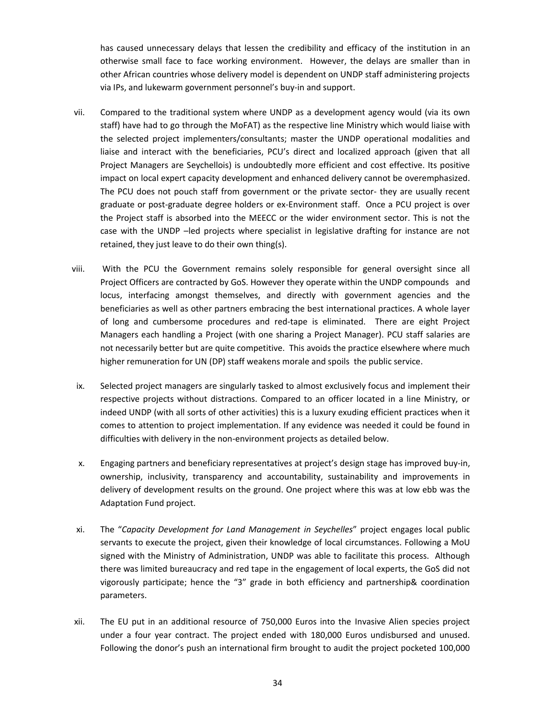has caused unnecessary delays that lessen the credibility and efficacy of the institution in an otherwise small face to face working environment. However, the delays are smaller than in other African countries whose delivery model is dependent on UNDP staff administering projects via IPs, and lukewarm government personnel's buy-in and support.

- vii. Compared to the traditional system where UNDP as a development agency would (via its own staff) have had to go through the MoFAT) as the respective line Ministry which would liaise with the selected project implementers/consultants; master the UNDP operational modalities and liaise and interact with the beneficiaries, PCU's direct and localized approach (given that all Project Managers are Seychellois) is undoubtedly more efficient and cost effective. Its positive impact on local expert capacity development and enhanced delivery cannot be overemphasized. The PCU does not pouch staff from government or the private sector- they are usually recent graduate or post-graduate degree holders or ex-Environment staff. Once a PCU project is over the Project staff is absorbed into the MEECC or the wider environment sector. This is not the case with the UNDP –led projects where specialist in legislative drafting for instance are not retained, they just leave to do their own thing(s).
- viii. With the PCU the Government remains solely responsible for general oversight since all Project Officers are contracted by GoS. However they operate within the UNDP compounds and locus, interfacing amongst themselves, and directly with government agencies and the beneficiaries as well as other partners embracing the best international practices. A whole layer of long and cumbersome procedures and red-tape is eliminated. There are eight Project Managers each handling a Project (with one sharing a Project Manager). PCU staff salaries are not necessarily better but are quite competitive. This avoids the practice elsewhere where much higher remuneration for UN (DP) staff weakens morale and spoils the public service.
- ix. Selected project managers are singularly tasked to almost exclusively focus and implement their respective projects without distractions. Compared to an officer located in a line Ministry, or indeed UNDP (with all sorts of other activities) this is a luxury exuding efficient practices when it comes to attention to project implementation. If any evidence was needed it could be found in difficulties with delivery in the non-environment projects as detailed below.
- x. Engaging partners and beneficiary representatives at project's design stage has improved buy-in, ownership, inclusivity, transparency and accountability, sustainability and improvements in delivery of development results on the ground. One project where this was at low ebb was the Adaptation Fund project.
- xi. The "*Capacity Development for Land Management in Seychelles*" project engages local public servants to execute the project, given their knowledge of local circumstances. Following a MoU signed with the Ministry of Administration, UNDP was able to facilitate this process. Although there was limited bureaucracy and red tape in the engagement of local experts, the GoS did not vigorously participate; hence the "3" grade in both efficiency and partnership& coordination parameters.
- xii. The EU put in an additional resource of 750,000 Euros into the Invasive Alien species project under a four year contract. The project ended with 180,000 Euros undisbursed and unused. Following the donor's push an international firm brought to audit the project pocketed 100,000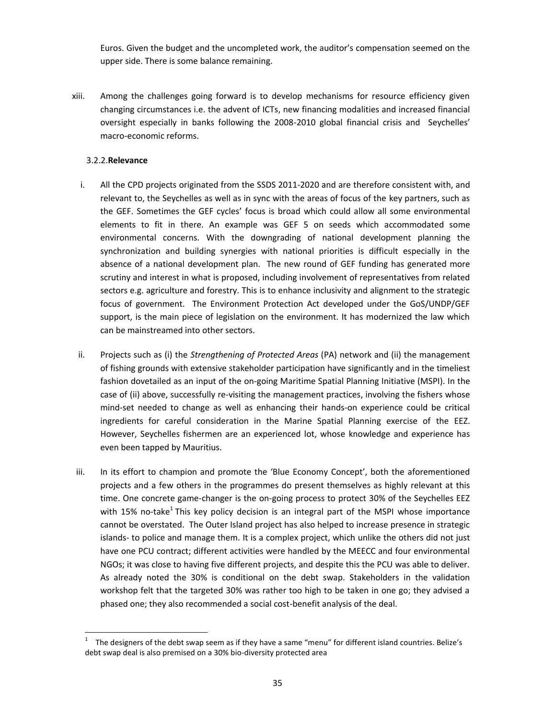Euros. Given the budget and the uncompleted work, the auditor's compensation seemed on the upper side. There is some balance remaining.

xiii. Among the challenges going forward is to develop mechanisms for resource efficiency given changing circumstances i.e. the advent of ICTs, new financing modalities and increased financial oversight especially in banks following the 2008-2010 global financial crisis and Seychelles' macro-economic reforms.

#### 3.2.2.**Relevance**

- i. All the CPD projects originated from the SSDS 2011-2020 and are therefore consistent with, and relevant to, the Seychelles as well as in sync with the areas of focus of the key partners, such as the GEF. Sometimes the GEF cycles' focus is broad which could allow all some environmental elements to fit in there. An example was GEF 5 on seeds which accommodated some environmental concerns. With the downgrading of national development planning the synchronization and building synergies with national priorities is difficult especially in the absence of a national development plan. The new round of GEF funding has generated more scrutiny and interest in what is proposed, including involvement of representatives from related sectors e.g. agriculture and forestry. This is to enhance inclusivity and alignment to the strategic focus of government. The Environment Protection Act developed under the GoS/UNDP/GEF support, is the main piece of legislation on the environment. It has modernized the law which can be mainstreamed into other sectors.
- ii. Projects such as (i) the *Strengthening of Protected Areas* (PA) network and (ii) the management of fishing grounds with extensive stakeholder participation have significantly and in the timeliest fashion dovetailed as an input of the on-going Maritime Spatial Planning Initiative (MSPI). In the case of (ii) above, successfully re-visiting the management practices, involving the fishers whose mind-set needed to change as well as enhancing their hands-on experience could be critical ingredients for careful consideration in the Marine Spatial Planning exercise of the EEZ. However, Seychelles fishermen are an experienced lot, whose knowledge and experience has even been tapped by Mauritius.
- iii. In its effort to champion and promote the 'Blue Economy Concept', both the aforementioned projects and a few others in the programmes do present themselves as highly relevant at this time. One concrete game-changer is the on-going process to protect 30% of the Seychelles EEZ with 15% no-take<sup>1</sup> This key policy decision is an integral part of the MSPI whose importance cannot be overstated. The Outer Island project has also helped to increase presence in strategic islands- to police and manage them. It is a complex project, which unlike the others did not just have one PCU contract; different activities were handled by the MEECC and four environmental NGOs; it was close to having five different projects, and despite this the PCU was able to deliver. As already noted the 30% is conditional on the debt swap. Stakeholders in the validation workshop felt that the targeted 30% was rather too high to be taken in one go; they advised a phased one; they also recommended a social cost-benefit analysis of the deal.

The designers of the debt swap seem as if they have a same "menu" for different island countries. Belize's debt swap deal is also premised on a 30% bio-diversity protected area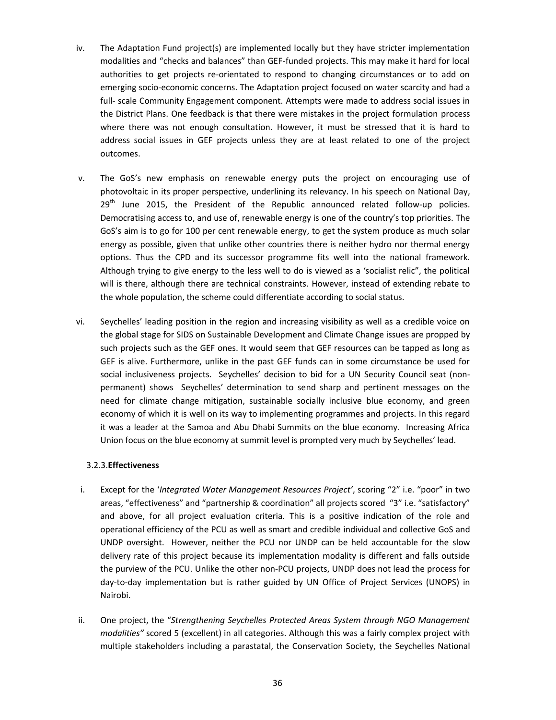- iv. The Adaptation Fund project(s) are implemented locally but they have stricter implementation modalities and "checks and balances" than GEF-funded projects. This may make it hard for local authorities to get projects re-orientated to respond to changing circumstances or to add on emerging socio-economic concerns. The Adaptation project focused on water scarcity and had a full- scale Community Engagement component. Attempts were made to address social issues in the District Plans. One feedback is that there were mistakes in the project formulation process where there was not enough consultation. However, it must be stressed that it is hard to address social issues in GEF projects unless they are at least related to one of the project outcomes.
- v. The GoS's new emphasis on renewable energy puts the project on encouraging use of photovoltaic in its proper perspective, underlining its relevancy. In his speech on National Day,  $29<sup>th</sup>$  June 2015, the President of the Republic announced related follow-up policies. Democratising access to, and use of, renewable energy is one of the country's top priorities. The GoS's aim is to go for 100 per cent renewable energy, to get the system produce as much solar energy as possible, given that unlike other countries there is neither hydro nor thermal energy options. Thus the CPD and its successor programme fits well into the national framework. Although trying to give energy to the less well to do is viewed as a 'socialist relic", the political will is there, although there are technical constraints. However, instead of extending rebate to the whole population, the scheme could differentiate according to social status.
- vi. Seychelles' leading position in the region and increasing visibility as well as a credible voice on the global stage for SIDS on Sustainable Development and Climate Change issues are propped by such projects such as the GEF ones. It would seem that GEF resources can be tapped as long as GEF is alive. Furthermore, unlike in the past GEF funds can in some circumstance be used for social inclusiveness projects. Seychelles' decision to bid for a UN Security Council seat (non permanent) shows Seychelles' determination to send sharp and pertinent messages on the need for climate change mitigation, sustainable socially inclusive blue economy, and green economy of which it is well on its way to implementing programmes and projects. In this regard it was a leader at the Samoa and Abu Dhabi Summits on the blue economy. Increasing Africa Union focus on the blue economy at summit level is prompted very much by Seychelles' lead.

#### 3.2.3.**Effectiveness**

- i. Except for the '*Integrated Water Management Resources Project'*, scoring "2" i.e. "poor" in two areas, "effectiveness" and "partnership & coordination" all projects scored "3" i.e. "satisfactory" and above, for all project evaluation criteria. This is a positive indication of the role and operational efficiency of the PCU as well as smart and credible individual and collective GoS and UNDP oversight. However, neither the PCU nor UNDP can be held accountable for the slow delivery rate of this project because its implementation modality is different and falls outside the purview of the PCU. Unlike the other non-PCU projects, UNDP does not lead the process for day-to-day implementation but is rather guided by UN Office of Project Services (UNOPS) in Nairobi.
- ii. One project, the "*Strengthening Seychelles Protected Areas System through NGO Management modalities"* scored 5 (excellent) in all categories. Although this was a fairly complex project with multiple stakeholders including a parastatal, the Conservation Society, the Seychelles National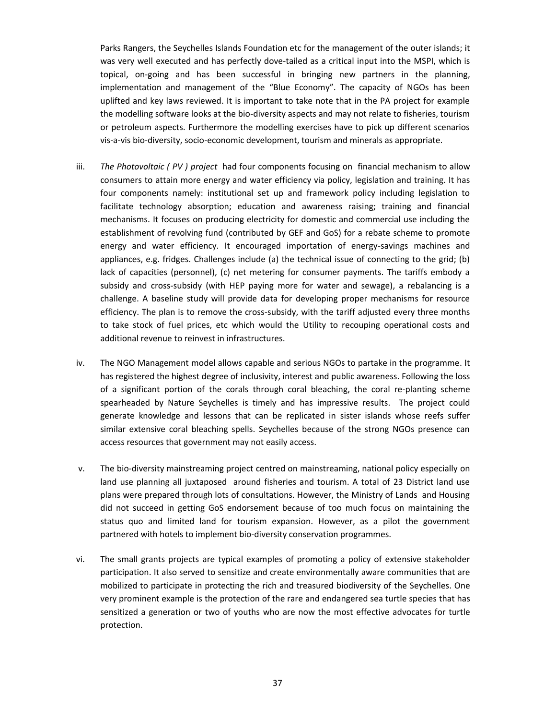Parks Rangers, the Seychelles Islands Foundation etc for the management of the outer islands; it was very well executed and has perfectly dove-tailed as a critical input into the MSPI, which is topical, on-going and has been successful in bringing new partners in the planning, implementation and management of the "Blue Economy". The capacity of NGOs has been uplifted and key laws reviewed. It is important to take note that in the PA project for example the modelling software looks at the bio-diversity aspects and may not relate to fisheries, tourism or petroleum aspects. Furthermore the modelling exercises have to pick up different scenarios vis-a-vis bio-diversity, socio-economic development, tourism and minerals as appropriate.

- iii. *The Photovoltaic ( PV ) project* had four components focusing on financial mechanism to allow consumers to attain more energy and water efficiency via policy, legislation and training. It has four components namely: institutional set up and framework policy including legislation to facilitate technology absorption; education and awareness raising; training and financial mechanisms. It focuses on producing electricity for domestic and commercial use including the establishment of revolving fund (contributed by GEF and GoS) for a rebate scheme to promote energy and water efficiency. It encouraged importation of energy-savings machines and appliances, e.g. fridges. Challenges include (a) the technical issue of connecting to the grid; (b) lack of capacities (personnel), (c) net metering for consumer payments. The tariffs embody a subsidy and cross-subsidy (with HEP paying more for water and sewage), a rebalancing is a challenge. A baseline study will provide data for developing proper mechanisms for resource efficiency. The plan is to remove the cross-subsidy, with the tariff adjusted every three months to take stock of fuel prices, etc which would the Utility to recouping operational costs and additional revenue to reinvest in infrastructures.
- iv. The NGO Management model allows capable and serious NGOs to partake in the programme. It has registered the highest degree of inclusivity, interest and public awareness. Following the loss of a significant portion of the corals through coral bleaching, the coral re-planting scheme spearheaded by Nature Seychelles is timely and has impressive results. The project could generate knowledge and lessons that can be replicated in sister islands whose reefs suffer similar extensive coral bleaching spells. Seychelles because of the strong NGOs presence can access resources that government may not easily access.
- v. The bio-diversity mainstreaming project centred on mainstreaming, national policy especially on land use planning all juxtaposed around fisheries and tourism. A total of 23 District land use plans were prepared through lots of consultations. However, the Ministry of Lands and Housing did not succeed in getting GoS endorsement because of too much focus on maintaining the status quo and limited land for tourism expansion. However, as a pilot the government partnered with hotels to implement bio-diversity conservation programmes.
- vi. The small grants projects are typical examples of promoting a policy of extensive stakeholder participation. It also served to sensitize and create environmentally aware communities that are mobilized to participate in protecting the rich and treasured biodiversity of the Seychelles. One very prominent example is the protection of the rare and endangered sea turtle species that has sensitized a generation or two of youths who are now the most effective advocates for turtle protection.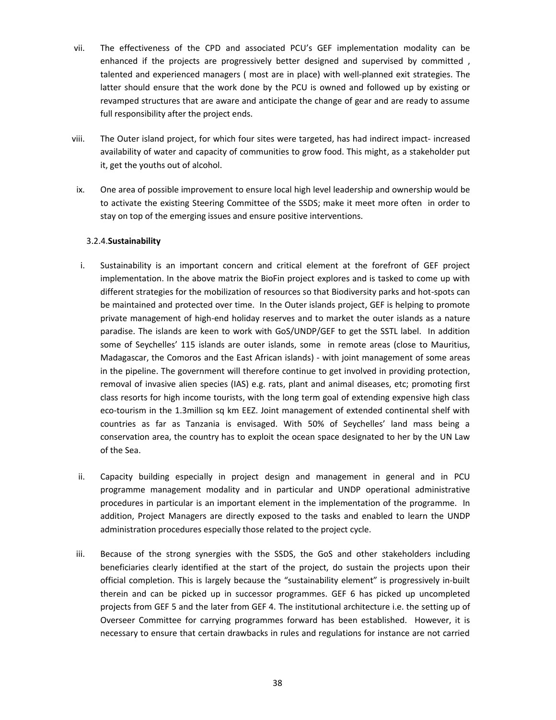- vii. The effectiveness of the CPD and associated PCU's GEF implementation modality can be enhanced if the projects are progressively better designed and supervised by committed , talented and experienced managers ( most are in place) with well-planned exit strategies. The latter should ensure that the work done by the PCU is owned and followed up by existing or revamped structures that are aware and anticipate the change of gear and are ready to assume full responsibility after the project ends.
- viii. The Outer island project, for which four sites were targeted, has had indirect impact- increased availability of water and capacity of communities to grow food. This might, as a stakeholder put it, get the youths out of alcohol.
- ix. One area of possible improvement to ensure local high level leadership and ownership would be to activate the existing Steering Committee of the SSDS; make it meet more often in order to stay on top of the emerging issues and ensure positive interventions.

### 3.2.4.**Sustainability**

- i. Sustainability is an important concern and critical element at the forefront of GEF project implementation. In the above matrix the BioFin project explores and is tasked to come up with different strategies for the mobilization of resources so that Biodiversity parks and hot-spots can be maintained and protected over time. In the Outer islands project, GEF is helping to promote private management of high-end holiday reserves and to market the outer islands as a nature paradise. The islands are keen to work with GoS/UNDP/GEF to get the SSTL label. In addition some of Seychelles' 115 islands are outer islands, some in remote areas (close to Mauritius, Madagascar, the Comoros and the East African islands) - with joint management of some areas in the pipeline. The government will therefore continue to get involved in providing protection, removal of invasive alien species (IAS) e.g. rats, plant and animal diseases, etc; promoting first class resorts for high income tourists, with the long term goal of extending expensive high class eco-tourism in the 1.3million sq km EEZ. Joint management of extended continental shelf with countries as far as Tanzania is envisaged. With 50% of Seychelles' land mass being a conservation area, the country has to exploit the ocean space designated to her by the UN Law of the Sea.
- ii. Capacity building especially in project design and management in general and in PCU programme management modality and in particular and UNDP operational administrative procedures in particular is an important element in the implementation of the programme. In addition, Project Managers are directly exposed to the tasks and enabled to learn the UNDP administration procedures especially those related to the project cycle.
- iii. Because of the strong synergies with the SSDS, the GoS and other stakeholders including beneficiaries clearly identified at the start of the project, do sustain the projects upon their official completion. This is largely because the "sustainability element" is progressively in-built therein and can be picked up in successor programmes. GEF 6 has picked up uncompleted projects from GEF 5 and the later from GEF 4. The institutional architecture i.e. the setting up of Overseer Committee for carrying programmes forward has been established. However, it is necessary to ensure that certain drawbacks in rules and regulations for instance are not carried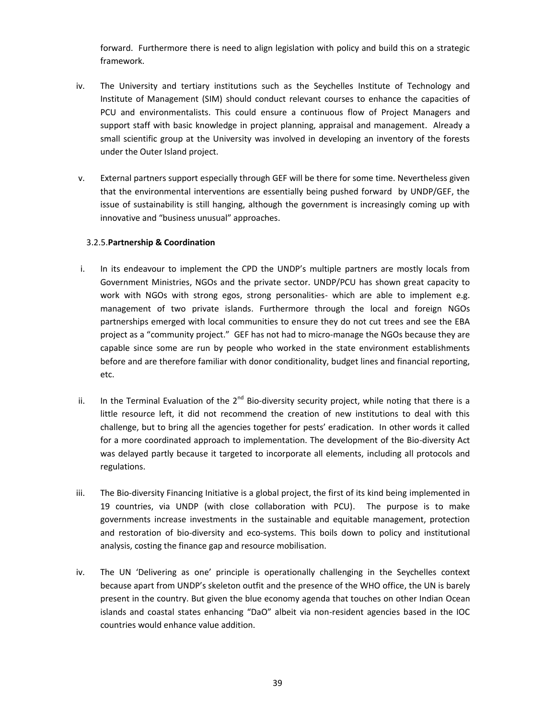forward. Furthermore there is need to align legislation with policy and build this on a strategic framework.

- iv. The University and tertiary institutions such as the Seychelles Institute of Technology and Institute of Management (SIM) should conduct relevant courses to enhance the capacities of PCU and environmentalists. This could ensure a continuous flow of Project Managers and support staff with basic knowledge in project planning, appraisal and management. Already a small scientific group at the University was involved in developing an inventory of the forests under the Outer Island project.
- v. External partners support especially through GEF will be there for some time. Nevertheless given that the environmental interventions are essentially being pushed forward by UNDP/GEF, the issue of sustainability is still hanging, although the government is increasingly coming up with innovative and "business unusual" approaches.

## 3.2.5.**Partnership & Coordination**

- i. In its endeavour to implement the CPD the UNDP's multiple partners are mostly locals from Government Ministries, NGOs and the private sector. UNDP/PCU has shown great capacity to work with NGOs with strong egos, strong personalities- which are able to implement e.g. management of two private islands. Furthermore through the local and foreign NGOs partnerships emerged with local communities to ensure they do not cut trees and see the EBA project as a "community project." GEF has not had to micro-manage the NGOs because they are capable since some are run by people who worked in the state environment establishments before and are therefore familiar with donor conditionality, budget lines and financial reporting, etc.
- ii. In the Terminal Evaluation of the  $2^{nd}$  Bio-diversity security project, while noting that there is a little resource left, it did not recommend the creation of new institutions to deal with this challenge, but to bring all the agencies together for pests' eradication. In other words it called for a more coordinated approach to implementation. The development of the Bio-diversity Act was delayed partly because it targeted to incorporate all elements, including all protocols and regulations.
- iii. The Bio-diversity Financing Initiative is a global project, the first of its kind being implemented in 19 countries, via UNDP (with close collaboration with PCU). The purpose is to make governments increase investments in the sustainable and equitable management, protection and restoration of bio-diversity and eco-systems. This boils down to policy and institutional analysis, costing the finance gap and resource mobilisation.
- iv. The UN 'Delivering as one' principle is operationally challenging in the Seychelles context because apart from UNDP's skeleton outfit and the presence of the WHO office, the UN is barely present in the country. But given the blue economy agenda that touches on other Indian Ocean islands and coastal states enhancing "DaO" albeit via non-resident agencies based in the IOC countries would enhance value addition.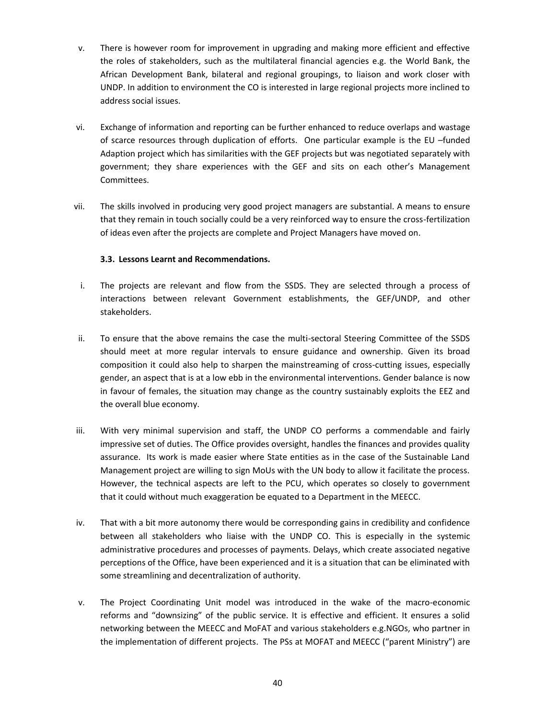- v. There is however room for improvement in upgrading and making more efficient and effective the roles of stakeholders, such as the multilateral financial agencies e.g. the World Bank, the African Development Bank, bilateral and regional groupings, to liaison and work closer with UNDP. In addition to environment the CO is interested in large regional projects more inclined to address social issues.
- vi. Exchange of information and reporting can be further enhanced to reduce overlaps and wastage of scarce resources through duplication of efforts. One particular example is the EU –funded Adaption project which has similarities with the GEF projects but was negotiated separately with government; they share experiences with the GEF and sits on each other's Management Committees.
- vii. The skills involved in producing very good project managers are substantial. A means to ensure that they remain in touch socially could be a very reinforced way to ensure the cross-fertilization of ideas even after the projects are complete and Project Managers have moved on.

## **3.3. Lessons Learnt and Recommendations.**

- i. The projects are relevant and flow from the SSDS. They are selected through a process of interactions between relevant Government establishments, the GEF/UNDP, and other stakeholders.
- ii. To ensure that the above remains the case the multi-sectoral Steering Committee of the SSDS should meet at more regular intervals to ensure guidance and ownership. Given its broad composition it could also help to sharpen the mainstreaming of cross-cutting issues, especially gender, an aspect that is at a low ebb in the environmental interventions. Gender balance is now in favour of females, the situation may change as the country sustainably exploits the EEZ and the overall blue economy.
- iii. With very minimal supervision and staff, the UNDP CO performs a commendable and fairly impressive set of duties. The Office provides oversight, handles the finances and provides quality assurance. Its work is made easier where State entities as in the case of the Sustainable Land Management project are willing to sign MoUs with the UN body to allow it facilitate the process. However, the technical aspects are left to the PCU, which operates so closely to government that it could without much exaggeration be equated to a Department in the MEECC.
- iv. That with a bit more autonomy there would be corresponding gains in credibility and confidence between all stakeholders who liaise with the UNDP CO. This is especially in the systemic administrative procedures and processes of payments. Delays, which create associated negative perceptions of the Office, have been experienced and it is a situation that can be eliminated with some streamlining and decentralization of authority.
- v. The Project Coordinating Unit model was introduced in the wake of the macro-economic reforms and "downsizing" of the public service. It is effective and efficient. It ensures a solid networking between the MEECC and MoFAT and various stakeholders e.g.NGOs, who partner in the implementation of different projects. The PSs at MOFAT and MEECC ("parent Ministry") are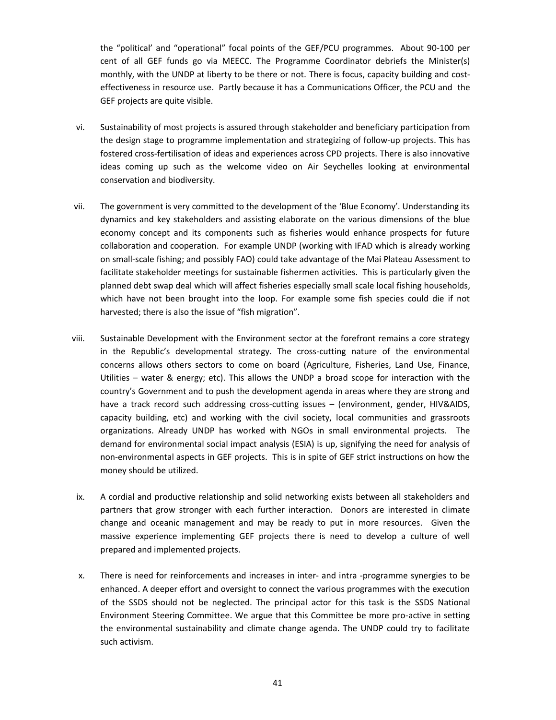the "political' and "operational" focal points of the GEF/PCU programmes. About 90-100 per cent of all GEF funds go via MEECC. The Programme Coordinator debriefs the Minister(s) monthly, with the UNDP at liberty to be there or not. There is focus, capacity building and cost effectiveness in resource use. Partly because it has a Communications Officer, the PCU and the GEF projects are quite visible.

- vi. Sustainability of most projects is assured through stakeholder and beneficiary participation from the design stage to programme implementation and strategizing of follow-up projects. This has fostered cross-fertilisation of ideas and experiences across CPD projects. There is also innovative ideas coming up such as the welcome video on Air Seychelles looking at environmental conservation and biodiversity.
- vii. The government is very committed to the development of the 'Blue Economy'. Understanding its dynamics and key stakeholders and assisting elaborate on the various dimensions of the blue economy concept and its components such as fisheries would enhance prospects for future collaboration and cooperation. For example UNDP (working with IFAD which is already working on small-scale fishing; and possibly FAO) could take advantage of the Mai Plateau Assessment to facilitate stakeholder meetings for sustainable fishermen activities. This is particularly given the planned debt swap deal which will affect fisheries especially small scale local fishing households, which have not been brought into the loop. For example some fish species could die if not harvested; there is also the issue of "fish migration".
- viii. Sustainable Development with the Environment sector at the forefront remains a core strategy in the Republic's developmental strategy. The cross-cutting nature of the environmental concerns allows others sectors to come on board (Agriculture, Fisheries, Land Use, Finance, Utilities – water & energy; etc). This allows the UNDP a broad scope for interaction with the country's Government and to push the development agenda in areas where they are strong and have a track record such addressing cross-cutting issues – (environment, gender, HIV&AIDS, capacity building, etc) and working with the civil society, local communities and grassroots organizations. Already UNDP has worked with NGOs in small environmental projects. The demand for environmental social impact analysis (ESIA) is up, signifying the need for analysis of non-environmental aspects in GEF projects. This is in spite of GEF strict instructions on how the money should be utilized.
- ix. A cordial and productive relationship and solid networking exists between all stakeholders and partners that grow stronger with each further interaction. Donors are interested in climate change and oceanic management and may be ready to put in more resources. Given the massive experience implementing GEF projects there is need to develop a culture of well prepared and implemented projects.
- x. There is need for reinforcements and increases in inter- and intra -programme synergies to be enhanced. A deeper effort and oversight to connect the various programmes with the execution of the SSDS should not be neglected. The principal actor for this task is the SSDS National Environment Steering Committee. We argue that this Committee be more pro-active in setting the environmental sustainability and climate change agenda. The UNDP could try to facilitate such activism.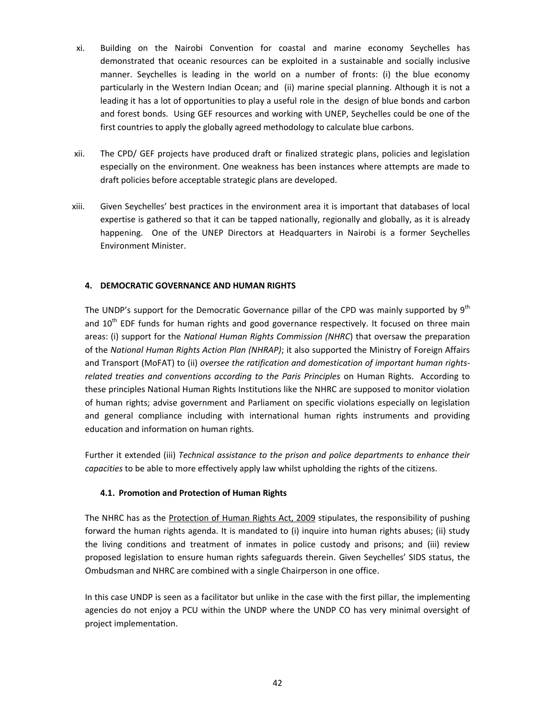- xi. Building on the Nairobi Convention for coastal and marine economy Seychelles has demonstrated that oceanic resources can be exploited in a sustainable and socially inclusive manner. Seychelles is leading in the world on a number of fronts: (i) the blue economy particularly in the Western Indian Ocean; and (ii) marine special planning. Although it is not a leading it has a lot of opportunities to play a useful role in the design of blue bonds and carbon and forest bonds. Using GEF resources and working with UNEP, Seychelles could be one of the first countries to apply the globally agreed methodology to calculate blue carbons.
- xii. The CPD/ GEF projects have produced draft or finalized strategic plans, policies and legislation especially on the environment. One weakness has been instances where attempts are made to draft policies before acceptable strategic plans are developed.
- xiii. Given Seychelles' best practices in the environment area it is important that databases of local expertise is gathered so that it can be tapped nationally, regionally and globally, as it is already happening. One of the UNEP Directors at Headquarters in Nairobi is a former Seychelles Environment Minister.

## **4. DEMOCRATIC GOVERNANCE AND HUMAN RIGHTS**

The UNDP's support for the Democratic Governance pillar of the CPD was mainly supported by  $9<sup>th</sup>$ and 10<sup>th</sup> EDF funds for human rights and good governance respectively. It focused on three main areas: (i) support for the *National Human Rights Commission (NHRC*) that oversaw the preparation of the *National Human Rights Action Plan (NHRAP)*; it also supported the Ministry of Foreign Affairs and Transport (MoFAT) to (ii) *oversee the ratification and domestication of important human rights related treaties and conventions according to the Paris Principles* on Human Rights. According to these principles National Human Rights Institutions like the NHRC are supposed to monitor violation of human rights; advise government and Parliament on specific violations especially on legislation and general compliance including with international human rights instruments and providing education and information on human rights.

Further it extended (iii) *Technical assistance to the prison and police departments to enhance their capacities* to be able to more effectively apply law whilst upholding the rights of the citizens.

### **4.1. Promotion and Protection of Human Rights**

The NHRC has as the Protection of Human Rights Act, 2009 stipulates, the responsibility of pushing forward the human rights agenda. It is mandated to (i) inquire into human rights abuses; (ii) study the living conditions and treatment of inmates in police custody and prisons; and (iii) review proposed legislation to ensure human rights safeguards therein. Given Seychelles' SIDS status, the Ombudsman and NHRC are combined with a single Chairperson in one office.

In this case UNDP is seen as a facilitator but unlike in the case with the first pillar, the implementing agencies do not enjoy a PCU within the UNDP where the UNDP CO has very minimal oversight of project implementation.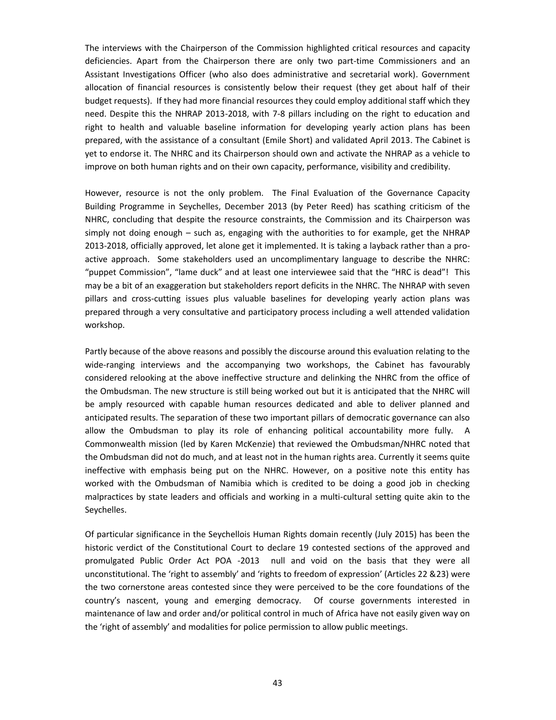The interviews with the Chairperson of the Commission highlighted critical resources and capacity deficiencies. Apart from the Chairperson there are only two part-time Commissioners and an Assistant Investigations Officer (who also does administrative and secretarial work). Government allocation of financial resources is consistently below their request (they get about half of their budget requests). If they had more financial resources they could employ additional staff which they need. Despite this the NHRAP 2013-2018, with 7-8 pillars including on the right to education and right to health and valuable baseline information for developing yearly action plans has been prepared, with the assistance of a consultant (Emile Short) and validated April 2013. The Cabinet is yet to endorse it. The NHRC and its Chairperson should own and activate the NHRAP as a vehicle to improve on both human rights and on their own capacity, performance, visibility and credibility.

However, resource is not the only problem. The Final Evaluation of the Governance Capacity Building Programme in Seychelles, December 2013 (by Peter Reed) has scathing criticism of the NHRC, concluding that despite the resource constraints, the Commission and its Chairperson was simply not doing enough – such as, engaging with the authorities to for example, get the NHRAP 2013-2018, officially approved, let alone get it implemented. It is taking a layback rather than a pro active approach. Some stakeholders used an uncomplimentary language to describe the NHRC: "puppet Commission", "lame duck" and at least one interviewee said that the "HRC is dead"! This may be a bit of an exaggeration but stakeholders report deficits in the NHRC. The NHRAP with seven pillars and cross-cutting issues plus valuable baselines for developing yearly action plans was prepared through a very consultative and participatory process including a well attended validation workshop.

Partly because of the above reasons and possibly the discourse around this evaluation relating to the wide-ranging interviews and the accompanying two workshops, the Cabinet has favourably considered relooking at the above ineffective structure and delinking the NHRC from the office of the Ombudsman. The new structure is still being worked out but it is anticipated that the NHRC will be amply resourced with capable human resources dedicated and able to deliver planned and anticipated results. The separation of these two important pillars of democratic governance can also allow the Ombudsman to play its role of enhancing political accountability more fully. A Commonwealth mission (led by Karen McKenzie) that reviewed the Ombudsman/NHRC noted that the Ombudsman did not do much, and at least not in the human rights area. Currently it seems quite ineffective with emphasis being put on the NHRC. However, on a positive note this entity has worked with the Ombudsman of Namibia which is credited to be doing a good job in checking malpractices by state leaders and officials and working in a multi-cultural setting quite akin to the Seychelles.

Of particular significance in the Seychellois Human Rights domain recently (July 2015) has been the historic verdict of the Constitutional Court to declare 19 contested sections of the approved and promulgated Public Order Act POA -2013 null and void on the basis that they were all unconstitutional. The 'right to assembly' and 'rights to freedom of expression' (Articles 22 &23) were the two cornerstone areas contested since they were perceived to be the core foundations of the country's nascent, young and emerging democracy. Of course governments interested in maintenance of law and order and/or political control in much of Africa have not easily given way on the 'right of assembly' and modalities for police permission to allow public meetings.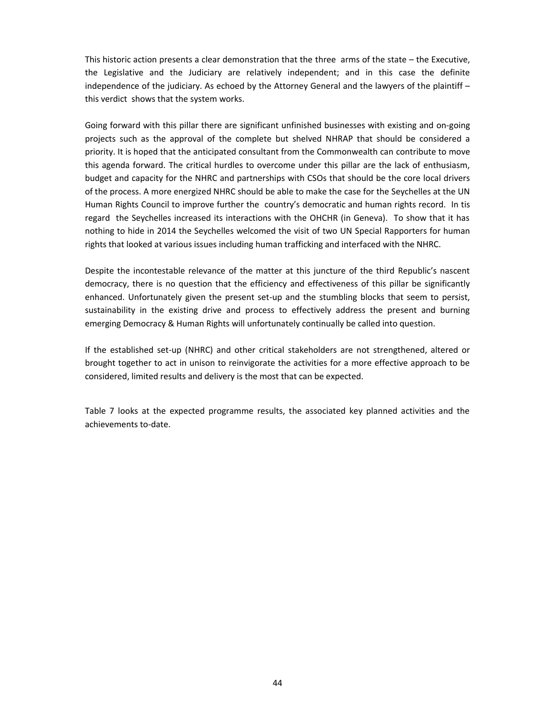This historic action presents a clear demonstration that the three arms of the state – the Executive, the Legislative and the Judiciary are relatively independent; and in this case the definite independence of the judiciary. As echoed by the Attorney General and the lawyers of the plaintiff – this verdict shows that the system works.

Going forward with this pillar there are significant unfinished businesses with existing and on-going projects such as the approval of the complete but shelved NHRAP that should be considered a priority. It is hoped that the anticipated consultant from the Commonwealth can contribute to move this agenda forward. The critical hurdles to overcome under this pillar are the lack of enthusiasm, budget and capacity for the NHRC and partnerships with CSOs that should be the core local drivers of the process. A more energized NHRC should be able to make the case for the Seychelles at the UN Human Rights Council to improve further the country's democratic and human rights record. In tis regard the Seychelles increased its interactions with the OHCHR (in Geneva). To show that it has nothing to hide in 2014 the Seychelles welcomed the visit of two UN Special Rapporters for human rights that looked at various issues including human trafficking and interfaced with the NHRC.

Despite the incontestable relevance of the matter at this juncture of the third Republic's nascent democracy, there is no question that the efficiency and effectiveness of this pillar be significantly enhanced. Unfortunately given the present set-up and the stumbling blocks that seem to persist, sustainability in the existing drive and process to effectively address the present and burning emerging Democracy & Human Rights will unfortunately continually be called into question.

If the established set-up (NHRC) and other critical stakeholders are not strengthened, altered or brought together to act in unison to reinvigorate the activities for a more effective approach to be considered, limited results and delivery is the most that can be expected.

Table 7 looks at the expected programme results, the associated key planned activities and the achievements to-date.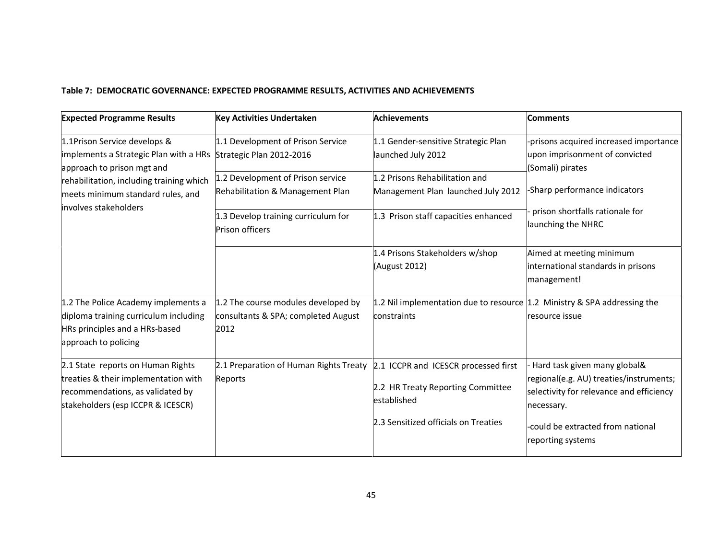# **Table 7: DEMOCRATIC GOVERNANCE: EXPECTED PROGRAMME RESULTS, ACTIVITIES AND ACHIEVEMENTS**

| <b>Expected Programme Results</b>                                                                                                                  | <b>Key Activities Undertaken</b>                                                                                                              | <b>Achievements</b>                                                                         | <b>Comments</b>                                                                                                                   |
|----------------------------------------------------------------------------------------------------------------------------------------------------|-----------------------------------------------------------------------------------------------------------------------------------------------|---------------------------------------------------------------------------------------------|-----------------------------------------------------------------------------------------------------------------------------------|
| 1.1Prison Service develops &<br>implements a Strategic Plan with a HRs Strategic Plan 2012-2016                                                    | 1.1 Development of Prison Service                                                                                                             | 1.1 Gender-sensitive Strategic Plan<br>launched July 2012                                   | -prisons acquired increased importance<br>upon imprisonment of convicted                                                          |
| approach to prison mgt and<br>rehabilitation, including training which<br>meets minimum standard rules, and<br>involves stakeholders               | 1.2 Prisons Rehabilitation and<br>1.2 Development of Prison service<br>Rehabilitation & Management Plan<br>Management Plan launched July 2012 |                                                                                             | (Somali) pirates<br>-Sharp performance indicators                                                                                 |
|                                                                                                                                                    | 1.3 Develop training curriculum for<br>Prison officers                                                                                        | 1.3 Prison staff capacities enhanced                                                        | prison shortfalls rationale for<br>launching the NHRC                                                                             |
|                                                                                                                                                    |                                                                                                                                               | 1.4 Prisons Stakeholders w/shop<br>(August 2012)                                            | Aimed at meeting minimum<br>international standards in prisons<br>management!                                                     |
| 1.2 The Police Academy implements a<br>diploma training curriculum including<br>HRs principles and a HRs-based<br>approach to policing             | 1.2 The course modules developed by<br>consultants & SPA; completed August<br>2012                                                            | 1.2 Nil implementation due to resource $ 1.2 $ Ministry & SPA addressing the<br>constraints | resource issue                                                                                                                    |
| 2.1 State reports on Human Rights<br>treaties & their implementation with<br>recommendations, as validated by<br>stakeholders (esp ICCPR & ICESCR) | 2.1 Preparation of Human Rights Treaty 2.1 ICCPR and ICESCR processed first<br>Reports                                                        | 2.2 HR Treaty Reporting Committee<br>established                                            | Hard task given many global&<br>regional(e.g. AU) treaties/instruments;<br>selectivity for relevance and efficiency<br>necessary. |
|                                                                                                                                                    |                                                                                                                                               | 2.3 Sensitized officials on Treaties                                                        | -could be extracted from national<br>reporting systems                                                                            |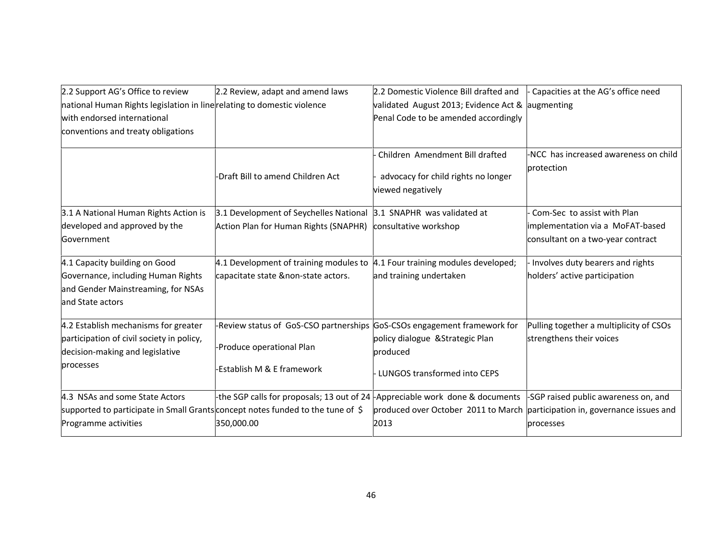| 2.2 Support AG's Office to review                                               | 2.2 Review, adapt and amend laws                                               | 2.2 Domestic Violence Bill drafted and                   | Capacities at the AG's office need                                          |
|---------------------------------------------------------------------------------|--------------------------------------------------------------------------------|----------------------------------------------------------|-----------------------------------------------------------------------------|
| national Human Rights legislation in line relating to domestic violence         |                                                                                | validated August 2013; Evidence Act & augmenting         |                                                                             |
| with endorsed international                                                     |                                                                                | Penal Code to be amended accordingly                     |                                                                             |
| conventions and treaty obligations                                              |                                                                                |                                                          |                                                                             |
|                                                                                 |                                                                                | Children Amendment Bill drafted                          | -NCC has increased awareness on child<br>protection                         |
|                                                                                 | -Draft Bill to amend Children Act                                              | advocacy for child rights no longer<br>viewed negatively |                                                                             |
| 3.1 A National Human Rights Action is                                           | 3.1 Development of Seychelles National 3.1 SNAPHR was validated at             |                                                          | Com-Sec to assist with Plan                                                 |
| developed and approved by the                                                   | Action Plan for Human Rights (SNAPHR)                                          | consultative workshop                                    | implementation via a MoFAT-based                                            |
| Government                                                                      |                                                                                |                                                          | consultant on a two-year contract                                           |
| 4.1 Capacity building on Good                                                   | 4.1 Development of training modules to $ 4.1$ Four training modules developed; |                                                          | Involves duty bearers and rights                                            |
| Governance, including Human Rights                                              | capacitate state &non-state actors.                                            | and training undertaken                                  | holders' active participation                                               |
| and Gender Mainstreaming, for NSAs                                              |                                                                                |                                                          |                                                                             |
| and State actors                                                                |                                                                                |                                                          |                                                                             |
| 4.2 Establish mechanisms for greater                                            | -Review status of GoS-CSO partnerships GoS-CSOs engagement framework for       |                                                          | Pulling together a multiplicity of CSOs                                     |
| participation of civil society in policy,<br>decision-making and legislative    | -Produce operational Plan                                                      | policy dialogue & Strategic Plan<br>produced             | strengthens their voices                                                    |
| processes                                                                       | Establish M & E framework                                                      | LUNGOS transformed into CEPS                             |                                                                             |
| 4.3 NSAs and some State Actors                                                  | -the SGP calls for proposals; 13 out of 24 - Appreciable work done & documents |                                                          | -SGP raised public awareness on, and                                        |
| supported to participate in Small Grants concept notes funded to the tune of \$ |                                                                                |                                                          | produced over October 2011 to March participation in, governance issues and |
| Programme activities                                                            | 350,000.00                                                                     | 2013                                                     | processes                                                                   |
|                                                                                 |                                                                                |                                                          |                                                                             |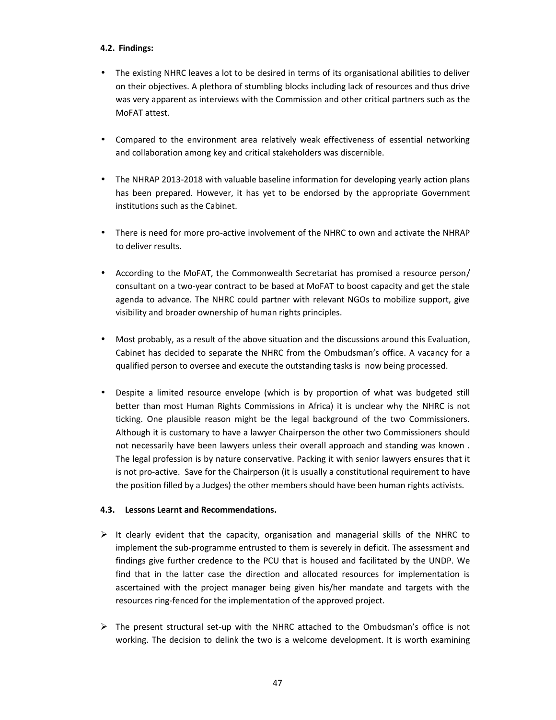### **4.2. Findings:**

- The existing NHRC leaves a lot to be desired in terms of its organisational abilities to deliver on their objectives. A plethora of stumbling blocks including lack of resources and thus drive was very apparent as interviews with the Commission and other critical partners such as the MoFAT attest.
- Compared to the environment area relatively weak effectiveness of essential networking and collaboration among key and critical stakeholders was discernible.
- The NHRAP 2013-2018 with valuable baseline information for developing yearly action plans has been prepared. However, it has yet to be endorsed by the appropriate Government institutions such as the Cabinet.
- There is need for more pro-active involvement of the NHRC to own and activate the NHRAP to deliver results.
- According to the MoFAT, the Commonwealth Secretariat has promised a resource person/ consultant on a two-year contract to be based at MoFAT to boost capacity and get the stale agenda to advance. The NHRC could partner with relevant NGOs to mobilize support, give visibility and broader ownership of human rights principles.
- Most probably, as a result of the above situation and the discussions around this Evaluation, Cabinet has decided to separate the NHRC from the Ombudsman's office. A vacancy for a qualified person to oversee and execute the outstanding tasks is now being processed.
- Despite a limited resource envelope (which is by proportion of what was budgeted still better than most Human Rights Commissions in Africa) it is unclear why the NHRC is not ticking. One plausible reason might be the legal background of the two Commissioners. Although it is customary to have a lawyer Chairperson the other two Commissioners should not necessarily have been lawyers unless their overall approach and standing was known . The legal profession is by nature conservative. Packing it with senior lawyers ensures that it is not pro-active. Save for the Chairperson (it is usually a constitutional requirement to have the position filled by a Judges) the other members should have been human rights activists.

## **4.3. Lessons Learnt and Recommendations.**

- $\triangleright$  It clearly evident that the capacity, organisation and managerial skills of the NHRC to implement the sub-programme entrusted to them is severely in deficit. The assessment and findings give further credence to the PCU that is housed and facilitated by the UNDP. We find that in the latter case the direction and allocated resources for implementation is ascertained with the project manager being given his/her mandate and targets with the resources ring-fenced for the implementation of the approved project.
- $\triangleright$  The present structural set-up with the NHRC attached to the Ombudsman's office is not working. The decision to delink the two is a welcome development. It is worth examining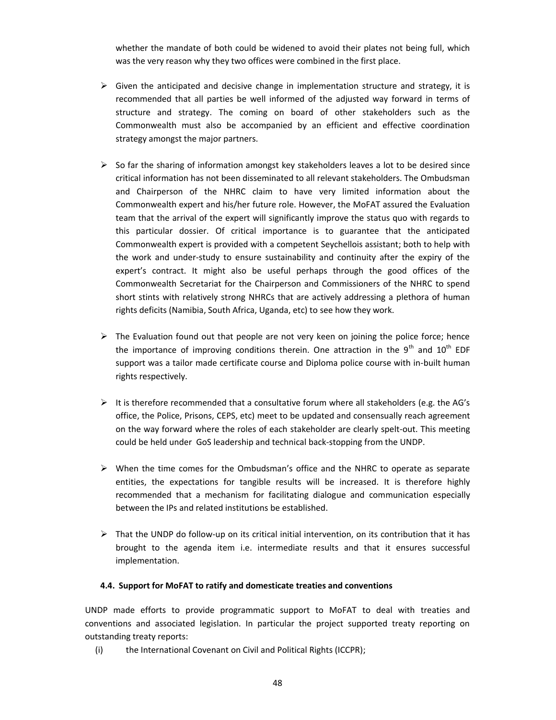whether the mandate of both could be widened to avoid their plates not being full, which was the very reason why they two offices were combined in the first place.

- $\triangleright$  Given the anticipated and decisive change in implementation structure and strategy, it is recommended that all parties be well informed of the adjusted way forward in terms of structure and strategy. The coming on board of other stakeholders such as the Commonwealth must also be accompanied by an efficient and effective coordination strategy amongst the major partners.
- $\triangleright$  So far the sharing of information amongst key stakeholders leaves a lot to be desired since critical information has not been disseminated to all relevant stakeholders. The Ombudsman and Chairperson of the NHRC claim to have very limited information about the Commonwealth expert and his/her future role. However, the MoFAT assured the Evaluation team that the arrival of the expert will significantly improve the status quo with regards to this particular dossier. Of critical importance is to guarantee that the anticipated Commonwealth expert is provided with a competent Seychellois assistant; both to help with the work and under-study to ensure sustainability and continuity after the expiry of the expert's contract. It might also be useful perhaps through the good offices of the Commonwealth Secretariat for the Chairperson and Commissioners of the NHRC to spend short stints with relatively strong NHRCs that are actively addressing a plethora of human rights deficits (Namibia, South Africa, Uganda, etc) to see how they work.
- $\triangleright$  The Evaluation found out that people are not very keen on joining the police force; hence the importance of improving conditions therein. One attraction in the  $9<sup>th</sup>$  and  $10<sup>th</sup>$  EDF support was a tailor made certificate course and Diploma police course with in-built human rights respectively.
- $\triangleright$  It is therefore recommended that a consultative forum where all stakeholders (e.g. the AG's office, the Police, Prisons, CEPS, etc) meet to be updated and consensually reach agreement on the way forward where the roles of each stakeholder are clearly spelt-out. This meeting could be held under GoS leadership and technical back-stopping from the UNDP.
- $\triangleright$  When the time comes for the Ombudsman's office and the NHRC to operate as separate entities, the expectations for tangible results will be increased. It is therefore highly recommended that a mechanism for facilitating dialogue and communication especially between the IPs and related institutions be established.
- $\triangleright$  That the UNDP do follow-up on its critical initial intervention, on its contribution that it has brought to the agenda item i.e. intermediate results and that it ensures successful implementation.

## **4.4. Support for MoFAT to ratify and domesticate treaties and conventions**

UNDP made efforts to provide programmatic support to MoFAT to deal with treaties and conventions and associated legislation. In particular the project supported treaty reporting on outstanding treaty reports:

(i) the International Covenant on Civil and Political Rights (ICCPR);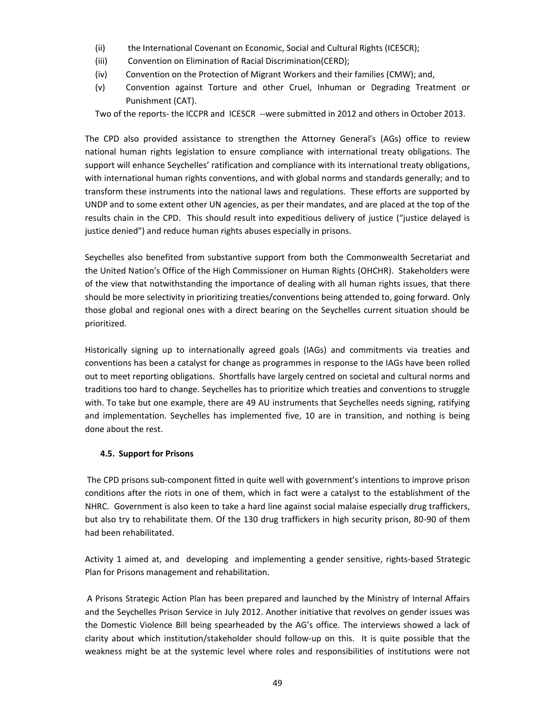- (ii) the International Covenant on Economic, Social and Cultural Rights (ICESCR);
- (iii) Convention on Elimination of Racial Discrimination(CERD);
- (iv) Convention on the Protection of Migrant Workers and their families (CMW); and,
- (v) Convention against Torture and other Cruel, Inhuman or Degrading Treatment or Punishment (CAT).

Two of the reports- the ICCPR and ICESCR --were submitted in 2012 and others in October 2013.

The CPD also provided assistance to strengthen the Attorney General's (AGs) office to review national human rights legislation to ensure compliance with international treaty obligations. The support will enhance Seychelles' ratification and compliance with its international treaty obligations, with international human rights conventions, and with global norms and standards generally; and to transform these instruments into the national laws and regulations. These efforts are supported by UNDP and to some extent other UN agencies, as per their mandates, and are placed at the top of the results chain in the CPD. This should result into expeditious delivery of justice ("justice delayed is justice denied") and reduce human rights abuses especially in prisons.

Seychelles also benefited from substantive support from both the Commonwealth Secretariat and the United Nation's Office of the High Commissioner on Human Rights (OHCHR). Stakeholders were of the view that notwithstanding the importance of dealing with all human rights issues, that there should be more selectivity in prioritizing treaties/conventions being attended to, going forward. Only those global and regional ones with a direct bearing on the Seychelles current situation should be prioritized.

Historically signing up to internationally agreed goals (IAGs) and commitments via treaties and conventions has been a catalyst for change as programmes in response to the IAGs have been rolled out to meet reporting obligations. Shortfalls have largely centred on societal and cultural norms and traditions too hard to change. Seychelles has to prioritize which treaties and conventions to struggle with. To take but one example, there are 49 AU instruments that Seychelles needs signing, ratifying and implementation. Seychelles has implemented five, 10 are in transition, and nothing is being done about the rest.

### **4.5. Support for Prisons**

The CPD prisons sub-component fitted in quite well with government's intentions to improve prison conditions after the riots in one of them, which in fact were a catalyst to the establishment of the NHRC. Government is also keen to take a hard line against social malaise especially drug traffickers, but also try to rehabilitate them. Of the 130 drug traffickers in high security prison, 80-90 of them had been rehabilitated.

Activity 1 aimed at, and developing and implementing a gender sensitive, rights-based Strategic Plan for Prisons management and rehabilitation.

A Prisons Strategic Action Plan has been prepared and launched by the Ministry of Internal Affairs and the Seychelles Prison Service in July 2012. Another initiative that revolves on gender issues was the Domestic Violence Bill being spearheaded by the AG's office. The interviews showed a lack of clarity about which institution/stakeholder should follow-up on this. It is quite possible that the weakness might be at the systemic level where roles and responsibilities of institutions were not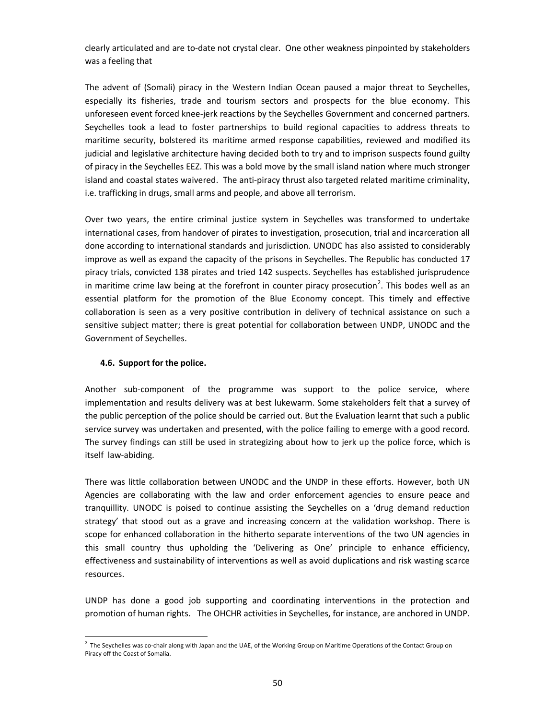clearly articulated and are to-date not crystal clear. One other weakness pinpointed by stakeholders was a feeling that

The advent of (Somali) piracy in the Western Indian Ocean paused a major threat to Seychelles, especially its fisheries, trade and tourism sectors and prospects for the blue economy. This unforeseen event forced knee-jerk reactions by the Seychelles Government and concerned partners. Seychelles took a lead to foster partnerships to build regional capacities to address threats to maritime security, bolstered its maritime armed response capabilities, reviewed and modified its judicial and legislative architecture having decided both to try and to imprison suspects found guilty of piracy in the Seychelles EEZ. This was a bold move by the small island nation where much stronger island and coastal states waivered. The anti-piracy thrust also targeted related maritime criminality, i.e. trafficking in drugs, small arms and people, and above all terrorism.

Over two years, the entire criminal justice system in Seychelles was transformed to undertake international cases, from handover of pirates to investigation, prosecution, trial and incarceration all done according to international standards and jurisdiction. UNODC has also assisted to considerably improve as well as expand the capacity of the prisons in Seychelles. The Republic has conducted 17 piracy trials, convicted 138 pirates and tried 142 suspects. Seychelles has established jurisprudence in maritime crime law being at the forefront in counter piracy prosecution<sup>2</sup>. This bodes well as an essential platform for the promotion of the Blue Economy concept. This timely and effective collaboration is seen as a very positive contribution in delivery of technical assistance on such a sensitive subject matter; there is great potential for collaboration between UNDP, UNODC and the Government of Seychelles.

### **4.6. Support for the police.**

Another sub-component of the programme was support to the police service, where implementation and results delivery was at best lukewarm. Some stakeholders felt that a survey of the public perception of the police should be carried out. But the Evaluation learnt that such a public service survey was undertaken and presented, with the police failing to emerge with a good record. The survey findings can still be used in strategizing about how to jerk up the police force, which is itself law-abiding.

There was little collaboration between UNODC and the UNDP in these efforts. However, both UN Agencies are collaborating with the law and order enforcement agencies to ensure peace and tranquillity. UNODC is poised to continue assisting the Seychelles on a 'drug demand reduction strategy' that stood out as a grave and increasing concern at the validation workshop. There is scope for enhanced collaboration in the hitherto separate interventions of the two UN agencies in this small country thus upholding the 'Delivering as One' principle to enhance efficiency, effectiveness and sustainability of interventions as well as avoid duplications and risk wasting scarce resources.

UNDP has done a good job supporting and coordinating interventions in the protection and promotion of human rights. The OHCHR activities in Seychelles, for instance, are anchored in UNDP.

 $2$  The Seychelles was co-chair along with Japan and the UAE, of the Working Group on Maritime Operations of the Contact Group on Piracy off the Coast of Somalia.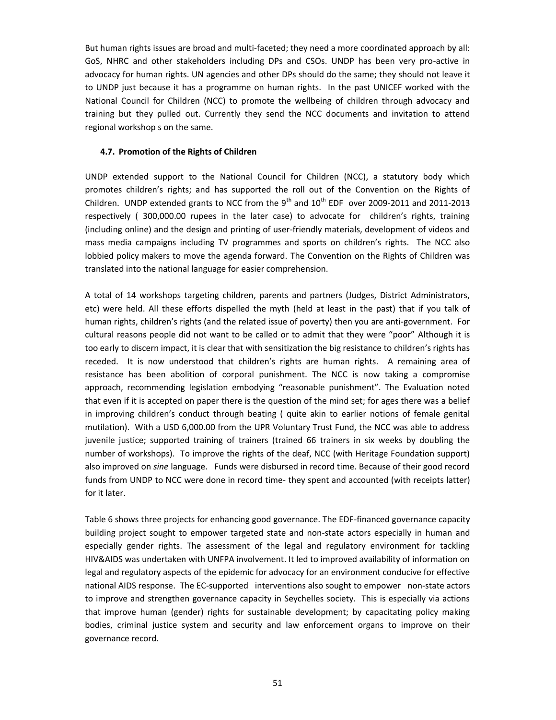But human rights issues are broad and multi-faceted; they need a more coordinated approach by all: GoS, NHRC and other stakeholders including DPs and CSOs. UNDP has been very pro-active in advocacy for human rights. UN agencies and other DPs should do the same; they should not leave it to UNDP just because it has a programme on human rights. In the past UNICEF worked with the National Council for Children (NCC) to promote the wellbeing of children through advocacy and training but they pulled out. Currently they send the NCC documents and invitation to attend regional workshop s on the same.

#### **4.7. Promotion of the Rights of Children**

UNDP extended support to the National Council for Children (NCC), a statutory body which promotes children's rights; and has supported the roll out of the Convention on the Rights of Children. UNDP extended grants to NCC from the  $9<sup>th</sup>$  and  $10<sup>th</sup>$  EDF over 2009-2011 and 2011-2013 respectively ( 300,000.00 rupees in the later case) to advocate for children's rights, training (including online) and the design and printing of user-friendly materials, development of videos and mass media campaigns including TV programmes and sports on children's rights. The NCC also lobbied policy makers to move the agenda forward. The Convention on the Rights of Children was translated into the national language for easier comprehension.

A total of 14 workshops targeting children, parents and partners (Judges, District Administrators, etc) were held. All these efforts dispelled the myth (held at least in the past) that if you talk of human rights, children's rights (and the related issue of poverty) then you are anti-government. For cultural reasons people did not want to be called or to admit that they were "poor" Although it is too early to discern impact, it is clear that with sensitization the big resistance to children's rights has receded. It is now understood that children's rights are human rights. A remaining area of resistance has been abolition of corporal punishment. The NCC is now taking a compromise approach, recommending legislation embodying "reasonable punishment". The Evaluation noted that even if it is accepted on paper there is the question of the mind set; for ages there was a belief in improving children's conduct through beating ( quite akin to earlier notions of female genital mutilation). With a USD 6,000.00 from the UPR Voluntary Trust Fund, the NCC was able to address juvenile justice; supported training of trainers (trained 66 trainers in six weeks by doubling the number of workshops). To improve the rights of the deaf, NCC (with Heritage Foundation support) also improved on *sine* language. Funds were disbursed in record time. Because of their good record funds from UNDP to NCC were done in record time- they spent and accounted (with receipts latter) for it later.

Table 6 shows three projects for enhancing good governance. The EDF-financed governance capacity building project sought to empower targeted state and non-state actors especially in human and especially gender rights. The assessment of the legal and regulatory environment for tackling HIV&AIDS was undertaken with UNFPA involvement. It led to improved availability of information on legal and regulatory aspects of the epidemic for advocacy for an environment conducive for effective national AIDS response. The EC-supported interventions also sought to empower non-state actors to improve and strengthen governance capacity in Seychelles society. This is especially via actions that improve human (gender) rights for sustainable development; by capacitating policy making bodies, criminal justice system and security and law enforcement organs to improve on their governance record.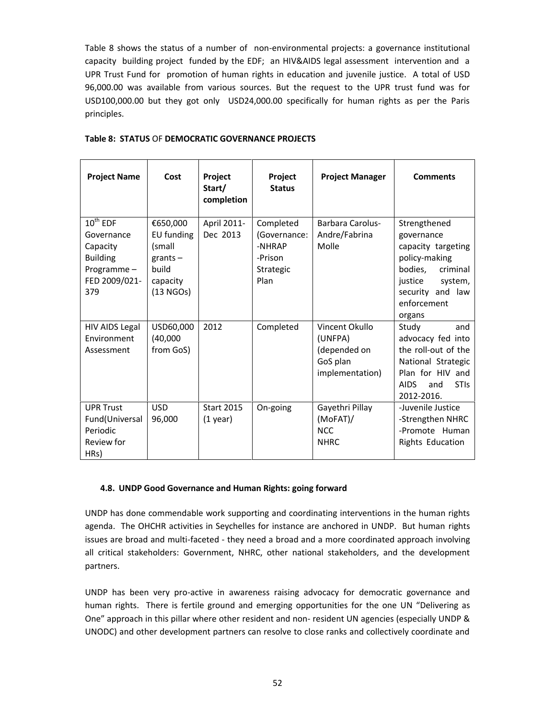Table 8 shows the status of a number of non-environmental projects: a governance institutional capacity building project funded by the EDF; an HIV&AIDS legal assessment intervention and a UPR Trust Fund for promotion of human rights in education and juvenile justice. A total of USD 96,000.00 was available from various sources. But the request to the UPR trust fund was for USD100,000.00 but they got only USD24,000.00 specifically for human rights as per the Paris principles.

| <b>Project Name</b>                                                                              | Cost                                                                             | Project<br>Start/<br>completion | Project<br><b>Status</b>                                            | <b>Project Manager</b>                                                   | <b>Comments</b>                                                                                                                                             |
|--------------------------------------------------------------------------------------------------|----------------------------------------------------------------------------------|---------------------------------|---------------------------------------------------------------------|--------------------------------------------------------------------------|-------------------------------------------------------------------------------------------------------------------------------------------------------------|
| $10^{th}$ EDF<br>Governance<br>Capacity<br><b>Building</b><br>Programme-<br>FED 2009/021-<br>379 | €650,000<br>EU funding<br>(small<br>grants $-$<br>build<br>capacity<br>(13 NGOs) | April 2011-<br>Dec 2013         | Completed<br>(Governance:<br>-NHRAP<br>-Prison<br>Strategic<br>Plan | Barbara Carolus-<br>Andre/Fabrina<br>Molle                               | Strengthened<br>governance<br>capacity targeting<br>policy-making<br>bodies,<br>criminal<br>justice<br>system,<br>security and law<br>enforcement<br>organs |
| <b>HIV AIDS Legal</b><br>Environment<br>Assessment                                               | USD60,000<br>(40,000)<br>from GoS)                                               | 2012                            | Completed                                                           | Vincent Okullo<br>(UNFPA)<br>(depended on<br>GoS plan<br>implementation) | Study<br>and<br>advocacy fed into<br>the roll-out of the<br>National Strategic<br>Plan for HIV and<br><b>AIDS</b><br><b>STIs</b><br>and<br>2012-2016.       |
| <b>UPR Trust</b><br>Fund(Universal<br>Periodic<br>Review for<br>HRs)                             | <b>USD</b><br>96,000                                                             | <b>Start 2015</b><br>$(1$ year) | On-going                                                            | Gayethri Pillay<br>$(MoFAT)$ /<br><b>NCC</b><br><b>NHRC</b>              | -Juvenile Justice<br>-Strengthen NHRC<br>-Promote Human<br>Rights Education                                                                                 |

## **Table 8: STATUS** OF **DEMOCRATIC GOVERNANCE PROJECTS**

### **4.8. UNDP Good Governance and Human Rights: going forward**

UNDP has done commendable work supporting and coordinating interventions in the human rights agenda. The OHCHR activities in Seychelles for instance are anchored in UNDP. But human rights issues are broad and multi-faceted - they need a broad and a more coordinated approach involving all critical stakeholders: Government, NHRC, other national stakeholders, and the development partners.

UNDP has been very pro-active in awareness raising advocacy for democratic governance and human rights. There is fertile ground and emerging opportunities for the one UN "Delivering as One" approach in this pillar where other resident and non- resident UN agencies (especially UNDP & UNODC) and other development partners can resolve to close ranks and collectively coordinate and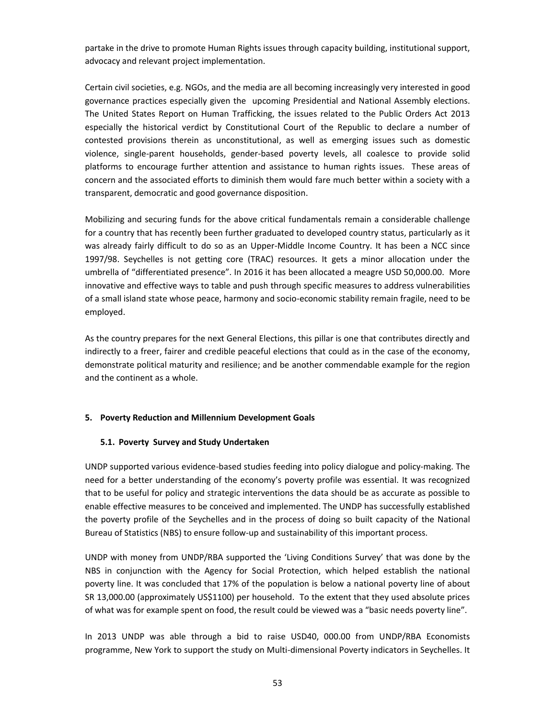partake in the drive to promote Human Rights issues through capacity building, institutional support, advocacy and relevant project implementation.

Certain civil societies, e.g. NGOs, and the media are all becoming increasingly very interested in good governance practices especially given the upcoming Presidential and National Assembly elections. The United States Report on Human Trafficking, the issues related to the Public Orders Act 2013 especially the historical verdict by Constitutional Court of the Republic to declare a number of contested provisions therein as unconstitutional, as well as emerging issues such as domestic violence, single-parent households, gender-based poverty levels, all coalesce to provide solid platforms to encourage further attention and assistance to human rights issues. These areas of concern and the associated efforts to diminish them would fare much better within a society with a transparent, democratic and good governance disposition.

Mobilizing and securing funds for the above critical fundamentals remain a considerable challenge for a country that has recently been further graduated to developed country status, particularly as it was already fairly difficult to do so as an Upper-Middle Income Country. It has been a NCC since 1997/98. Seychelles is not getting core (TRAC) resources. It gets a minor allocation under the umbrella of "differentiated presence". In 2016 it has been allocated a meagre USD 50,000.00. More innovative and effective ways to table and push through specific measures to address vulnerabilities of a small island state whose peace, harmony and socio-economic stability remain fragile, need to be employed.

As the country prepares for the next General Elections, this pillar is one that contributes directly and indirectly to a freer, fairer and credible peaceful elections that could as in the case of the economy, demonstrate political maturity and resilience; and be another commendable example for the region and the continent as a whole.

### **5. Poverty Reduction and Millennium Development Goals**

### **5.1. Poverty Survey and Study Undertaken**

UNDP supported various evidence-based studies feeding into policy dialogue and policy-making. The need for a better understanding of the economy's poverty profile was essential. It was recognized that to be useful for policy and strategic interventions the data should be as accurate as possible to enable effective measures to be conceived and implemented. The UNDP has successfully established the poverty profile of the Seychelles and in the process of doing so built capacity of the National Bureau of Statistics (NBS) to ensure follow-up and sustainability of this important process.

UNDP with money from UNDP/RBA supported the 'Living Conditions Survey' that was done by the NBS in conjunction with the Agency for Social Protection, which helped establish the national poverty line. It was concluded that 17% of the population is below a national poverty line of about SR 13,000.00 (approximately US\$1100) per household. To the extent that they used absolute prices of what was for example spent on food, the result could be viewed was a "basic needs poverty line".

In 2013 UNDP was able through a bid to raise USD40, 000.00 from UNDP/RBA Economists programme, New York to support the study on Multi-dimensional Poverty indicators in Seychelles. It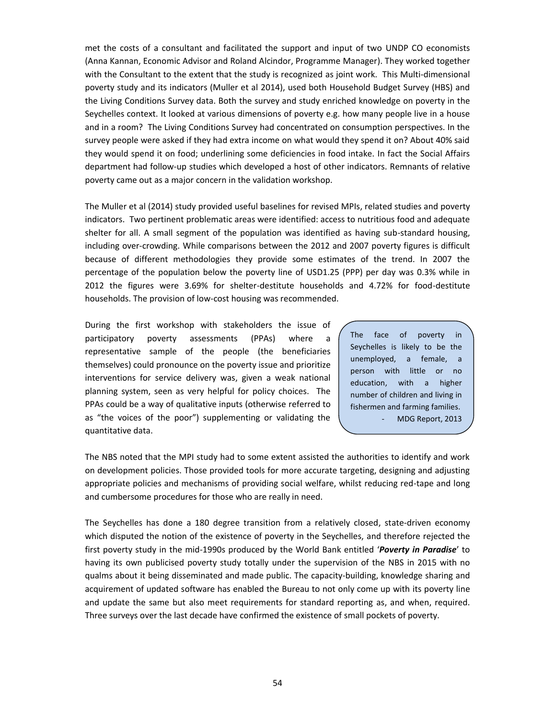met the costs of a consultant and facilitated the support and input of two UNDP CO economists (Anna Kannan, Economic Advisor and Roland Alcindor, Programme Manager). They worked together with the Consultant to the extent that the study is recognized as joint work. This Multi-dimensional poverty study and its indicators (Muller et al 2014), used both Household Budget Survey (HBS) and the Living Conditions Survey data. Both the survey and study enriched knowledge on poverty in the Seychelles context. It looked at various dimensions of poverty e.g. how many people live in a house and in a room? The Living Conditions Survey had concentrated on consumption perspectives. In the survey people were asked if they had extra income on what would they spend it on? About 40% said they would spend it on food; underlining some deficiencies in food intake. In fact the Social Affairs department had follow-up studies which developed a host of other indicators. Remnants of relative poverty came out as a major concern in the validation workshop.

The Muller et al (2014) study provided useful baselines for revised MPIs, related studies and poverty indicators. Two pertinent problematic areas were identified: access to nutritious food and adequate shelter for all. A small segment of the population was identified as having sub-standard housing, including over-crowding. While comparisons between the 2012 and 2007 poverty figures is difficult because of different methodologies they provide some estimates of the trend. In 2007 the percentage of the population below the poverty line of USD1.25 (PPP) per day was 0.3% while in 2012 the figures were 3.69% for shelter-destitute households and 4.72% for food-destitute households. The provision of low-cost housing was recommended.

During the first workshop with stakeholders the issue of participatory poverty assessments (PPAs) where a  $\int$ The representative sample of the people (the beneficiaries themselves) could pronounce on the poverty issue and prioritize interventions for service delivery was, given a weak national planning system, seen as very helpful for policy choices. The PPAs could be a way of qualitative inputs (otherwise referred to as "the voices of the poor") supplementing or validating the quantitative data.

face of poverty in Seychelles is likely to be the unemployed, a female, a person with little or no education, with a higher number of children and living in fishermen and farming families. MDG Report, 2013

The NBS noted that the MPI study had to some extent assisted the authorities to identify and work on development policies. Those provided tools for more accurate targeting, designing and adjusting appropriate policies and mechanisms of providing social welfare, whilst reducing red-tape and long and cumbersome procedures for those who are really in need.

The Seychelles has done a 180 degree transition from a relatively closed, state-driven economy which disputed the notion of the existence of poverty in the Seychelles, and therefore rejected the first poverty study in the mid-1990s produced by the World Bank entitled '*Poverty in Paradise*' to having its own publicised poverty study totally under the supervision of the NBS in 2015 with no qualms about it being disseminated and made public. The capacity-building, knowledge sharing and acquirement of updated software has enabled the Bureau to not only come up with its poverty line and update the same but also meet requirements for standard reporting as, and when, required. Three surveys over the last decade have confirmed the existence of small pockets of poverty.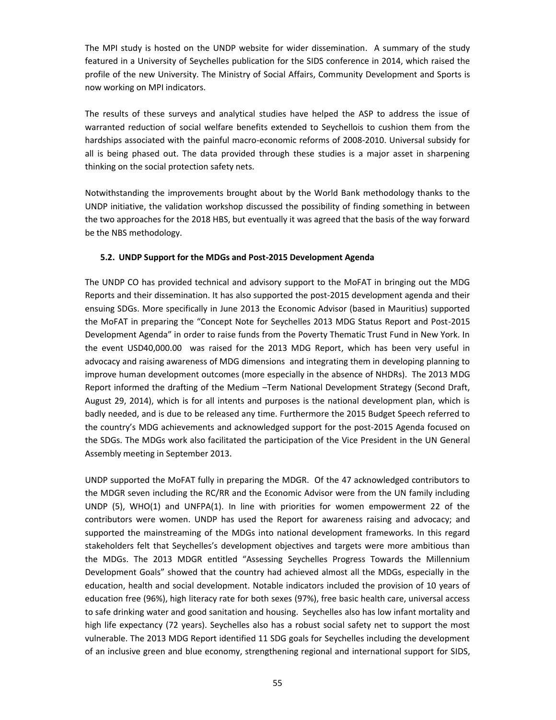The MPI study is hosted on the UNDP website for wider dissemination. A summary of the study featured in a University of Seychelles publication for the SIDS conference in 2014, which raised the profile of the new University. The Ministry of Social Affairs, Community Development and Sports is now working on MPI indicators.

The results of these surveys and analytical studies have helped the ASP to address the issue of warranted reduction of social welfare benefits extended to Seychellois to cushion them from the hardships associated with the painful macro-economic reforms of 2008-2010. Universal subsidy for all is being phased out. The data provided through these studies is a major asset in sharpening thinking on the social protection safety nets.

Notwithstanding the improvements brought about by the World Bank methodology thanks to the UNDP initiative, the validation workshop discussed the possibility of finding something in between the two approaches for the 2018 HBS, but eventually it was agreed that the basis of the way forward be the NBS methodology.

## **5.2. UNDP Support for the MDGs and Post-2015 Development Agenda**

The UNDP CO has provided technical and advisory support to the MoFAT in bringing out the MDG Reports and their dissemination. It has also supported the post-2015 development agenda and their ensuing SDGs. More specifically in June 2013 the Economic Advisor (based in Mauritius) supported the MoFAT in preparing the "Concept Note for Seychelles 2013 MDG Status Report and Post-2015 Development Agenda" in order to raise funds from the Poverty Thematic Trust Fund in New York. In the event USD40,000.00 was raised for the 2013 MDG Report, which has been very useful in advocacy and raising awareness of MDG dimensions and integrating them in developing planning to improve human development outcomes (more especially in the absence of NHDRs). The 2013 MDG Report informed the drafting of the Medium –Term National Development Strategy (Second Draft, August 29, 2014), which is for all intents and purposes is the national development plan, which is badly needed, and is due to be released any time. Furthermore the 2015 Budget Speech referred to the country's MDG achievements and acknowledged support for the post-2015 Agenda focused on the SDGs. The MDGs work also facilitated the participation of the Vice President in the UN General Assembly meeting in September 2013.

UNDP supported the MoFAT fully in preparing the MDGR. Of the 47 acknowledged contributors to the MDGR seven including the RC/RR and the Economic Advisor were from the UN family including UNDP (5), WHO(1) and UNFPA(1). In line with priorities for women empowerment 22 of the contributors were women. UNDP has used the Report for awareness raising and advocacy; and supported the mainstreaming of the MDGs into national development frameworks. In this regard stakeholders felt that Seychelles's development objectives and targets were more ambitious than the MDGs. The 2013 MDGR entitled "Assessing Seychelles Progress Towards the Millennium Development Goals" showed that the country had achieved almost all the MDGs, especially in the education, health and social development. Notable indicators included the provision of 10 years of education free (96%), high literacy rate for both sexes (97%), free basic health care, universal access to safe drinking water and good sanitation and housing. Seychelles also has low infant mortality and high life expectancy (72 years). Seychelles also has a robust social safety net to support the most vulnerable. The 2013 MDG Report identified 11 SDG goals for Seychelles including the development of an inclusive green and blue economy, strengthening regional and international support for SIDS,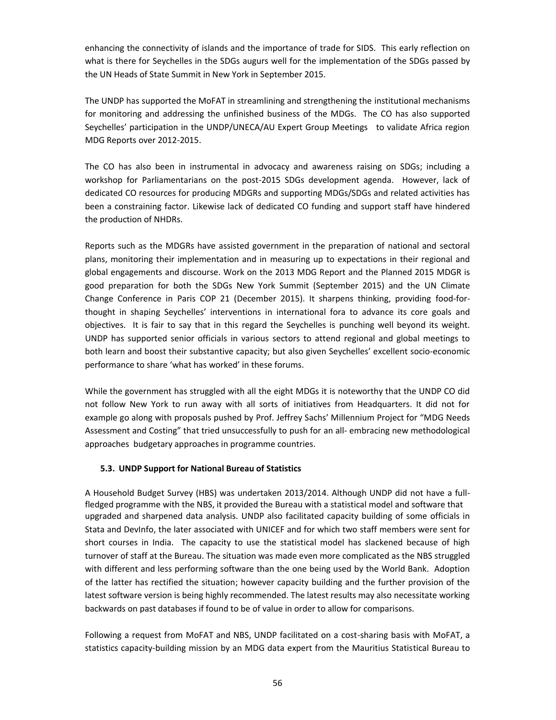enhancing the connectivity of islands and the importance of trade for SIDS. This early reflection on what is there for Seychelles in the SDGs augurs well for the implementation of the SDGs passed by the UN Heads of State Summit in New York in September 2015.

The UNDP has supported the MoFAT in streamlining and strengthening the institutional mechanisms for monitoring and addressing the unfinished business of the MDGs. The CO has also supported Seychelles' participation in the UNDP/UNECA/AU Expert Group Meetings to validate Africa region MDG Reports over 2012-2015.

The CO has also been in instrumental in advocacy and awareness raising on SDGs; including a workshop for Parliamentarians on the post-2015 SDGs development agenda. However, lack of dedicated CO resources for producing MDGRs and supporting MDGs/SDGs and related activities has been a constraining factor. Likewise lack of dedicated CO funding and support staff have hindered the production of NHDRs.

Reports such as the MDGRs have assisted government in the preparation of national and sectoral plans, monitoring their implementation and in measuring up to expectations in their regional and global engagements and discourse. Work on the 2013 MDG Report and the Planned 2015 MDGR is good preparation for both the SDGs New York Summit (September 2015) and the UN Climate Change Conference in Paris COP 21 (December 2015). It sharpens thinking, providing food-for thought in shaping Seychelles' interventions in international fora to advance its core goals and objectives. It is fair to say that in this regard the Seychelles is punching well beyond its weight. UNDP has supported senior officials in various sectors to attend regional and global meetings to both learn and boost their substantive capacity; but also given Seychelles' excellent socio-economic performance to share 'what has worked' in these forums.

While the government has struggled with all the eight MDGs it is noteworthy that the UNDP CO did not follow New York to run away with all sorts of initiatives from Headquarters. It did not for example go along with proposals pushed by Prof. Jeffrey Sachs' Millennium Project for "MDG Needs Assessment and Costing" that tried unsuccessfully to push for an all- embracing new methodological approaches budgetary approaches in programme countries.

## **5.3. UNDP Support for National Bureau of Statistics**

A Household Budget Survey (HBS) was undertaken 2013/2014. Although UNDP did not have a fullfledged programme with the NBS, it provided the Bureau with a statistical model and software that upgraded and sharpened data analysis. UNDP also facilitated capacity building of some officials in Stata and DevInfo, the later associated with UNICEF and for which two staff members were sent for short courses in India. The capacity to use the statistical model has slackened because of high turnover of staff at the Bureau. The situation was made even more complicated as the NBS struggled with different and less performing software than the one being used by the World Bank. Adoption of the latter has rectified the situation; however capacity building and the further provision of the latest software version is being highly recommended. The latest results may also necessitate working backwards on past databases if found to be of value in order to allow for comparisons.

Following a request from MoFAT and NBS, UNDP facilitated on a cost-sharing basis with MoFAT, a statistics capacity-building mission by an MDG data expert from the Mauritius Statistical Bureau to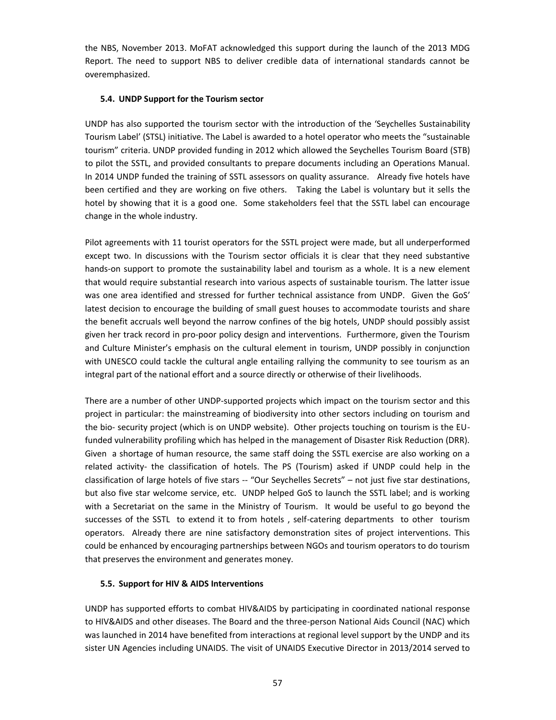the NBS, November 2013. MoFAT acknowledged this support during the launch of the 2013 MDG Report. The need to support NBS to deliver credible data of international standards cannot be overemphasized.

## **5.4. UNDP Support for the Tourism sector**

UNDP has also supported the tourism sector with the introduction of the 'Seychelles Sustainability Tourism Label' (STSL) initiative. The Label is awarded to a hotel operator who meets the "sustainable tourism" criteria. UNDP provided funding in 2012 which allowed the Seychelles Tourism Board (STB) to pilot the SSTL, and provided consultants to prepare documents including an Operations Manual. In 2014 UNDP funded the training of SSTL assessors on quality assurance. Already five hotels have been certified and they are working on five others. Taking the Label is voluntary but it sells the hotel by showing that it is a good one. Some stakeholders feel that the SSTL label can encourage change in the whole industry.

Pilot agreements with 11 tourist operators for the SSTL project were made, but all underperformed except two. In discussions with the Tourism sector officials it is clear that they need substantive hands-on support to promote the sustainability label and tourism as a whole. It is a new element that would require substantial research into various aspects of sustainable tourism. The latter issue was one area identified and stressed for further technical assistance from UNDP. Given the GoS' latest decision to encourage the building of small guest houses to accommodate tourists and share the benefit accruals well beyond the narrow confines of the big hotels, UNDP should possibly assist given her track record in pro-poor policy design and interventions. Furthermore, given the Tourism and Culture Minister's emphasis on the cultural element in tourism, UNDP possibly in conjunction with UNESCO could tackle the cultural angle entailing rallying the community to see tourism as an integral part of the national effort and a source directly or otherwise of their livelihoods.

There are a number of other UNDP-supported projects which impact on the tourism sector and this project in particular: the mainstreaming of biodiversity into other sectors including on tourism and the bio- security project (which is on UNDP website). Other projects touching on tourism is the EUfunded vulnerability profiling which has helped in the management of Disaster Risk Reduction (DRR). Given a shortage of human resource, the same staff doing the SSTL exercise are also working on a related activity- the classification of hotels. The PS (Tourism) asked if UNDP could help in the classification of large hotels of five stars -- "Our Seychelles Secrets" – not just five star destinations, but also five star welcome service, etc. UNDP helped GoS to launch the SSTL label; and is working with a Secretariat on the same in the Ministry of Tourism. It would be useful to go beyond the successes of the SSTL to extend it to from hotels , self-catering departments to other tourism operators. Already there are nine satisfactory demonstration sites of project interventions. This could be enhanced by encouraging partnerships between NGOs and tourism operators to do tourism that preserves the environment and generates money.

## **5.5. Support for HIV & AIDS Interventions**

UNDP has supported efforts to combat HIV&AIDS by participating in coordinated national response to HIV&AIDS and other diseases. The Board and the three-person National Aids Council (NAC) which was launched in 2014 have benefited from interactions at regional level support by the UNDP and its sister UN Agencies including UNAIDS. The visit of UNAIDS Executive Director in 2013/2014 served to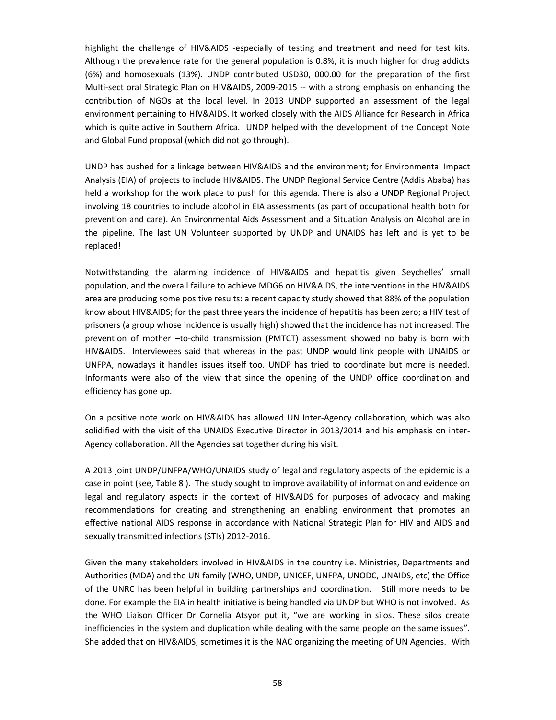highlight the challenge of HIV&AIDS -especially of testing and treatment and need for test kits. Although the prevalence rate for the general population is 0.8%, it is much higher for drug addicts (6%) and homosexuals (13%). UNDP contributed USD30, 000.00 for the preparation of the first Multi-sect oral Strategic Plan on HIV&AIDS, 2009-2015 -- with a strong emphasis on enhancing the contribution of NGOs at the local level. In 2013 UNDP supported an assessment of the legal environment pertaining to HIV&AIDS. It worked closely with the AIDS Alliance for Research in Africa which is quite active in Southern Africa. UNDP helped with the development of the Concept Note and Global Fund proposal (which did not go through).

UNDP has pushed for a linkage between HIV&AIDS and the environment; for Environmental Impact Analysis (EIA) of projects to include HIV&AIDS. The UNDP Regional Service Centre (Addis Ababa) has held a workshop for the work place to push for this agenda. There is also a UNDP Regional Project involving 18 countries to include alcohol in EIA assessments (as part of occupational health both for prevention and care). An Environmental Aids Assessment and a Situation Analysis on Alcohol are in the pipeline. The last UN Volunteer supported by UNDP and UNAIDS has left and is yet to be replaced!

Notwithstanding the alarming incidence of HIV&AIDS and hepatitis given Seychelles' small population, and the overall failure to achieve MDG6 on HIV&AIDS, the interventions in the HIV&AIDS area are producing some positive results: a recent capacity study showed that 88% of the population know about HIV&AIDS; for the past three years the incidence of hepatitis has been zero; a HIV test of prisoners (a group whose incidence is usually high) showed that the incidence has not increased. The prevention of mother –to-child transmission (PMTCT) assessment showed no baby is born with HIV&AIDS. Interviewees said that whereas in the past UNDP would link people with UNAIDS or UNFPA, nowadays it handles issues itself too. UNDP has tried to coordinate but more is needed. Informants were also of the view that since the opening of the UNDP office coordination and efficiency has gone up.

On a positive note work on HIV&AIDS has allowed UN Inter-Agency collaboration, which was also solidified with the visit of the UNAIDS Executive Director in 2013/2014 and his emphasis on inter- Agency collaboration. All the Agencies sat together during his visit.

A 2013 joint UNDP/UNFPA/WHO/UNAIDS study of legal and regulatory aspects of the epidemic is a case in point (see, Table 8 ). The study sought to improve availability of information and evidence on legal and regulatory aspects in the context of HIV&AIDS for purposes of advocacy and making recommendations for creating and strengthening an enabling environment that promotes an effective national AIDS response in accordance with National Strategic Plan for HIV and AIDS and sexually transmitted infections (STIs) 2012-2016.

Given the many stakeholders involved in HIV&AIDS in the country i.e. Ministries, Departments and Authorities (MDA) and the UN family (WHO, UNDP, UNICEF, UNFPA, UNODC, UNAIDS, etc) the Office of the UNRC has been helpful in building partnerships and coordination. Still more needs to be done. For example the EIA in health initiative is being handled via UNDP but WHO is not involved. As the WHO Liaison Officer Dr Cornelia Atsyor put it, "we are working in silos. These silos create inefficiencies in the system and duplication while dealing with the same people on the same issues". She added that on HIV&AIDS, sometimes it is the NAC organizing the meeting of UN Agencies. With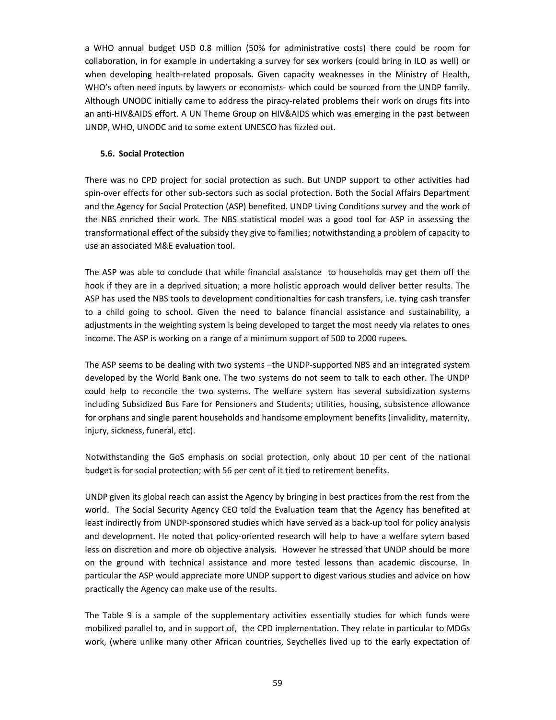a WHO annual budget USD 0.8 million (50% for administrative costs) there could be room for collaboration, in for example in undertaking a survey for sex workers (could bring in ILO as well) or when developing health-related proposals. Given capacity weaknesses in the Ministry of Health, WHO's often need inputs by lawyers or economists- which could be sourced from the UNDP family. Although UNODC initially came to address the piracy-related problems their work on drugs fits into an anti-HIV&AIDS effort. A UN Theme Group on HIV&AIDS which was emerging in the past between UNDP, WHO, UNODC and to some extent UNESCO has fizzled out.

### **5.6. Social Protection**

There was no CPD project for social protection as such. But UNDP support to other activities had spin-over effects for other sub-sectors such as social protection. Both the Social Affairs Department and the Agency for Social Protection (ASP) benefited. UNDP Living Conditions survey and the work of the NBS enriched their work. The NBS statistical model was a good tool for ASP in assessing the transformational effect of the subsidy they give to families; notwithstanding a problem of capacity to use an associated M&E evaluation tool.

The ASP was able to conclude that while financial assistance to households may get them off the hook if they are in a deprived situation; a more holistic approach would deliver better results. The ASP has used the NBS tools to development conditionalties for cash transfers, i.e. tying cash transfer to a child going to school. Given the need to balance financial assistance and sustainability, a adjustments in the weighting system is being developed to target the most needy via relates to ones income. The ASP is working on a range of a minimum support of 500 to 2000 rupees.

The ASP seems to be dealing with two systems –the UNDP-supported NBS and an integrated system developed by the World Bank one. The two systems do not seem to talk to each other. The UNDP could help to reconcile the two systems. The welfare system has several subsidization systems including Subsidized Bus Fare for Pensioners and Students; utilities, housing, subsistence allowance for orphans and single parent households and handsome employment benefits (invalidity, maternity, injury, sickness, funeral, etc).

Notwithstanding the GoS emphasis on social protection, only about 10 per cent of the national budget is for social protection; with 56 per cent of it tied to retirement benefits.

UNDP given its global reach can assist the Agency by bringing in best practices from the rest from the world. The Social Security Agency CEO told the Evaluation team that the Agency has benefited at least indirectly from UNDP-sponsored studies which have served as a back-up tool for policy analysis and development. He noted that policy-oriented research will help to have a welfare sytem based less on discretion and more ob objective analysis. However he stressed that UNDP should be more on the ground with technical assistance and more tested lessons than academic discourse. In particular the ASP would appreciate more UNDP support to digest various studies and advice on how practically the Agency can make use of the results.

The Table 9 is a sample of the supplementary activities essentially studies for which funds were mobilized parallel to, and in support of, the CPD implementation. They relate in particular to MDGs work, (where unlike many other African countries, Seychelles lived up to the early expectation of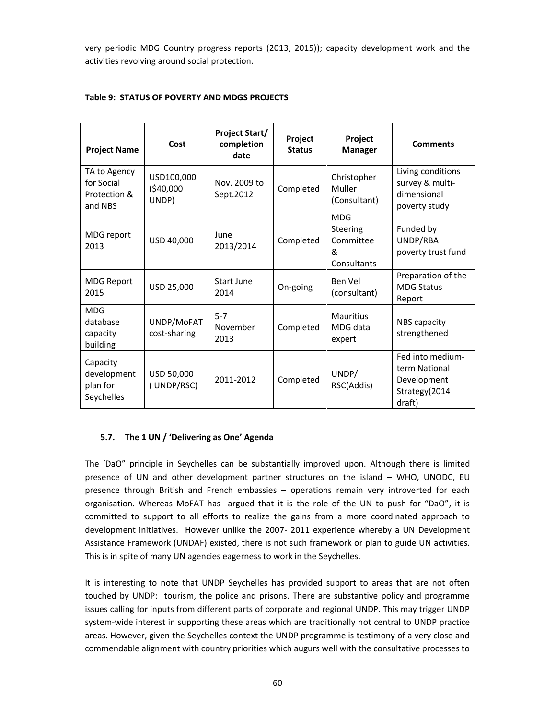very periodic MDG Country progress reports (2013, 2015)); capacity development work and the activities revolving around social protection.

| <b>Project Name</b>                                   | Cost                             | <b>Project Start/</b><br>completion<br>date | Project<br><b>Status</b> | Project<br><b>Manager</b>                                      | <b>Comments</b>                                                             |
|-------------------------------------------------------|----------------------------------|---------------------------------------------|--------------------------|----------------------------------------------------------------|-----------------------------------------------------------------------------|
| TA to Agency<br>for Social<br>Protection &<br>and NBS | USD100,000<br>(\$40,000<br>UNDP) | Nov. 2009 to<br>Sept.2012                   | Completed                | Christopher<br>Muller<br>(Consultant)                          | Living conditions<br>survey & multi-<br>dimensional<br>poverty study        |
| MDG report<br>2013                                    | USD 40,000                       | June<br>2013/2014                           | Completed                | <b>MDG</b><br><b>Steering</b><br>Committee<br>&<br>Consultants | Funded by<br>UNDP/RBA<br>poverty trust fund                                 |
| <b>MDG Report</b><br>2015                             | USD 25,000                       | Start June<br>2014                          | On-going                 | Ben Vel<br>(consultant)                                        | Preparation of the<br><b>MDG Status</b><br>Report                           |
| <b>MDG</b><br>database<br>capacity<br>building        | UNDP/MoFAT<br>cost-sharing       | $5 - 7$<br>November<br>2013                 | Completed                | <b>Mauritius</b><br>MDG data<br>expert                         | NBS capacity<br>strengthened                                                |
| Capacity<br>development<br>plan for<br>Seychelles     | USD 50,000<br>(UNDP/RSC)         | 2011-2012                                   | Completed                | UNDP/<br>RSC(Addis)                                            | Fed into medium-<br>term National<br>Development<br>Strategy(2014<br>draft) |

# **Table 9: STATUS OF POVERTY AND MDGS PROJECTS**

## **5.7. The 1 UN / 'Delivering as One' Agenda**

The 'DaO" principle in Seychelles can be substantially improved upon. Although there is limited presence of UN and other development partner structures on the island – WHO, UNODC, EU presence through British and French embassies – operations remain very introverted for each organisation. Whereas MoFAT has argued that it is the role of the UN to push for "DaO", it is committed to support to all efforts to realize the gains from a more coordinated approach to development initiatives. However unlike the 2007- 2011 experience whereby a UN Development Assistance Framework (UNDAF) existed, there is not such framework or plan to guide UN activities. This is in spite of many UN agencies eagerness to work in the Seychelles.

It is interesting to note that UNDP Seychelles has provided support to areas that are not often touched by UNDP: tourism, the police and prisons. There are substantive policy and programme issues calling for inputs from different parts of corporate and regional UNDP. This may trigger UNDP system-wide interest in supporting these areas which are traditionally not central to UNDP practice areas. However, given the Seychelles context the UNDP programme is testimony of a very close and commendable alignment with country priorities which augurs well with the consultative processes to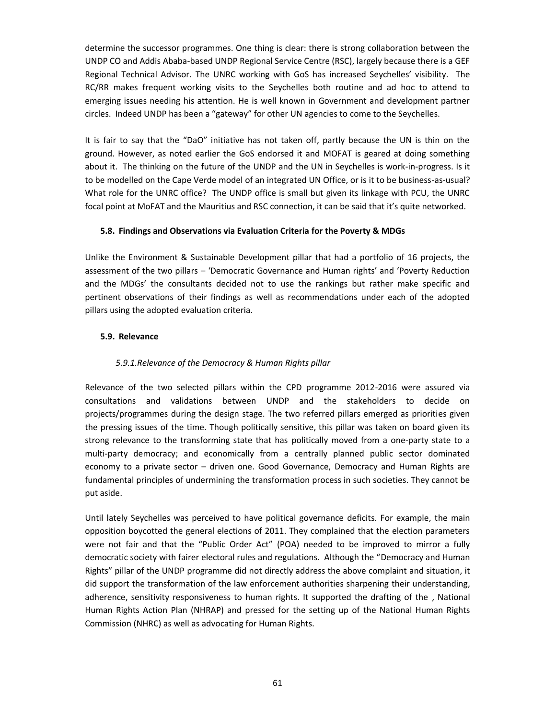determine the successor programmes. One thing is clear: there is strong collaboration between the UNDP CO and Addis Ababa-based UNDP Regional Service Centre (RSC), largely because there is a GEF Regional Technical Advisor. The UNRC working with GoS has increased Seychelles' visibility. The RC/RR makes frequent working visits to the Seychelles both routine and ad hoc to attend to emerging issues needing his attention. He is well known in Government and development partner circles. Indeed UNDP has been a "gateway" for other UN agencies to come to the Seychelles.

It is fair to say that the "DaO" initiative has not taken off, partly because the UN is thin on the ground. However, as noted earlier the GoS endorsed it and MOFAT is geared at doing something about it. The thinking on the future of the UNDP and the UN in Seychelles is work-in-progress. Is it to be modelled on the Cape Verde model of an integrated UN Office, or is it to be business-as-usual? What role for the UNRC office? The UNDP office is small but given its linkage with PCU, the UNRC focal point at MoFAT and the Mauritius and RSC connection, it can be said that it's quite networked.

## **5.8. Findings and Observations via Evaluation Criteria for the Poverty & MDGs**

Unlike the Environment & Sustainable Development pillar that had a portfolio of 16 projects, the assessment of the two pillars – 'Democratic Governance and Human rights' and 'Poverty Reduction and the MDGs' the consultants decided not to use the rankings but rather make specific and pertinent observations of their findings as well as recommendations under each of the adopted pillars using the adopted evaluation criteria.

## **5.9. Relevance**

## *5.9.1.Relevance of the Democracy & Human Rights pillar*

Relevance of the two selected pillars within the CPD programme 2012-2016 were assured via consultations and validations between UNDP and the stakeholders to decide on projects/programmes during the design stage. The two referred pillars emerged as priorities given the pressing issues of the time. Though politically sensitive, this pillar was taken on board given its strong relevance to the transforming state that has politically moved from a one-party state to a multi-party democracy; and economically from a centrally planned public sector dominated economy to a private sector – driven one. Good Governance, Democracy and Human Rights are fundamental principles of undermining the transformation process in such societies. They cannot be put aside.

Until lately Seychelles was perceived to have political governance deficits. For example, the main opposition boycotted the general elections of 2011. They complained that the election parameters were not fair and that the "Public Order Act" (POA) needed to be improved to mirror a fully democratic society with fairer electoral rules and regulations. Although the "Democracy and Human Rights" pillar of the UNDP programme did not directly address the above complaint and situation, it did support the transformation of the law enforcement authorities sharpening their understanding, adherence, sensitivity responsiveness to human rights. It supported the drafting of the , National Human Rights Action Plan (NHRAP) and pressed for the setting up of the National Human Rights Commission (NHRC) as well as advocating for Human Rights.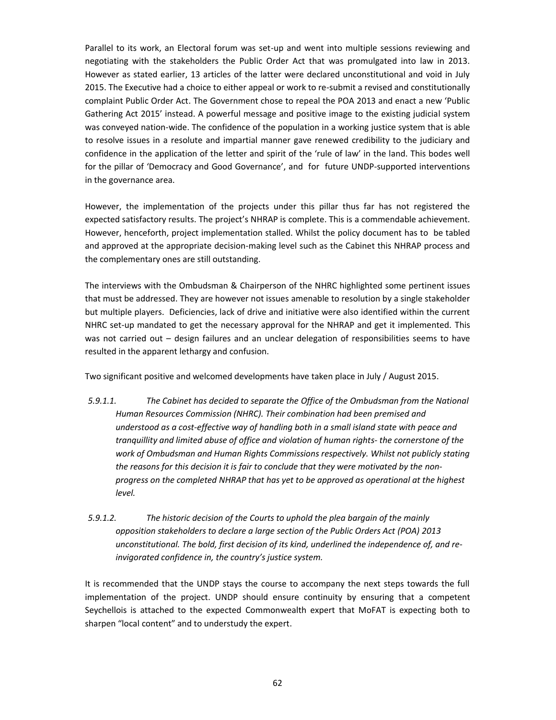Parallel to its work, an Electoral forum was set-up and went into multiple sessions reviewing and negotiating with the stakeholders the Public Order Act that was promulgated into law in 2013. However as stated earlier, 13 articles of the latter were declared unconstitutional and void in July 2015. The Executive had a choice to either appeal or work to re-submit a revised and constitutionally complaint Public Order Act. The Government chose to repeal the POA 2013 and enact a new 'Public Gathering Act 2015' instead. A powerful message and positive image to the existing judicial system was conveyed nation-wide. The confidence of the population in a working justice system that is able to resolve issues in a resolute and impartial manner gave renewed credibility to the judiciary and confidence in the application of the letter and spirit of the 'rule of law' in the land. This bodes well for the pillar of 'Democracy and Good Governance', and for future UNDP-supported interventions in the governance area.

However, the implementation of the projects under this pillar thus far has not registered the expected satisfactory results. The project's NHRAP is complete. This is a commendable achievement. However, henceforth, project implementation stalled. Whilst the policy document has to be tabled and approved at the appropriate decision-making level such as the Cabinet this NHRAP process and the complementary ones are still outstanding.

The interviews with the Ombudsman & Chairperson of the NHRC highlighted some pertinent issues that must be addressed. They are however not issues amenable to resolution by a single stakeholder but multiple players. Deficiencies, lack of drive and initiative were also identified within the current NHRC set-up mandated to get the necessary approval for the NHRAP and get it implemented. This was not carried out – design failures and an unclear delegation of responsibilities seems to have resulted in the apparent lethargy and confusion.

Two significant positive and welcomed developments have taken place in July / August 2015.

- *5.9.1.1. The Cabinet has decided to separate the Office of the Ombudsman from the National Human Resources Commission (NHRC). Their combination had been premised and understood as a cost-effective way of handling both in a small island state with peace and tranquillity and limited abuse of office and violation of human rights- the cornerstone of the work of Ombudsman and Human Rights Commissions respectively. Whilst not publicly stating the reasons for this decision it is fair to conclude that they were motivated by the non progress on the completed NHRAP that has yet to be approved as operational at the highest level.*
- *5.9.1.2. The historic decision of the Courts to uphold the plea bargain of the mainly opposition stakeholders to declare a large section of the Public Orders Act (POA) 2013 unconstitutional. The bold, first decision of its kind, underlined the independence of, and reinvigorated confidence in, the country's justice system.*

It is recommended that the UNDP stays the course to accompany the next steps towards the full implementation of the project. UNDP should ensure continuity by ensuring that a competent Seychellois is attached to the expected Commonwealth expert that MoFAT is expecting both to sharpen "local content" and to understudy the expert.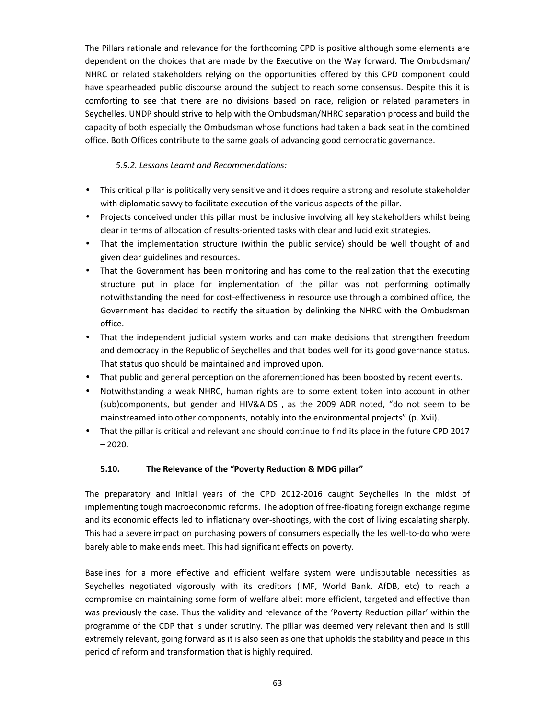The Pillars rationale and relevance for the forthcoming CPD is positive although some elements are dependent on the choices that are made by the Executive on the Way forward. The Ombudsman/ NHRC or related stakeholders relying on the opportunities offered by this CPD component could have spearheaded public discourse around the subject to reach some consensus. Despite this it is comforting to see that there are no divisions based on race, religion or related parameters in Seychelles. UNDP should strive to help with the Ombudsman/NHRC separation process and build the capacity of both especially the Ombudsman whose functions had taken a back seat in the combined office. Both Offices contribute to the same goals of advancing good democratic governance.

## *5.9.2. Lessons Learnt and Recommendations:*

- This critical pillar is politically very sensitive and it does require a strong and resolute stakeholder with diplomatic savvy to facilitate execution of the various aspects of the pillar.
- Projects conceived under this pillar must be inclusive involving all key stakeholders whilst being clear in terms of allocation of results-oriented tasks with clear and lucid exit strategies.
- That the implementation structure (within the public service) should be well thought of and given clear guidelines and resources.
- That the Government has been monitoring and has come to the realization that the executing structure put in place for implementation of the pillar was not performing optimally notwithstanding the need for cost-effectiveness in resource use through a combined office, the Government has decided to rectify the situation by delinking the NHRC with the Ombudsman office.
- That the independent judicial system works and can make decisions that strengthen freedom and democracy in the Republic of Seychelles and that bodes well for its good governance status. That status quo should be maintained and improved upon.
- That public and general perception on the aforementioned has been boosted by recent events.
- Notwithstanding a weak NHRC, human rights are to some extent token into account in other (sub)components, but gender and HIV&AIDS , as the 2009 ADR noted, "do not seem to be mainstreamed into other components, notably into the environmental projects" (p. Xvii).
- That the pillar is critical and relevant and should continue to find its place in the future CPD 2017  $-2020.$

## **5.10. The Relevance of the "Poverty Reduction & MDG pillar"**

The preparatory and initial years of the CPD 2012-2016 caught Seychelles in the midst of implementing tough macroeconomic reforms. The adoption of free-floating foreign exchange regime and its economic effects led to inflationary over-shootings, with the cost of living escalating sharply. This had a severe impact on purchasing powers of consumers especially the les well-to-do who were barely able to make ends meet. This had significant effects on poverty.

Baselines for a more effective and efficient welfare system were undisputable necessities as Seychelles negotiated vigorously with its creditors (IMF, World Bank, AfDB, etc) to reach a compromise on maintaining some form of welfare albeit more efficient, targeted and effective than was previously the case. Thus the validity and relevance of the 'Poverty Reduction pillar' within the programme of the CDP that is under scrutiny. The pillar was deemed very relevant then and is still extremely relevant, going forward as it is also seen as one that upholds the stability and peace in this period of reform and transformation that is highly required.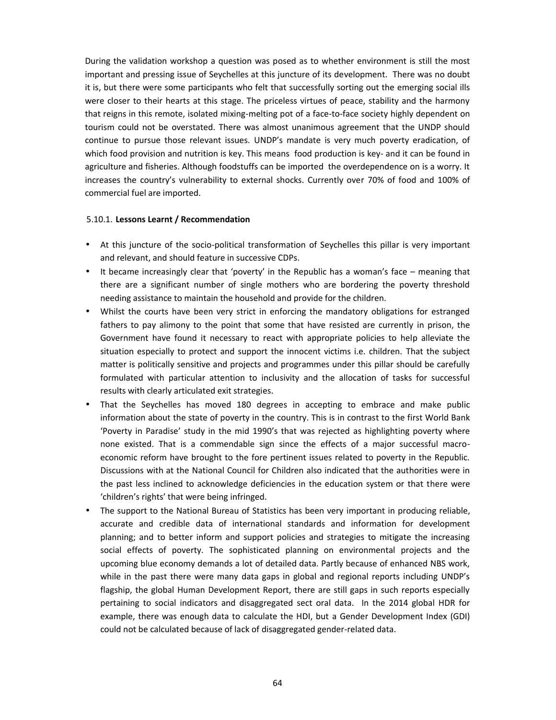During the validation workshop a question was posed as to whether environment is still the most important and pressing issue of Seychelles at this juncture of its development. There was no doubt it is, but there were some participants who felt that successfully sorting out the emerging social ills were closer to their hearts at this stage. The priceless virtues of peace, stability and the harmony that reigns in this remote, isolated mixing-melting pot of a face-to-face society highly dependent on tourism could not be overstated. There was almost unanimous agreement that the UNDP should continue to pursue those relevant issues. UNDP's mandate is very much poverty eradication, of which food provision and nutrition is key. This means food production is key- and it can be found in agriculture and fisheries. Although foodstuffs can be imported the overdependence on is a worry. It increases the country's vulnerability to external shocks. Currently over 70% of food and 100% of commercial fuel are imported.

### 5.10.1. **Lessons Learnt / Recommendation**

- At this juncture of the socio-political transformation of Seychelles this pillar is very important and relevant, and should feature in successive CDPs.
- It became increasingly clear that 'poverty' in the Republic has a woman's face meaning that there are a significant number of single mothers who are bordering the poverty threshold needing assistance to maintain the household and provide for the children.
- Whilst the courts have been very strict in enforcing the mandatory obligations for estranged fathers to pay alimony to the point that some that have resisted are currently in prison, the Government have found it necessary to react with appropriate policies to help alleviate the situation especially to protect and support the innocent victims i.e. children. That the subject matter is politically sensitive and projects and programmes under this pillar should be carefully formulated with particular attention to inclusivity and the allocation of tasks for successful results with clearly articulated exit strategies.
- That the Seychelles has moved 180 degrees in accepting to embrace and make public information about the state of poverty in the country. This is in contrast to the first World Bank 'Poverty in Paradise' study in the mid 1990's that was rejected as highlighting poverty where none existed. That is a commendable sign since the effects of a major successful macro economic reform have brought to the fore pertinent issues related to poverty in the Republic. Discussions with at the National Council for Children also indicated that the authorities were in the past less inclined to acknowledge deficiencies in the education system or that there were 'children's rights' that were being infringed.
- The support to the National Bureau of Statistics has been very important in producing reliable, accurate and credible data of international standards and information for development planning; and to better inform and support policies and strategies to mitigate the increasing social effects of poverty. The sophisticated planning on environmental projects and the upcoming blue economy demands a lot of detailed data. Partly because of enhanced NBS work, while in the past there were many data gaps in global and regional reports including UNDP's flagship, the global Human Development Report, there are still gaps in such reports especially pertaining to social indicators and disaggregated sect oral data. In the 2014 global HDR for example, there was enough data to calculate the HDI, but a Gender Development Index (GDI) could not be calculated because of lack of disaggregated gender-related data.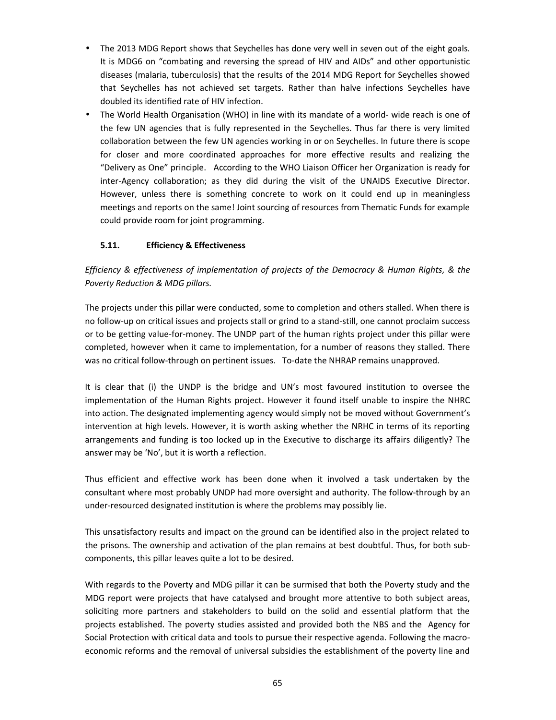- The 2013 MDG Report shows that Seychelles has done very well in seven out of the eight goals. It is MDG6 on "combating and reversing the spread of HIV and AIDs" and other opportunistic diseases (malaria, tuberculosis) that the results of the 2014 MDG Report for Seychelles showed that Seychelles has not achieved set targets. Rather than halve infections Seychelles have doubled its identified rate of HIV infection.
- The World Health Organisation (WHO) in line with its mandate of a world- wide reach is one of the few UN agencies that is fully represented in the Seychelles. Thus far there is very limited collaboration between the few UN agencies working in or on Seychelles. In future there is scope for closer and more coordinated approaches for more effective results and realizing the "Delivery as One" principle. According to the WHO Liaison Officer her Organization is ready for inter-Agency collaboration; as they did during the visit of the UNAIDS Executive Director. However, unless there is something concrete to work on it could end up in meaningless meetings and reports on the same! Joint sourcing of resources from Thematic Funds for example could provide room for joint programming.

# **5.11. Efficiency & Effectiveness**

*Efficiency & effectiveness of implementation of projects of the Democracy & Human Rights, & the Poverty Reduction & MDG pillars.*

The projects under this pillar were conducted, some to completion and others stalled. When there is no follow-up on critical issues and projects stall or grind to a stand-still, one cannot proclaim success or to be getting value-for-money. The UNDP part of the human rights project under this pillar were completed, however when it came to implementation, for a number of reasons they stalled. There was no critical follow-through on pertinent issues. To-date the NHRAP remains unapproved.

It is clear that (i) the UNDP is the bridge and UN's most favoured institution to oversee the implementation of the Human Rights project. However it found itself unable to inspire the NHRC into action. The designated implementing agency would simply not be moved without Government's intervention at high levels. However, it is worth asking whether the NRHC in terms of its reporting arrangements and funding is too locked up in the Executive to discharge its affairs diligently? The answer may be 'No', but it is worth a reflection.

Thus efficient and effective work has been done when it involved a task undertaken by the consultant where most probably UNDP had more oversight and authority. The follow-through by an under-resourced designated institution is where the problems may possibly lie.

This unsatisfactory results and impact on the ground can be identified also in the project related to the prisons. The ownership and activation of the plan remains at best doubtful. Thus, for both sub components, this pillar leaves quite a lot to be desired.

With regards to the Poverty and MDG pillar it can be surmised that both the Poverty study and the MDG report were projects that have catalysed and brought more attentive to both subject areas, soliciting more partners and stakeholders to build on the solid and essential platform that the projects established. The poverty studies assisted and provided both the NBS and the Agency for Social Protection with critical data and tools to pursue their respective agenda. Following the macro economic reforms and the removal of universal subsidies the establishment of the poverty line and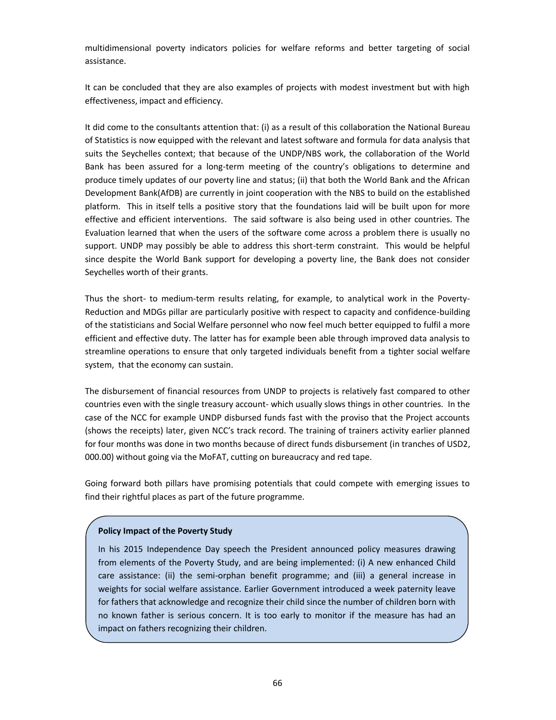multidimensional poverty indicators policies for welfare reforms and better targeting of social assistance.

It can be concluded that they are also examples of projects with modest investment but with high effectiveness, impact and efficiency.

It did come to the consultants attention that: (i) as a result of this collaboration the National Bureau of Statistics is now equipped with the relevant and latest software and formula for data analysis that suits the Seychelles context; that because of the UNDP/NBS work, the collaboration of the World Bank has been assured for a long-term meeting of the country's obligations to determine and produce timely updates of our poverty line and status; (ii) that both the World Bank and the African Development Bank(AfDB) are currently in joint cooperation with the NBS to build on the established platform. This in itself tells a positive story that the foundations laid will be built upon for more effective and efficient interventions. The said software is also being used in other countries. The Evaluation learned that when the users of the software come across a problem there is usually no support. UNDP may possibly be able to address this short-term constraint. This would be helpful since despite the World Bank support for developing a poverty line, the Bank does not consider Seychelles worth of their grants.

Thus the short- to medium-term results relating, for example, to analytical work in the Poverty- Reduction and MDGs pillar are particularly positive with respect to capacity and confidence-building of the statisticians and Social Welfare personnel who now feel much better equipped to fulfil a more efficient and effective duty. The latter has for example been able through improved data analysis to streamline operations to ensure that only targeted individuals benefit from a tighter social welfare system, that the economy can sustain.

The disbursement of financial resources from UNDP to projects is relatively fast compared to other countries even with the single treasury account- which usually slows things in other countries. In the case of the NCC for example UNDP disbursed funds fast with the proviso that the Project accounts (shows the receipts) later, given NCC's track record. The training of trainers activity earlier planned for four months was done in two months because of direct funds disbursement (in tranches of USD2, 000.00) without going via the MoFAT, cutting on bureaucracy and red tape.

Going forward both pillars have promising potentials that could compete with emerging issues to find their rightful places as part of the future programme.

### **Policy Impact of the Poverty Study**

In his 2015 Independence Day speech the President announced policy measures drawing from elements of the Poverty Study, and are being implemented: (i) A new enhanced Child care assistance: (ii) the semi-orphan benefit programme; and (iii) a general increase in weights for social welfare assistance. Earlier Government introduced a week paternity leave for fathers that acknowledge and recognize their child since the number of children born with no known father is serious concern. It is too early to monitor if the measure has had an impact on fathers recognizing their children.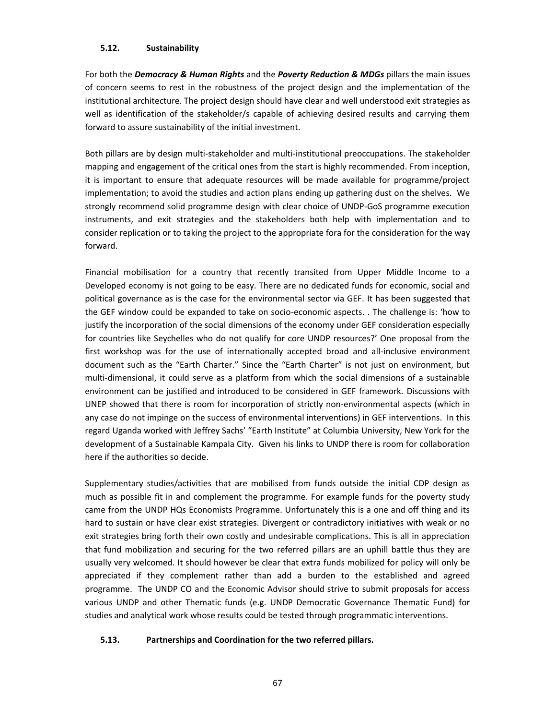### **5.12. Sustainability**

For both the *Democracy & Human Rights* and the *Poverty Reduction & MDGs* pillars the main issues of concern seems to rest in the robustness of the project design and the implementation of the institutional architecture. The project design should have clear and well understood exit strategies as well as identification of the stakeholder/s capable of achieving desired results and carrying them forward to assure sustainability of the initial investment.

Both pillars are by design multi-stakeholder and multi-institutional preoccupations. The stakeholder mapping and engagement of the critical ones from the start is highly recommended. From inception, it is important to ensure that adequate resources will be made available for programme/project implementation; to avoid the studies and action plans ending up gathering dust on the shelves. We strongly recommend solid programme design with clear choice of UNDP-GoS programme execution instruments, and exit strategies and the stakeholders both help with implementation and to consider replication or to taking the project to the appropriate fora for the consideration for the way forward.

Financial mobilisation for a country that recently transited from Upper Middle Income to a Developed economy is not going to be easy. There are no dedicated funds for economic, social and political governance as is the case for the environmental sector via GEF. It has been suggested that the GEF window could be expanded to take on socio-economic aspects. . The challenge is: 'how to justify the incorporation of the social dimensions of the economy under GEF consideration especially for countries like Seychelles who do not qualify for core UNDP resources?' One proposal from the first workshop was for the use of internationally accepted broad and all-inclusive environment document such as the "Earth Charter." Since the "Earth Charter" is not just on environment, but multi-dimensional, it could serve as a platform from which the social dimensions of a sustainable environment can be justified and introduced to be considered in GEF framework. Discussions with UNEP showed that there is room for incorporation of strictly non-environmental aspects (which in any case do not impinge on the success of environmental interventions) in GEF interventions. In this regard Uganda worked with Jeffrey Sachs' "Earth Institute" at Columbia University, New York for the development of a Sustainable Kampala City. Given his links to UNDP there is room for collaboration here if the authorities so decide.

Supplementary studies/activities that are mobilised from funds outside the initial CDP design as much as possible fit in and complement the programme. For example funds for the poverty study came from the UNDP HQs Economists Programme. Unfortunately this is a one and off thing and its hard to sustain or have clear exist strategies. Divergent or contradictory initiatives with weak or no exit strategies bring forth their own costly and undesirable complications. This is all in appreciation that fund mobilization and securing for the two referred pillars are an uphill battle thus they are usually very welcomed. It should however be clear that extra funds mobilized for policy will only be appreciated if they complement rather than add a burden to the established and agreed programme. The UNDP CO and the Economic Advisor should strive to submit proposals for access various UNDP and other Thematic funds (e.g. UNDP Democratic Governance Thematic Fund) for studies and analytical work whose results could be tested through programmatic interventions.

## **5.13. Partnerships and Coordination for the two referred pillars.**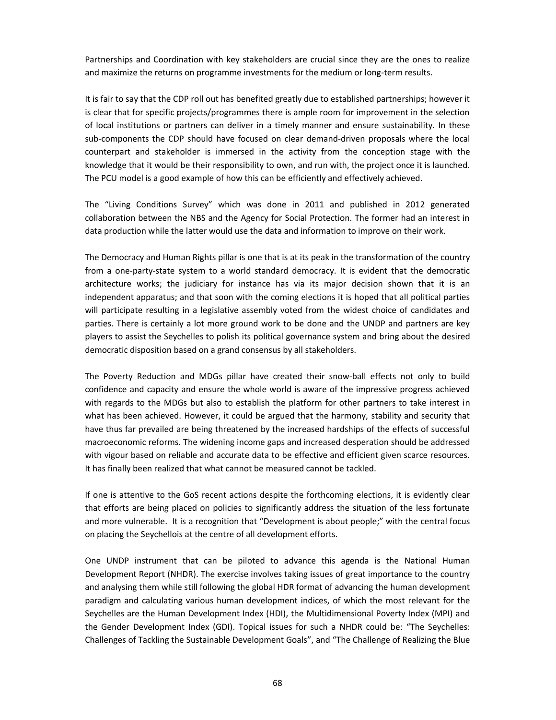Partnerships and Coordination with key stakeholders are crucial since they are the ones to realize and maximize the returns on programme investments for the medium or long-term results.

It is fair to say that the CDP roll out has benefited greatly due to established partnerships; however it is clear that for specific projects/programmes there is ample room for improvement in the selection of local institutions or partners can deliver in a timely manner and ensure sustainability. In these sub-components the CDP should have focused on clear demand-driven proposals where the local counterpart and stakeholder is immersed in the activity from the conception stage with the knowledge that it would be their responsibility to own, and run with, the project once it is launched. The PCU model is a good example of how this can be efficiently and effectively achieved.

The "Living Conditions Survey" which was done in 2011 and published in 2012 generated collaboration between the NBS and the Agency for Social Protection. The former had an interest in data production while the latter would use the data and information to improve on their work.

The Democracy and Human Rights pillar is one that is at its peak in the transformation of the country from a one-party-state system to a world standard democracy. It is evident that the democratic architecture works; the judiciary for instance has via its major decision shown that it is an independent apparatus; and that soon with the coming elections it is hoped that all political parties will participate resulting in a legislative assembly voted from the widest choice of candidates and parties. There is certainly a lot more ground work to be done and the UNDP and partners are key players to assist the Seychelles to polish its political governance system and bring about the desired democratic disposition based on a grand consensus by all stakeholders.

The Poverty Reduction and MDGs pillar have created their snow-ball effects not only to build confidence and capacity and ensure the whole world is aware of the impressive progress achieved with regards to the MDGs but also to establish the platform for other partners to take interest in what has been achieved. However, it could be argued that the harmony, stability and security that have thus far prevailed are being threatened by the increased hardships of the effects of successful macroeconomic reforms. The widening income gaps and increased desperation should be addressed with vigour based on reliable and accurate data to be effective and efficient given scarce resources. It has finally been realized that what cannot be measured cannot be tackled.

If one is attentive to the GoS recent actions despite the forthcoming elections, it is evidently clear that efforts are being placed on policies to significantly address the situation of the less fortunate and more vulnerable. It is a recognition that "Development is about people;" with the central focus on placing the Seychellois at the centre of all development efforts.

One UNDP instrument that can be piloted to advance this agenda is the National Human Development Report (NHDR). The exercise involves taking issues of great importance to the country and analysing them while still following the global HDR format of advancing the human development paradigm and calculating various human development indices, of which the most relevant for the Seychelles are the Human Development Index (HDI), the Multidimensional Poverty Index (MPI) and the Gender Development Index (GDI). Topical issues for such a NHDR could be: "The Seychelles: Challenges of Tackling the Sustainable Development Goals", and "The Challenge of Realizing the Blue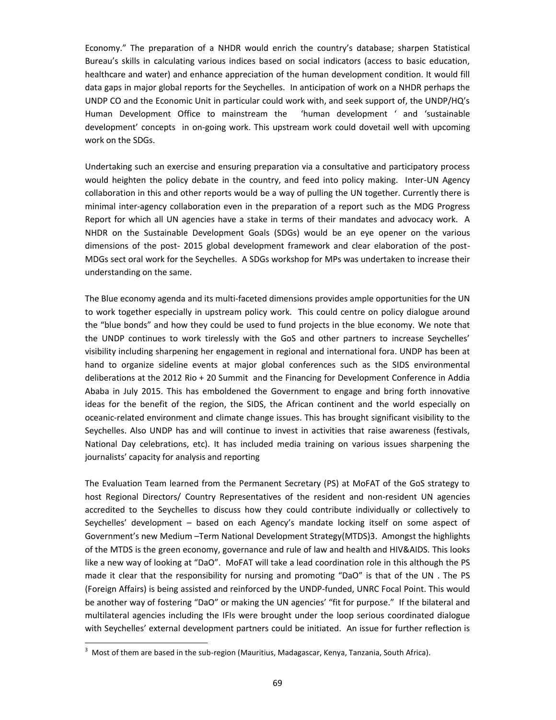Economy." The preparation of a NHDR would enrich the country's database; sharpen Statistical Bureau's skills in calculating various indices based on social indicators (access to basic education, healthcare and water) and enhance appreciation of the human development condition. It would fill data gaps in major global reports for the Seychelles. In anticipation of work on a NHDR perhaps the UNDP CO and the Economic Unit in particular could work with, and seek support of, the UNDP/HQ's Human Development Office to mainstream the 'human development ' and 'sustainable development' concepts in on-going work. This upstream work could dovetail well with upcoming work on the SDGs.

Undertaking such an exercise and ensuring preparation via a consultative and participatory process would heighten the policy debate in the country, and feed into policy making. Inter-UN Agency collaboration in this and other reports would be a way of pulling the UN together. Currently there is minimal inter-agency collaboration even in the preparation of a report such as the MDG Progress Report for which all UN agencies have a stake in terms of their mandates and advocacy work. A NHDR on the Sustainable Development Goals (SDGs) would be an eye opener on the various dimensions of the post- 2015 global development framework and clear elaboration of the post- MDGs sect oral work for the Seychelles. A SDGs workshop for MPs was undertaken to increase their understanding on the same.

The Blue economy agenda and its multi-faceted dimensions provides ample opportunities for the UN to work together especially in upstream policy work. This could centre on policy dialogue around the "blue bonds" and how they could be used to fund projects in the blue economy. We note that the UNDP continues to work tirelessly with the GoS and other partners to increase Seychelles' visibility including sharpening her engagement in regional and international fora. UNDP has been at hand to organize sideline events at major global conferences such as the SIDS environmental deliberations at the 2012 Rio + 20 Summit and the Financing for Development Conference in Addia Ababa in July 2015. This has emboldened the Government to engage and bring forth innovative ideas for the benefit of the region, the SIDS, the African continent and the world especially on oceanic-related environment and climate change issues. This has brought significant visibility to the Seychelles. Also UNDP has and will continue to invest in activities that raise awareness (festivals, National Day celebrations, etc). It has included media training on various issues sharpening the journalists' capacity for analysis and reporting

The Evaluation Team learned from the Permanent Secretary (PS) at MoFAT of the GoS strategy to host Regional Directors/ Country Representatives of the resident and non-resident UN agencies accredited to the Seychelles to discuss how they could contribute individually or collectively to Seychelles' development – based on each Agency's mandate locking itself on some aspect of Government's new Medium –Term National Development Strategy(MTDS)3. Amongst the highlights of the MTDS is the green economy, governance and rule of law and health and HIV&AIDS. This looks like a new way of looking at "DaO". MoFAT will take a lead coordination role in this although the PS made it clear that the responsibility for nursing and promoting "DaO" is that of the UN . The PS (Foreign Affairs) is being assisted and reinforced by the UNDP-funded, UNRC Focal Point. This would be another way of fostering "DaO" or making the UN agencies' "fit for purpose." If the bilateral and multilateral agencies including the IFIs were brought under the loop serious coordinated dialogue with Seychelles' external development partners could be initiated. An issue for further reflection is

<sup>3</sup> Most of them are based in the sub-region (Mauritius, Madagascar, Kenya, Tanzania, South Africa).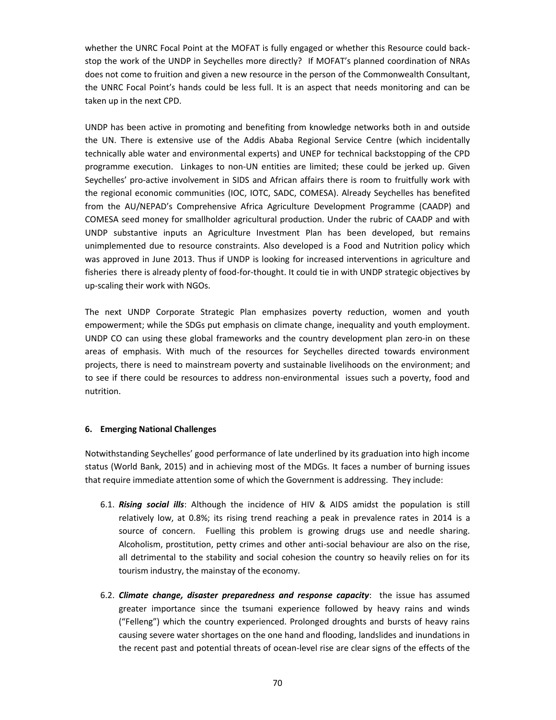whether the UNRC Focal Point at the MOFAT is fully engaged or whether this Resource could back stop the work of the UNDP in Seychelles more directly? If MOFAT's planned coordination of NRAs does not come to fruition and given a new resource in the person of the Commonwealth Consultant, the UNRC Focal Point's hands could be less full. It is an aspect that needs monitoring and can be taken up in the next CPD.

UNDP has been active in promoting and benefiting from knowledge networks both in and outside the UN. There is extensive use of the Addis Ababa Regional Service Centre (which incidentally technically able water and environmental experts) and UNEP for technical backstopping of the CPD programme execution. Linkages to non-UN entities are limited; these could be jerked up. Given Seychelles' pro-active involvement in SIDS and African affairs there is room to fruitfully work with the regional economic communities (IOC, IOTC, SADC, COMESA). Already Seychelles has benefited from the AU/NEPAD's Comprehensive Africa Agriculture Development Programme (CAADP) and COMESA seed money for smallholder agricultural production. Under the rubric of CAADP and with UNDP substantive inputs an Agriculture Investment Plan has been developed, but remains unimplemented due to resource constraints. Also developed is a Food and Nutrition policy which was approved in June 2013. Thus if UNDP is looking for increased interventions in agriculture and fisheries there is already plenty of food-for-thought. It could tie in with UNDP strategic objectives by up-scaling their work with NGOs.

The next UNDP Corporate Strategic Plan emphasizes poverty reduction, women and youth empowerment; while the SDGs put emphasis on climate change, inequality and youth employment. UNDP CO can using these global frameworks and the country development plan zero-in on these areas of emphasis. With much of the resources for Seychelles directed towards environment projects, there is need to mainstream poverty and sustainable livelihoods on the environment; and to see if there could be resources to address non-environmental issues such a poverty, food and nutrition.

### **6. Emerging National Challenges**

Notwithstanding Seychelles' good performance of late underlined by its graduation into high income status (World Bank, 2015) and in achieving most of the MDGs. It faces a number of burning issues that require immediate attention some of which the Government is addressing. They include:

- 6.1. *Rising social ills*: Although the incidence of HIV & AIDS amidst the population is still relatively low, at 0.8%; its rising trend reaching a peak in prevalence rates in 2014 is a source of concern. Fuelling this problem is growing drugs use and needle sharing. Alcoholism, prostitution, petty crimes and other anti-social behaviour are also on the rise, all detrimental to the stability and social cohesion the country so heavily relies on for its tourism industry, the mainstay of the economy.
- 6.2. *Climate change, disaster preparedness and response capacity*: the issue has assumed greater importance since the tsumani experience followed by heavy rains and winds ("Felleng") which the country experienced. Prolonged droughts and bursts of heavy rains causing severe water shortages on the one hand and flooding, landslides and inundations in the recent past and potential threats of ocean-level rise are clear signs of the effects of the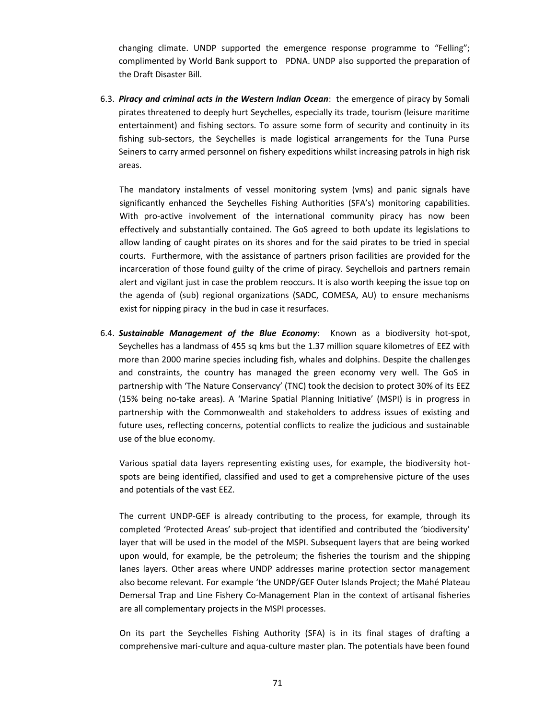changing climate. UNDP supported the emergence response programme to "Felling"; complimented by World Bank support to PDNA. UNDP also supported the preparation of the Draft Disaster Bill.

6.3. *Piracy and criminal acts in the Western Indian Ocean*: the emergence of piracy by Somali pirates threatened to deeply hurt Seychelles, especially its trade, tourism (leisure maritime entertainment) and fishing sectors. To assure some form of security and continuity in its fishing sub-sectors, the Seychelles is made logistical arrangements for the Tuna Purse Seiners to carry armed personnel on fishery expeditions whilst increasing patrols in high risk areas.

The mandatory instalments of vessel monitoring system (vms) and panic signals have significantly enhanced the Seychelles Fishing Authorities (SFA's) monitoring capabilities. With pro-active involvement of the international community piracy has now been effectively and substantially contained. The GoS agreed to both update its legislations to allow landing of caught pirates on its shores and for the said pirates to be tried in special courts. Furthermore, with the assistance of partners prison facilities are provided for the incarceration of those found guilty of the crime of piracy. Seychellois and partners remain alert and vigilant just in case the problem reoccurs. It is also worth keeping the issue top on the agenda of (sub) regional organizations (SADC, COMESA, AU) to ensure mechanisms exist for nipping piracy in the bud in case it resurfaces.

6.4. *Sustainable Management of the Blue Economy*: Known as a biodiversity hot-spot, Seychelles has a landmass of 455 sq kms but the 1.37 million square kilometres of EEZ with more than 2000 marine species including fish, whales and dolphins. Despite the challenges and constraints, the country has managed the green economy very well. The GoS in partnership with 'The Nature Conservancy' (TNC) took the decision to protect 30% of its EEZ (15% being no-take areas). A 'Marine Spatial Planning Initiative' (MSPI) is in progress in partnership with the Commonwealth and stakeholders to address issues of existing and future uses, reflecting concerns, potential conflicts to realize the judicious and sustainable use of the blue economy.

Various spatial data layers representing existing uses, for example, the biodiversity hot spots are being identified, classified and used to get a comprehensive picture of the uses and potentials of the vast EEZ.

The current UNDP-GEF is already contributing to the process, for example, through its completed 'Protected Areas' sub-project that identified and contributed the 'biodiversity' layer that will be used in the model of the MSPI. Subsequent layers that are being worked upon would, for example, be the petroleum; the fisheries the tourism and the shipping lanes layers. Other areas where UNDP addresses marine protection sector management also become relevant. For example 'the UNDP/GEF Outer Islands Project; the Mahé Plateau Demersal Trap and Line Fishery Co-Management Plan in the context of artisanal fisheries are all complementary projects in the MSPI processes.

On its part the Seychelles Fishing Authority (SFA) is in its final stages of drafting a comprehensive mari-culture and aqua-culture master plan. The potentials have been found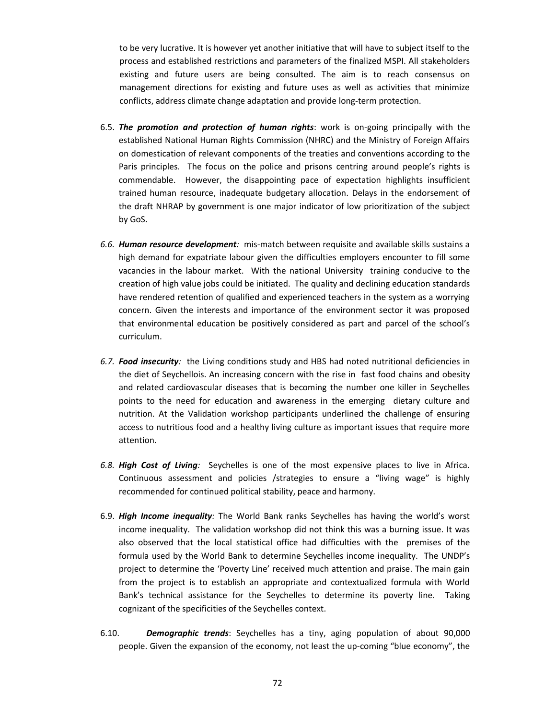to be very lucrative. It is however yet another initiative that will have to subject itself to the process and established restrictions and parameters of the finalized MSPI. All stakeholders existing and future users are being consulted. The aim is to reach consensus on management directions for existing and future uses as well as activities that minimize conflicts, address climate change adaptation and provide long-term protection.

- 6.5. *The promotion and protection of human rights*: work is on-going principally with the established National Human Rights Commission (NHRC) and the Ministry of Foreign Affairs on domestication of relevant components of the treaties and conventions according to the Paris principles. The focus on the police and prisons centring around people's rights is commendable. However, the disappointing pace of expectation highlights insufficient trained human resource, inadequate budgetary allocation. Delays in the endorsement of the draft NHRAP by government is one major indicator of low prioritization of the subject by GoS.
- *6.6. Human resource development:* mis-match between requisite and available skills sustains a high demand for expatriate labour given the difficulties employers encounter to fill some vacancies in the labour market. With the national University training conducive to the creation of high value jobs could be initiated. The quality and declining education standards have rendered retention of qualified and experienced teachers in the system as a worrying concern. Given the interests and importance of the environment sector it was proposed that environmental education be positively considered as part and parcel of the school's curriculum.
- *6.7. Food insecurity:* the Living conditions study and HBS had noted nutritional deficiencies in the diet of Seychellois. An increasing concern with the rise in fast food chains and obesity and related cardiovascular diseases that is becoming the number one killer in Seychelles points to the need for education and awareness in the emerging dietary culture and nutrition. At the Validation workshop participants underlined the challenge of ensuring access to nutritious food and a healthy living culture as important issues that require more attention.
- *6.8. High Cost of Living:* Seychelles is one of the most expensive places to live in Africa. Continuous assessment and policies /strategies to ensure a "living wage" is highly recommended for continued political stability, peace and harmony.
- 6.9. *High Income inequality:* The World Bank ranks Seychelles has having the world's worst income inequality. The validation workshop did not think this was a burning issue. It was also observed that the local statistical office had difficulties with the premises of the formula used by the World Bank to determine Seychelles income inequality. The UNDP's project to determine the 'Poverty Line' received much attention and praise. The main gain from the project is to establish an appropriate and contextualized formula with World Bank's technical assistance for the Seychelles to determine its poverty line. Taking cognizant of the specificities of the Seychelles context.
- 6.10. *Demographic trends*: Seychelles has a tiny, aging population of about 90,000 people. Given the expansion of the economy, not least the up-coming "blue economy", the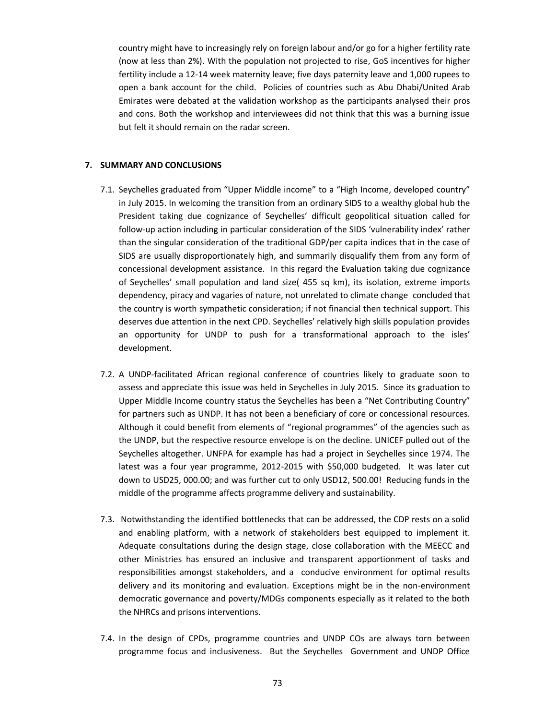country might have to increasingly rely on foreign labour and/or go for a higher fertility rate (now at less than 2%). With the population not projected to rise, GoS incentives for higher fertility include a 12-14 week maternity leave; five days paternity leave and 1,000 rupees to open a bank account for the child. Policies of countries such as Abu Dhabi/United Arab Emirates were debated at the validation workshop as the participants analysed their pros and cons. Both the workshop and interviewees did not think that this was a burning issue but felt it should remain on the radar screen.

#### **7. SUMMARY AND CONCLUSIONS**

- 7.1. Seychelles graduated from "Upper Middle income" to a "High Income, developed country" in July 2015. In welcoming the transition from an ordinary SIDS to a wealthy global hub the President taking due cognizance of Seychelles' difficult geopolitical situation called for follow-up action including in particular consideration of the SIDS 'vulnerability index' rather than the singular consideration of the traditional GDP/per capita indices that in the case of SIDS are usually disproportionately high, and summarily disqualify them from any form of concessional development assistance. In this regard the Evaluation taking due cognizance of Seychelles' small population and land size( 455 sq km), its isolation, extreme imports dependency, piracy and vagaries of nature, not unrelated to climate change concluded that the country is worth sympathetic consideration; if not financial then technical support. This deserves due attention in the next CPD. Seychelles' relatively high skills population provides an opportunity for UNDP to push for a transformational approach to the isles' development.
- 7.2. A UNDP-facilitated African regional conference of countries likely to graduate soon to assess and appreciate this issue was held in Seychelles in July 2015. Since its graduation to Upper Middle Income country status the Seychelles has been a "Net Contributing Country" for partners such as UNDP. It has not been a beneficiary of core or concessional resources. Although it could benefit from elements of "regional programmes" of the agencies such as the UNDP, but the respective resource envelope is on the decline. UNICEF pulled out of the Seychelles altogether. UNFPA for example has had a project in Seychelles since 1974. The latest was a four year programme, 2012-2015 with \$50,000 budgeted. It was later cut down to USD25, 000.00; and was further cut to only USD12, 500.00! Reducing funds in the middle of the programme affects programme delivery and sustainability.
- 7.3. Notwithstanding the identified bottlenecks that can be addressed, the CDP rests on a solid and enabling platform, with a network of stakeholders best equipped to implement it. Adequate consultations during the design stage, close collaboration with the MEECC and other Ministries has ensured an inclusive and transparent apportionment of tasks and responsibilities amongst stakeholders, and a conducive environment for optimal results delivery and its monitoring and evaluation. Exceptions might be in the non-environment democratic governance and poverty/MDGs components especially as it related to the both the NHRCs and prisons interventions.
- 7.4. In the design of CPDs, programme countries and UNDP COs are always torn between programme focus and inclusiveness. But the Seychelles Government and UNDP Office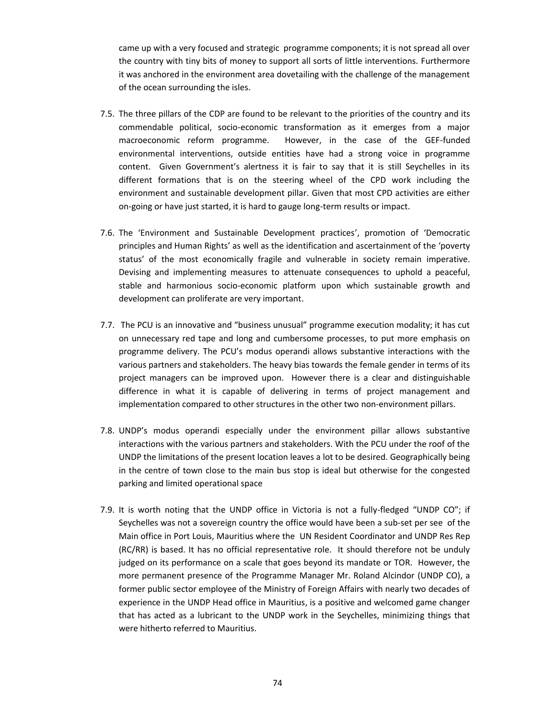came up with a very focused and strategic programme components; it is not spread all over the country with tiny bits of money to support all sorts of little interventions. Furthermore it was anchored in the environment area dovetailing with the challenge of the management of the ocean surrounding the isles.

- 7.5. The three pillars of the CDP are found to be relevant to the priorities of the country and its commendable political, socio-economic transformation as it emerges from a major macroeconomic reform programme. However, in the case of the GEF-funded environmental interventions, outside entities have had a strong voice in programme content. Given Government's alertness it is fair to say that it is still Seychelles in its different formations that is on the steering wheel of the CPD work including the environment and sustainable development pillar. Given that most CPD activities are either on-going or have just started, it is hard to gauge long-term results or impact.
- 7.6. The 'Environment and Sustainable Development practices', promotion of 'Democratic principles and Human Rights' as well as the identification and ascertainment of the 'poverty status' of the most economically fragile and vulnerable in society remain imperative. Devising and implementing measures to attenuate consequences to uphold a peaceful, stable and harmonious socio-economic platform upon which sustainable growth and development can proliferate are very important.
- 7.7. The PCU is an innovative and "business unusual" programme execution modality; it has cut on unnecessary red tape and long and cumbersome processes, to put more emphasis on programme delivery. The PCU's modus operandi allows substantive interactions with the various partners and stakeholders. The heavy bias towards the female gender in terms of its project managers can be improved upon. However there is a clear and distinguishable difference in what it is capable of delivering in terms of project management and implementation compared to other structures in the other two non-environment pillars.
- 7.8. UNDP's modus operandi especially under the environment pillar allows substantive interactions with the various partners and stakeholders. With the PCU under the roof of the UNDP the limitations of the present location leaves a lot to be desired. Geographically being in the centre of town close to the main bus stop is ideal but otherwise for the congested parking and limited operational space
- 7.9. It is worth noting that the UNDP office in Victoria is not a fully-fledged "UNDP CO"; if Seychelles was not a sovereign country the office would have been a sub-set per see of the Main office in Port Louis, Mauritius where the UN Resident Coordinator and UNDP Res Rep (RC/RR) is based. It has no official representative role. It should therefore not be unduly judged on its performance on a scale that goes beyond its mandate or TOR. However, the more permanent presence of the Programme Manager Mr. Roland Alcindor (UNDP CO), a former public sector employee of the Ministry of Foreign Affairs with nearly two decades of experience in the UNDP Head office in Mauritius, is a positive and welcomed game changer that has acted as a lubricant to the UNDP work in the Seychelles, minimizing things that were hitherto referred to Mauritius.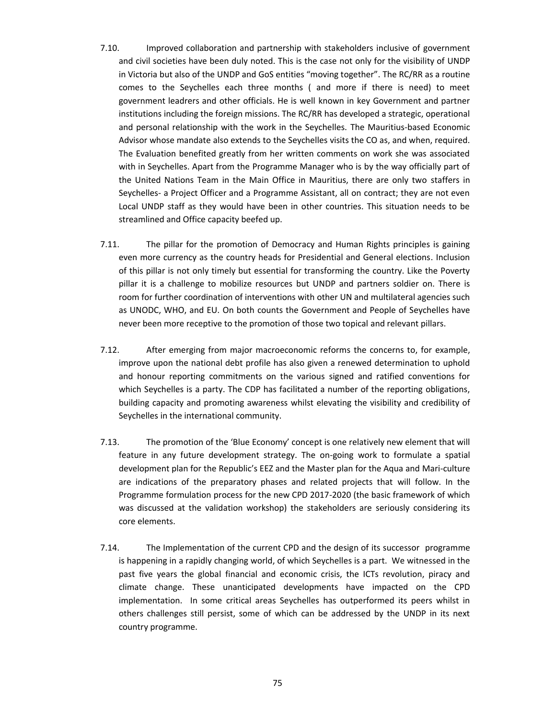- 7.10. Improved collaboration and partnership with stakeholders inclusive of government and civil societies have been duly noted. This is the case not only for the visibility of UNDP in Victoria but also of the UNDP and GoS entities "moving together". The RC/RR as a routine comes to the Seychelles each three months ( and more if there is need) to meet government leadrers and other officials. He is well known in key Government and partner institutions including the foreign missions. The RC/RR has developed a strategic, operational and personal relationship with the work in the Seychelles. The Mauritius-based Economic Advisor whose mandate also extends to the Seychelles visits the CO as, and when, required. The Evaluation benefited greatly from her written comments on work she was associated with in Seychelles. Apart from the Programme Manager who is by the way officially part of the United Nations Team in the Main Office in Mauritius, there are only two staffers in Seychelles- a Project Officer and a Programme Assistant, all on contract; they are not even Local UNDP staff as they would have been in other countries. This situation needs to be streamlined and Office capacity beefed up.
- 7.11. The pillar for the promotion of Democracy and Human Rights principles is gaining even more currency as the country heads for Presidential and General elections. Inclusion of this pillar is not only timely but essential for transforming the country. Like the Poverty pillar it is a challenge to mobilize resources but UNDP and partners soldier on. There is room for further coordination of interventions with other UN and multilateral agencies such as UNODC, WHO, and EU. On both counts the Government and People of Seychelles have never been more receptive to the promotion of those two topical and relevant pillars.
- 7.12. After emerging from major macroeconomic reforms the concerns to, for example, improve upon the national debt profile has also given a renewed determination to uphold and honour reporting commitments on the various signed and ratified conventions for which Seychelles is a party. The CDP has facilitated a number of the reporting obligations, building capacity and promoting awareness whilst elevating the visibility and credibility of Seychelles in the international community.
- 7.13. The promotion of the 'Blue Economy' concept is one relatively new element that will feature in any future development strategy. The on-going work to formulate a spatial development plan for the Republic's EEZ and the Master plan for the Aqua and Mari-culture are indications of the preparatory phases and related projects that will follow. In the Programme formulation process for the new CPD 2017-2020 (the basic framework of which was discussed at the validation workshop) the stakeholders are seriously considering its core elements.
- 7.14. The Implementation of the current CPD and the design of its successor programme is happening in a rapidly changing world, of which Seychelles is a part. We witnessed in the past five years the global financial and economic crisis, the ICTs revolution, piracy and climate change. These unanticipated developments have impacted on the CPD implementation. In some critical areas Seychelles has outperformed its peers whilst in others challenges still persist, some of which can be addressed by the UNDP in its next country programme.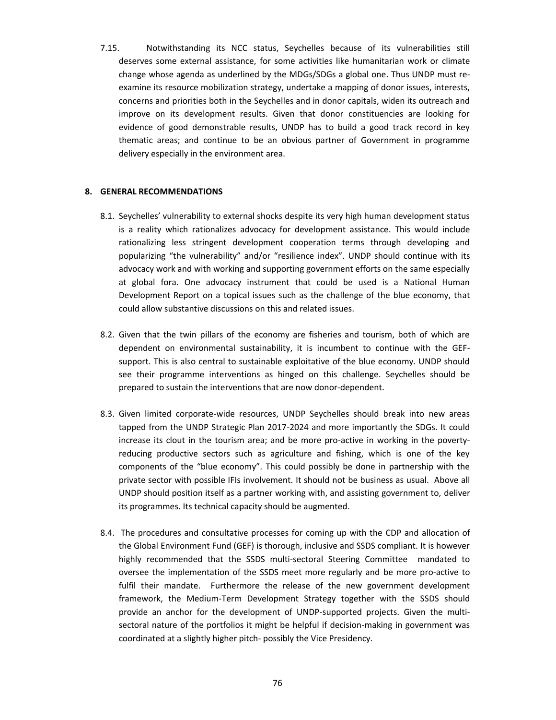7.15. Notwithstanding its NCC status, Seychelles because of its vulnerabilities still deserves some external assistance, for some activities like humanitarian work or climate change whose agenda as underlined by the MDGs/SDGs a global one. Thus UNDP must re examine its resource mobilization strategy, undertake a mapping of donor issues, interests, concerns and priorities both in the Seychelles and in donor capitals, widen its outreach and improve on its development results. Given that donor constituencies are looking for evidence of good demonstrable results, UNDP has to build a good track record in key thematic areas; and continue to be an obvious partner of Government in programme delivery especially in the environment area.

#### **8. GENERAL RECOMMENDATIONS**

- 8.1. Seychelles' vulnerability to external shocks despite its very high human development status is a reality which rationalizes advocacy for development assistance. This would include rationalizing less stringent development cooperation terms through developing and popularizing "the vulnerability" and/or "resilience index". UNDP should continue with its advocacy work and with working and supporting government efforts on the same especially at global fora. One advocacy instrument that could be used is a National Human Development Report on a topical issues such as the challenge of the blue economy, that could allow substantive discussions on this and related issues.
- 8.2. Given that the twin pillars of the economy are fisheries and tourism, both of which are dependent on environmental sustainability, it is incumbent to continue with the GEF support. This is also central to sustainable exploitative of the blue economy. UNDP should see their programme interventions as hinged on this challenge. Seychelles should be prepared to sustain the interventions that are now donor-dependent.
- 8.3. Given limited corporate-wide resources, UNDP Seychelles should break into new areas tapped from the UNDP Strategic Plan 2017-2024 and more importantly the SDGs. It could increase its clout in the tourism area; and be more pro-active in working in the poverty reducing productive sectors such as agriculture and fishing, which is one of the key components of the "blue economy". This could possibly be done in partnership with the private sector with possible IFIs involvement. It should not be business as usual. Above all UNDP should position itself as a partner working with, and assisting government to, deliver its programmes. Its technical capacity should be augmented.
- 8.4. The procedures and consultative processes for coming up with the CDP and allocation of the Global Environment Fund (GEF) is thorough, inclusive and SSDS compliant. It is however highly recommended that the SSDS multi-sectoral Steering Committee mandated to oversee the implementation of the SSDS meet more regularly and be more pro-active to fulfil their mandate. Furthermore the release of the new government development framework, the Medium-Term Development Strategy together with the SSDS should provide an anchor for the development of UNDP-supported projects. Given the multi sectoral nature of the portfolios it might be helpful if decision-making in government was coordinated at a slightly higher pitch- possibly the Vice Presidency.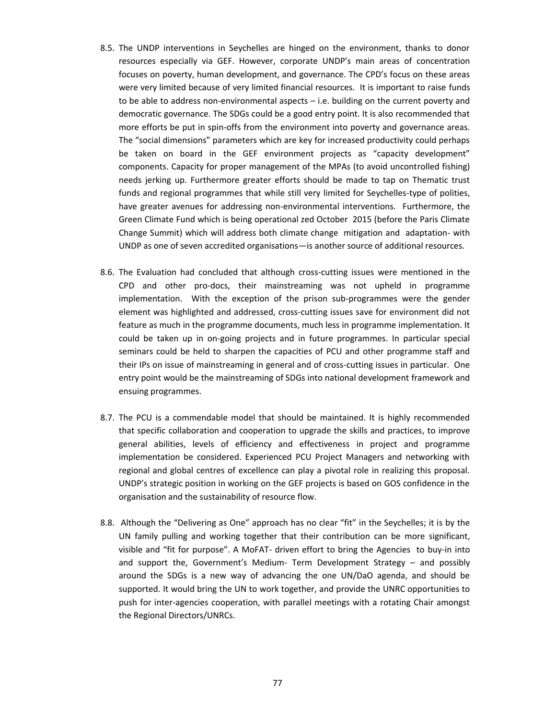- 8.5. The UNDP interventions in Seychelles are hinged on the environment, thanks to donor resources especially via GEF. However, corporate UNDP's main areas of concentration focuses on poverty, human development, and governance. The CPD's focus on these areas were very limited because of very limited financial resources. It is important to raise funds to be able to address non-environmental aspects – i.e. building on the current poverty and democratic governance. The SDGs could be a good entry point. It is also recommended that more efforts be put in spin-offs from the environment into poverty and governance areas. The "social dimensions" parameters which are key for increased productivity could perhaps be taken on board in the GEF environment projects as "capacity development" components. Capacity for proper management of the MPAs (to avoid uncontrolled fishing) needs jerking up. Furthermore greater efforts should be made to tap on Thematic trust funds and regional programmes that while still very limited for Seychelles-type of polities, have greater avenues for addressing non-environmental interventions. Furthermore, the Green Climate Fund which is being operational zed October 2015 (before the Paris Climate Change Summit) which will address both climate change mitigation and adaptation- with UNDP as one of seven accredited organisations—is another source of additional resources.
- 8.6. The Evaluation had concluded that although cross-cutting issues were mentioned in the CPD and other pro-docs, their mainstreaming was not upheld in programme implementation. With the exception of the prison sub-programmes were the gender element was highlighted and addressed, cross-cutting issues save for environment did not feature as much in the programme documents, much less in programme implementation. It could be taken up in on-going projects and in future programmes. In particular special seminars could be held to sharpen the capacities of PCU and other programme staff and their IPs on issue of mainstreaming in general and of cross-cutting issues in particular. One entry point would be the mainstreaming of SDGs into national development framework and ensuing programmes.
- 8.7. The PCU is a commendable model that should be maintained. It is highly recommended that specific collaboration and cooperation to upgrade the skills and practices, to improve general abilities, levels of efficiency and effectiveness in project and programme implementation be considered. Experienced PCU Project Managers and networking with regional and global centres of excellence can play a pivotal role in realizing this proposal. UNDP's strategic position in working on the GEF projects is based on GOS confidence in the organisation and the sustainability of resource flow.
- 8.8. Although the "Delivering as One" approach has no clear "fit" in the Seychelles; it is by the UN family pulling and working together that their contribution can be more significant, visible and "fit for purpose". A MoFAT- driven effort to bring the Agencies to buy-in into and support the, Government's Medium- Term Development Strategy – and possibly around the SDGs is a new way of advancing the one UN/DaO agenda, and should be supported. It would bring the UN to work together, and provide the UNRC opportunities to push for inter-agencies cooperation, with parallel meetings with a rotating Chair amongst the Regional Directors/UNRCs.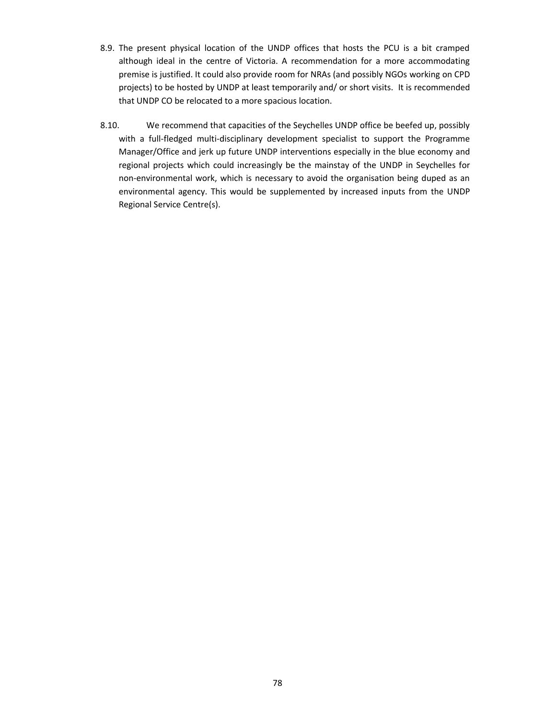- 8.9. The present physical location of the UNDP offices that hosts the PCU is a bit cramped although ideal in the centre of Victoria. A recommendation for a more accommodating premise is justified. It could also provide room for NRAs (and possibly NGOs working on CPD projects) to be hosted by UNDP at least temporarily and/ or short visits. It is recommended that UNDP CO be relocated to a more spacious location.
- 8.10. We recommend that capacities of the Seychelles UNDP office be beefed up, possibly with a full-fledged multi-disciplinary development specialist to support the Programme Manager/Office and jerk up future UNDP interventions especially in the blue economy and regional projects which could increasingly be the mainstay of the UNDP in Seychelles for non-environmental work, which is necessary to avoid the organisation being duped as an environmental agency. This would be supplemented by increased inputs from the UNDP Regional Service Centre(s).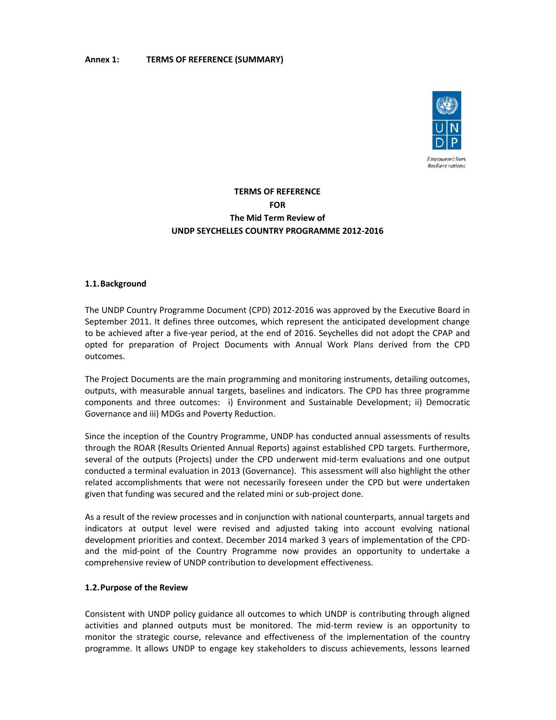#### **Annex 1: TERMS OF REFERENCE (SUMMARY)**



# **TERMS OF REFERENCE FOR The Mid Term Review of UNDP SEYCHELLES COUNTRY PROGRAMME 2012-2016** FOR<br>The Mid Term<br>UNDP SEYCHELLES COUNTRY<br>1.1.Background

#### **1.1.Background**

The UNDP Country Programme Document (CPD) 2012-2016 was approved by the Executive Board in September 2011. It defines three outcomes, which represent the anticipated development change to be achieved after a five-year period, at the end of 2016. Seychelles did not adopt the CPAP and opted for preparation of Project Documents with Annual Work Plans derived from the CPD outcomes.

The Project Documents are the main programming and monitoring instruments, detailing outcomes, outputs, with measurable annual targets, baselines and indicators. The CPD has three programme components and three outcomes: i) Environment and Sustainable Development; ii) Democratic Governance and iii) MDGs and Poverty Reduction.

Since the inception of the Country Programme, UNDP has conducted annual assessments of results through the ROAR (Results Oriented Annual Reports) against established CPD targets. Furthermore, several of the outputs (Projects) under the CPD underwent mid-term evaluations and one output conducted a terminal evaluation in 2013 (Governance). This assessment will also highlight the other related accomplishments that were not necessarily foreseen under the CPD but were undertaken given that funding was secured and the related mini or sub-project done. TERMS OF REFERENCE (SUMMARY)<br>
TERMS OF REFERENCE<br>
FOR SOFTENING OF REFERENCE<br>
FOR SOFTENING OF REFERENCE<br>
FOR SOFTENING OF THE MIGHE TERM REVIEW PROGRAMME 2012-2016<br>
1.1.Beckground<br>
The UNDF Country Programme Document (CPD

As a result of the review processes and in conjunction with national counterparts, annual targets and indicators at output level were revised and adjusted taking into account evolving national development priorities and context. December 2014 marked 3 years of implementation of the CPD and the mid-point of the Country Programme now provides an opportunity to undertake a comprehensive review of UNDP contribution to development effectiveness.

#### **1.2.Purpose of the Review**

Consistent with UNDP policy guidance all outcomes to which UNDP is contributing through aligned activities and planned outputs must be monitored. The mid-term review is an opportunity to monitor the strategic course, relevance and effectiveness of the implementation of the country programme. It allows UNDP to engage key stakeholders to discuss achievements, lessons learned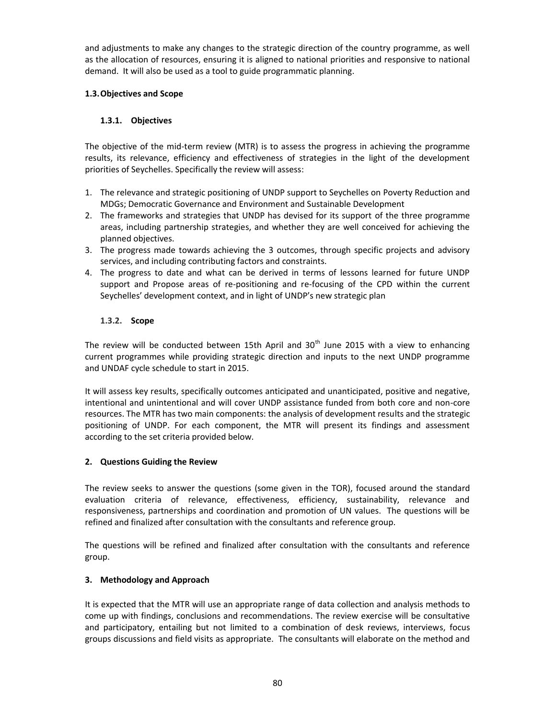and adjustments to make any changes to the strategic direction of the country programme, as well as the allocation of resources, ensuring it is aligned to national priorities and responsive to national demand. It will also be used as a tool to guide programmatic planning.

# **1.3.Objectives and Scope**

# **1.3.1. Objectives**

The objective of the mid-term review (MTR) is to assess the progress in achieving the programme results, its relevance, efficiency and effectiveness of strategies in the light of the development priorities of Seychelles. Specifically the review will assess:

- 1. The relevance and strategic positioning of UNDP support to Seychelles on Poverty Reduction and MDGs; Democratic Governance and Environment and Sustainable Development
- 2. The frameworks and strategies that UNDP has devised for its support of the three programme areas, including partnership strategies, and whether they are well conceived for achieving the planned objectives.
- 3. The progress made towards achieving the 3 outcomes, through specific projects and advisory services, and including contributing factors and constraints.
- 4. The progress to date and what can be derived in terms of lessons learned for future UNDP support and Propose areas of re-positioning and re-focusing of the CPD within the current Seychelles' development context, and in light of UNDP's new strategic plan

# **1.3.2. Scope**

The review will be conducted between 15th April and  $30<sup>th</sup>$  June 2015 with a view to enhancing current programmes while providing strategic direction and inputs to the next UNDP programme and UNDAF cycle schedule to start in 2015.

It will assess key results, specifically outcomes anticipated and unanticipated, positive and negative, intentional and unintentional and will cover UNDP assistance funded from both core and non-core resources. The MTR has two main components: the analysis of development results and the strategic positioning of UNDP. For each component, the MTR will present its findings and assessment according to the set criteria provided below.

## **2. Questions Guiding the Review**

The review seeks to answer the questions (some given in the TOR), focused around the standard evaluation criteria of relevance, effectiveness, efficiency, sustainability, relevance and responsiveness, partnerships and coordination and promotion of UN values. The questions will be refined and finalized after consultation with the consultants and reference group.

The questions will be refined and finalized after consultation with the consultants and reference group.

## **3. Methodology and Approach**

It is expected that the MTR will use an appropriate range of data collection and analysis methods to come up with findings, conclusions and recommendations. The review exercise will be consultative and participatory, entailing but not limited to a combination of desk reviews, interviews, focus groups discussions and field visits as appropriate. The consultants will elaborate on the method and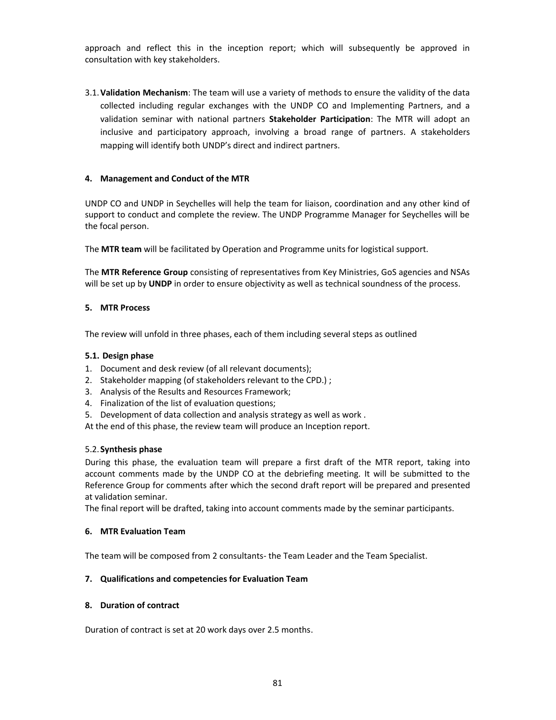approach and reflect this in the inception report; which will subsequently be approved in consultation with key stakeholders.

3.1.**Validation Mechanism**: The team will use a variety of methods to ensure the validity of the data collected including regular exchanges with the UNDP CO and Implementing Partners, and a validation seminar with national partners **Stakeholder Participation**: The MTR will adopt an inclusive and participatory approach, involving a broad range of partners. A stakeholders mapping will identify both UNDP's direct and indirect partners.

#### **4. Management and Conduct of the MTR**

UNDP CO and UNDP in Seychelles will help the team for liaison, coordination and any other kind of support to conduct and complete the review. The UNDP Programme Manager for Seychelles will be the focal person.

The **MTR team** will be facilitated by Operation and Programme units for logistical support.

The **MTR Reference Group** consisting of representatives from Key Ministries, GoS agencies and NSAs will be set up by **UNDP** in order to ensure objectivity as well as technical soundness of the process.

#### **5. MTR Process**

The review will unfold in three phases, each of them including several steps as outlined

#### **5.1. Design phase**

- 1. Document and desk review (of all relevant documents);
- 2. Stakeholder mapping (of stakeholders relevant to the CPD.) ;
- 3. Analysis of the Results and Resources Framework;
- 4. Finalization of the list of evaluation questions;
- 5. Development of data collection and analysis strategy as well as work .

At the end of this phase, the review team will produce an Inception report.

#### 5.2.**Synthesis phase**

During this phase, the evaluation team will prepare a first draft of the MTR report, taking into account comments made by the UNDP CO at the debriefing meeting. It will be submitted to the Reference Group for comments after which the second draft report will be prepared and presented at validation seminar.

The final report will be drafted, taking into account comments made by the seminar participants.

#### **6. MTR Evaluation Team**

The team will be composed from 2 consultants- the Team Leader and the Team Specialist.

#### **7. Qualifications and competencies for Evaluation Team**

#### **8. Duration of contract**

Duration of contract is set at 20 work days over 2.5 months.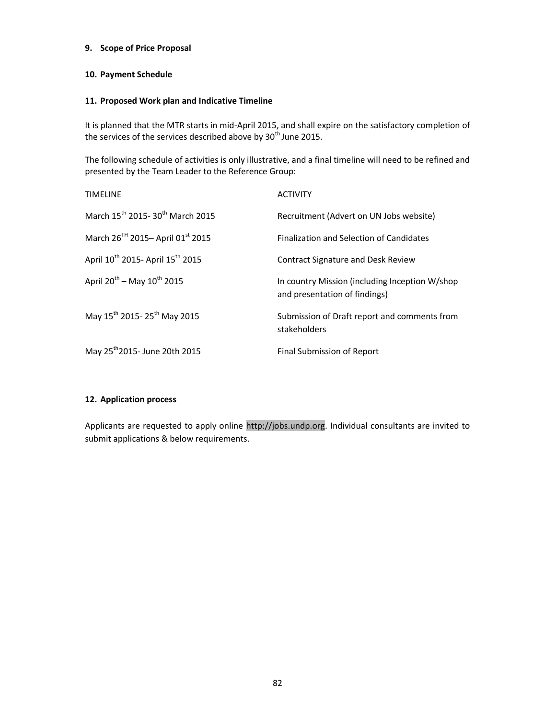#### **9. Scope of Price Proposal**

### **10. Payment Schedule**

#### **11. Proposed Work plan and Indicative Timeline**

It is planned that the MTR starts in mid-April 2015, and shall expire on the satisfactory completion of the services of the services described above by 30<sup>th</sup> June 2015.

The following schedule of activities is only illustrative, and a final timeline will need to be refined and presented by the Team Leader to the Reference Group:

| <b>TIMELINE</b>                                          | <b>ACTIVITY</b>                                                                 |
|----------------------------------------------------------|---------------------------------------------------------------------------------|
| March 15 <sup>th</sup> 2015-30 <sup>th</sup> March 2015  | Recruitment (Advert on UN Jobs website)                                         |
| March 26 <sup>TH</sup> 2015-April 01 <sup>st</sup> 2015  | Finalization and Selection of Candidates                                        |
| April 10 <sup>th</sup> 2015- April 15 <sup>th</sup> 2015 | <b>Contract Signature and Desk Review</b>                                       |
| April $20^{th}$ – May $10^{th}$ 2015                     | In country Mission (including Inception W/shop<br>and presentation of findings) |
| May 15 <sup>th</sup> 2015-25 <sup>th</sup> May 2015      | Submission of Draft report and comments from<br>stakeholders                    |
| May 25 <sup>th</sup> 2015- June 20th 2015                | Final Submission of Report                                                      |

#### **12. Application process**

Applicants are requested to apply online http://jobs.undp.org. Individual consultants are invited to submit applications & below requirements.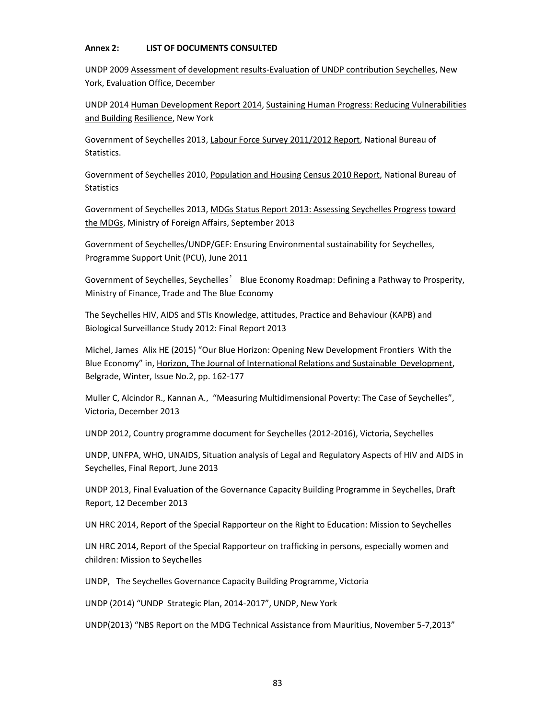#### **Annex 2: LIST OF DOCUMENTS CONSULTED**

UNDP 2009 Assessment of development results-Evaluation of UNDP contribution Seychelles, New York, Evaluation Office, December

UNDP 2014 Human Development Report 2014, Sustaining Human Progress: Reducing Vulnerabilities and Building Resilience, New York

Government of Seychelles 2013, Labour Force Survey 2011/2012 Report, National Bureau of Statistics.

Government of Seychelles 2010, Population and Housing Census 2010 Report, National Bureau of **Statistics** 

Government of Seychelles 2013, MDGs Status Report 2013: Assessing Seychelles Progress toward the MDGs, Ministry of Foreign Affairs, September 2013

Government of Seychelles/UNDP/GEF: Ensuring Environmental sustainability for Seychelles, Programme Support Unit (PCU), June 2011

Government of Seychelles, Seychelles' Blue Economy Roadmap: Defining a Pathway to Prosperity, Ministry of Finance, Trade and The Blue Economy

The Seychelles HIV, AIDS and STIs Knowledge, attitudes, Practice and Behaviour (KAPB) and Biological Surveillance Study 2012: Final Report 2013

Michel, James Alix HE (2015) "Our Blue Horizon: Opening New Development Frontiers With the Blue Economy" in, Horizon, The Journal of International Relations and Sustainable Development, Belgrade, Winter, Issue No.2, pp. 162-177

Muller C, Alcindor R., Kannan A., "Measuring Multidimensional Poverty: The Case of Seychelles", Victoria, December 2013

UNDP 2012, Country programme document for Seychelles (2012-2016), Victoria, Seychelles

UNDP, UNFPA, WHO, UNAIDS, Situation analysis of Legal and Regulatory Aspects of HIV and AIDS in Seychelles, Final Report, June 2013

UNDP 2013, Final Evaluation of the Governance Capacity Building Programme in Seychelles, Draft Report, 12 December 2013

UN HRC 2014, Report of the Special Rapporteur on the Right to Education: Mission to Seychelles

UN HRC 2014, Report of the Special Rapporteur on trafficking in persons, especially women and children: Mission to Seychelles

UNDP, The Seychelles Governance Capacity Building Programme, Victoria

UNDP (2014) "UNDP Strategic Plan, 2014-2017", UNDP, New York

UNDP(2013) "NBS Report on the MDG Technical Assistance from Mauritius, November 5-7,2013"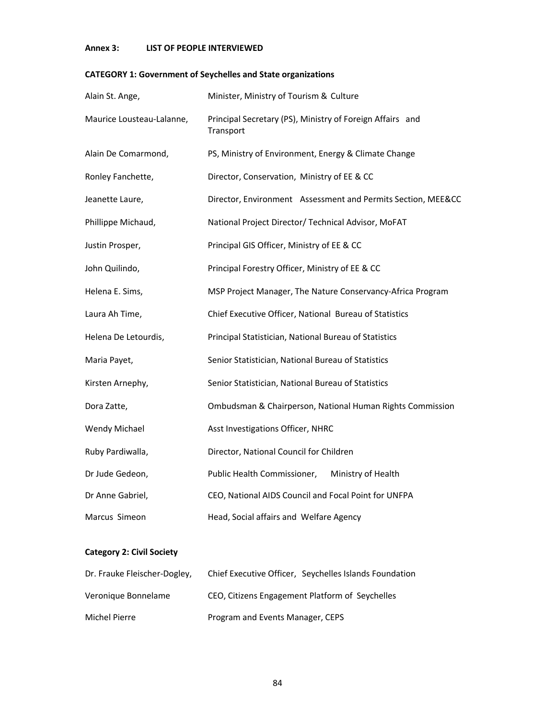# **Annex 3: LIST OF PEOPLE INTERVIEWED**

# **CATEGORY 1: Government of Seychelles and State organizations**

| Alain St. Ange,           | Minister, Ministry of Tourism & Culture                                |
|---------------------------|------------------------------------------------------------------------|
| Maurice Lousteau-Lalanne, | Principal Secretary (PS), Ministry of Foreign Affairs and<br>Transport |
| Alain De Comarmond,       | PS, Ministry of Environment, Energy & Climate Change                   |
| Ronley Fanchette,         | Director, Conservation, Ministry of EE & CC                            |
| Jeanette Laure,           | Director, Environment Assessment and Permits Section, MEE&CC           |
| Phillippe Michaud,        | National Project Director/ Technical Advisor, MoFAT                    |
| Justin Prosper,           | Principal GIS Officer, Ministry of EE & CC                             |
| John Quilindo,            | Principal Forestry Officer, Ministry of EE & CC                        |
| Helena E. Sims,           | MSP Project Manager, The Nature Conservancy-Africa Program             |
| Laura Ah Time,            | Chief Executive Officer, National Bureau of Statistics                 |
| Helena De Letourdis,      | Principal Statistician, National Bureau of Statistics                  |
| Maria Payet,              | Senior Statistician, National Bureau of Statistics                     |
| Kirsten Arnephy,          | Senior Statistician, National Bureau of Statistics                     |
| Dora Zatte,               | Ombudsman & Chairperson, National Human Rights Commission              |
| Wendy Michael             | Asst Investigations Officer, NHRC                                      |
| Ruby Pardiwalla,          | Director, National Council for Children                                |
| Dr Jude Gedeon,           | Public Health Commissioner,<br>Ministry of Health                      |
| Dr Anne Gabriel,          | CEO, National AIDS Council and Focal Point for UNFPA                   |
| Marcus Simeon             | Head, Social affairs and Welfare Agency                                |

# **Category 2: Civil Society**

| Dr. Frauke Fleischer-Dogley, | Chief Executive Officer, Seychelles Islands Foundation |
|------------------------------|--------------------------------------------------------|
| Veronique Bonnelame          | CEO, Citizens Engagement Platform of Seychelles        |
| Michel Pierre                | Program and Events Manager, CEPS                       |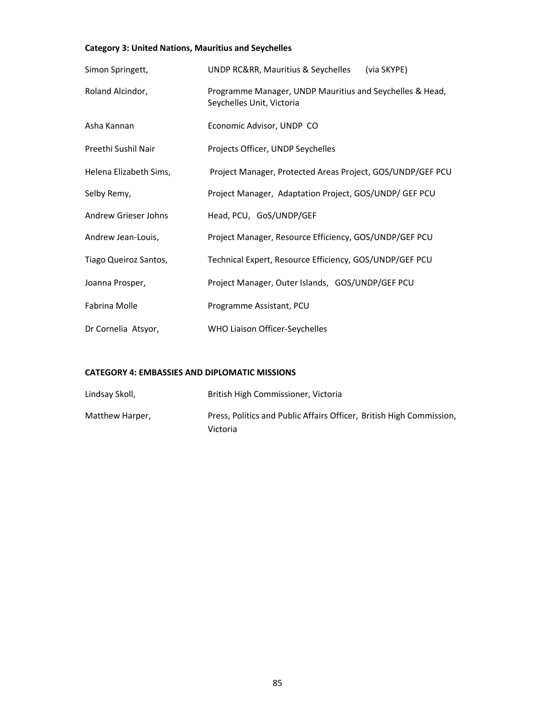# **Category 3: United Nations, Mauritius and Seychelles**

| Simon Springett,       | UNDP RC&RR, Mauritius & Seychelles<br>(via SKYPE)                                     |
|------------------------|---------------------------------------------------------------------------------------|
| Roland Alcindor,       | Programme Manager, UNDP Mauritius and Seychelles & Head,<br>Seychelles Unit, Victoria |
| Asha Kannan            | Economic Advisor, UNDP CO                                                             |
| Preethi Sushil Nair    | Projects Officer, UNDP Seychelles                                                     |
| Helena Elizabeth Sims, | Project Manager, Protected Areas Project, GOS/UNDP/GEF PCU                            |
| Selby Remy,            | Project Manager, Adaptation Project, GOS/UNDP/ GEF PCU                                |
| Andrew Grieser Johns   | Head, PCU, GoS/UNDP/GEF                                                               |
| Andrew Jean-Louis,     | Project Manager, Resource Efficiency, GOS/UNDP/GEF PCU                                |
| Tiago Queiroz Santos,  | Technical Expert, Resource Efficiency, GOS/UNDP/GEF PCU                               |
| Joanna Prosper,        | Project Manager, Outer Islands, GOS/UNDP/GEF PCU                                      |
| Fabrina Molle          | Programme Assistant, PCU                                                              |
| Dr Cornelia Atsyor,    | WHO Liaison Officer-Seychelles                                                        |

#### **CATEGORY 4: EMBASSIES AND DIPLOMATIC MISSIONS**

| Lindsay Skoll,  | British High Commissioner, Victoria                                              |
|-----------------|----------------------------------------------------------------------------------|
| Matthew Harper, | Press, Politics and Public Affairs Officer, British High Commission,<br>Victoria |